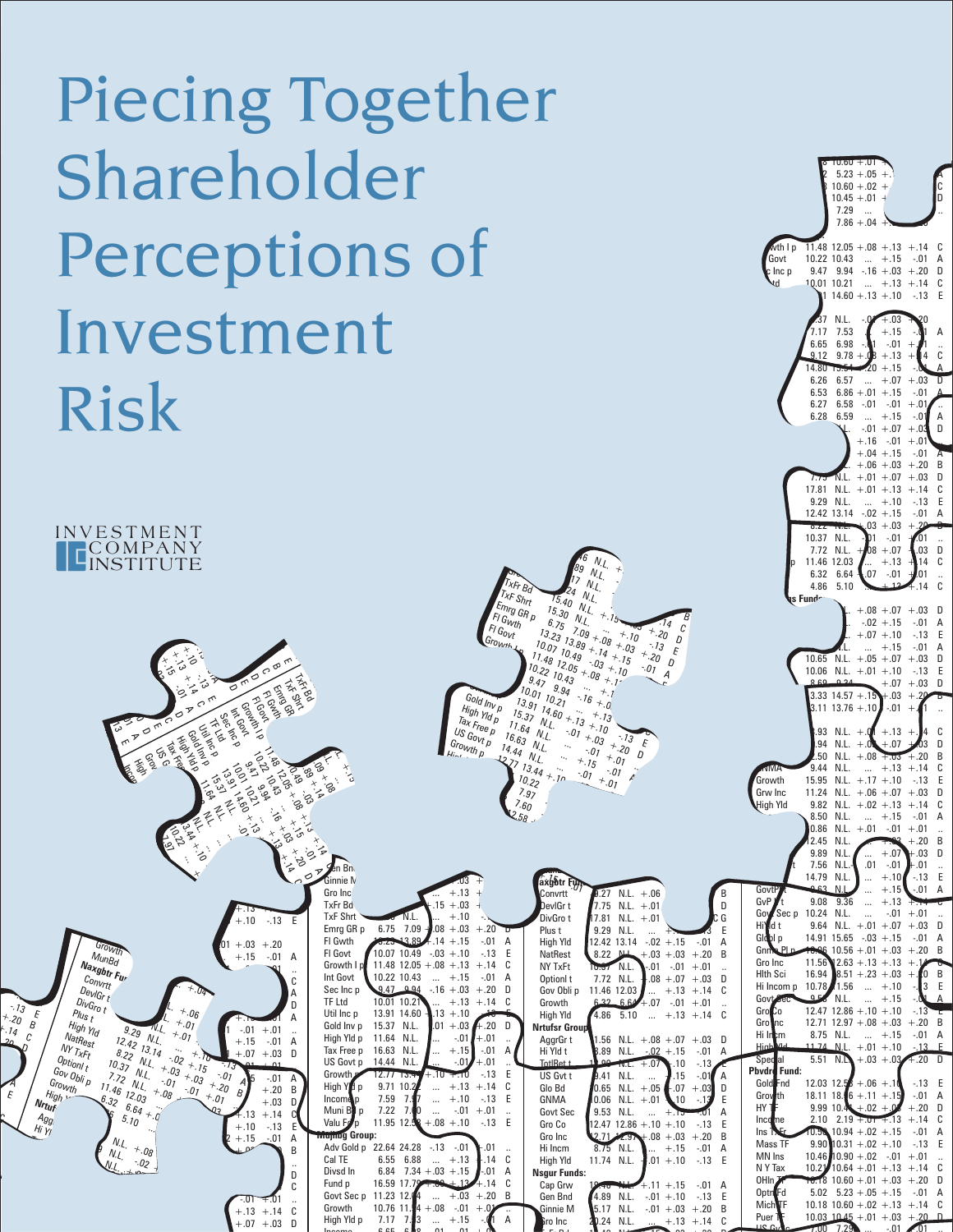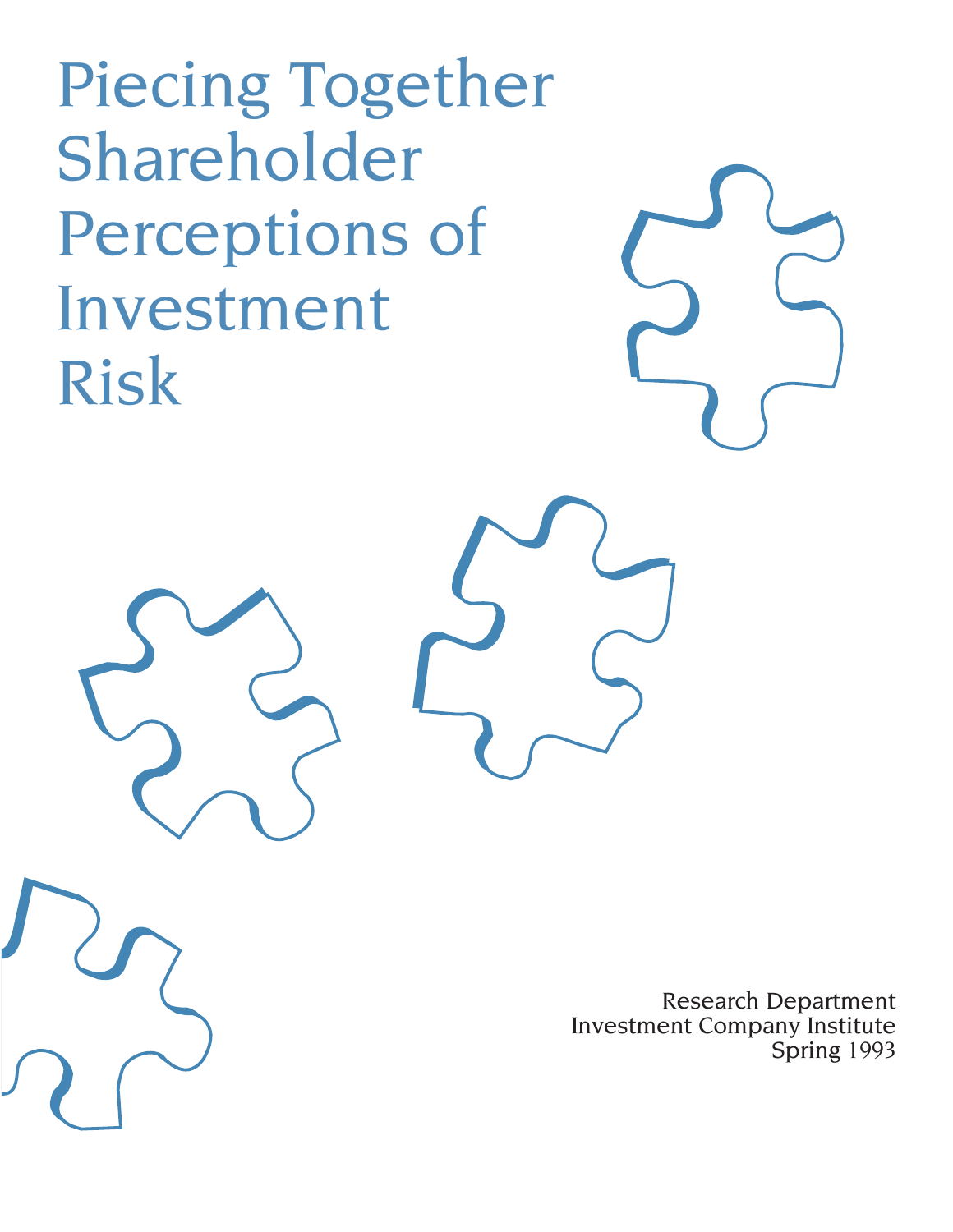Piecing Together Shareholder Perceptions of Investment Risk

> Research Department Investment Company Institute Spring 1993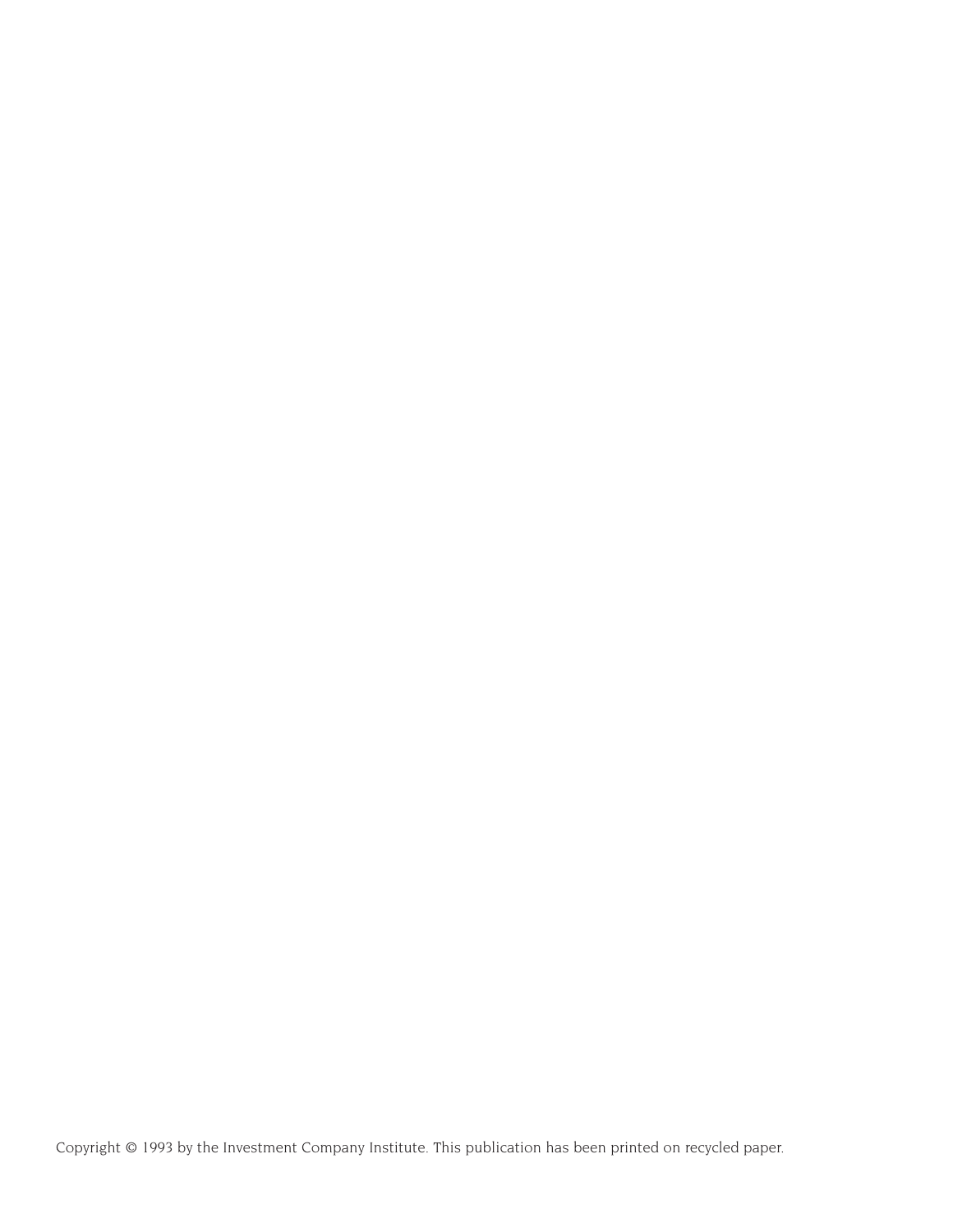Copyright © 1993 by the Investment Company Institute. This publication has been printed on recycled paper.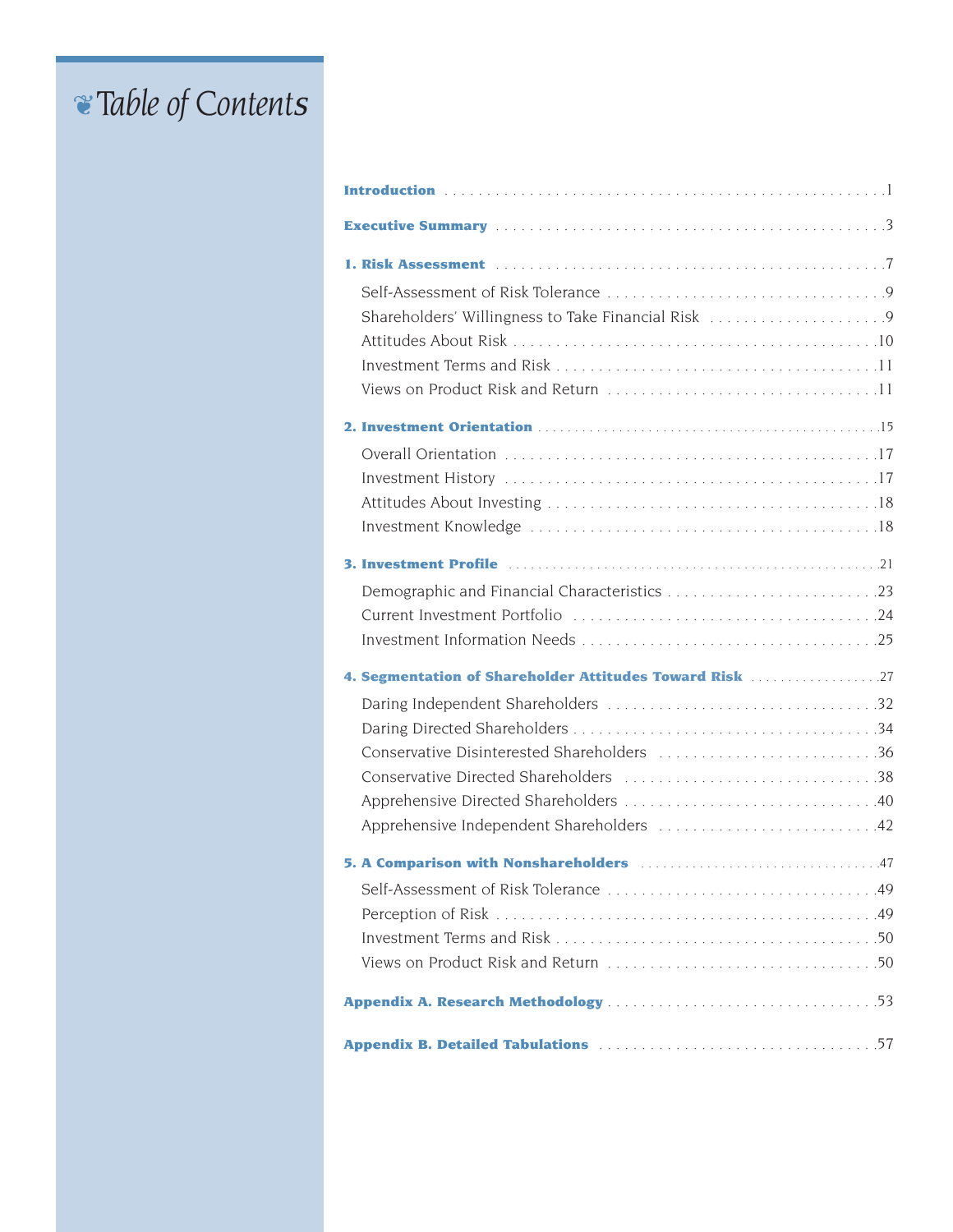# ❦T*able of* C*ontent*<sup>s</sup>

| Shareholders' Willingness to Take Financial Risk 9                                   |
|--------------------------------------------------------------------------------------|
|                                                                                      |
|                                                                                      |
|                                                                                      |
|                                                                                      |
|                                                                                      |
|                                                                                      |
|                                                                                      |
|                                                                                      |
|                                                                                      |
|                                                                                      |
|                                                                                      |
|                                                                                      |
| 4. Segmentation of Shareholder Attitudes Toward Risk 27                              |
|                                                                                      |
| Conservative Disinterested Shareholders 36                                           |
|                                                                                      |
|                                                                                      |
| Apprehensive Independent Shareholders 42                                             |
| 5. A Comparison with Nonshareholders manufacturers and Allen Manufacturers and Allen |
|                                                                                      |
|                                                                                      |
|                                                                                      |
|                                                                                      |
|                                                                                      |
|                                                                                      |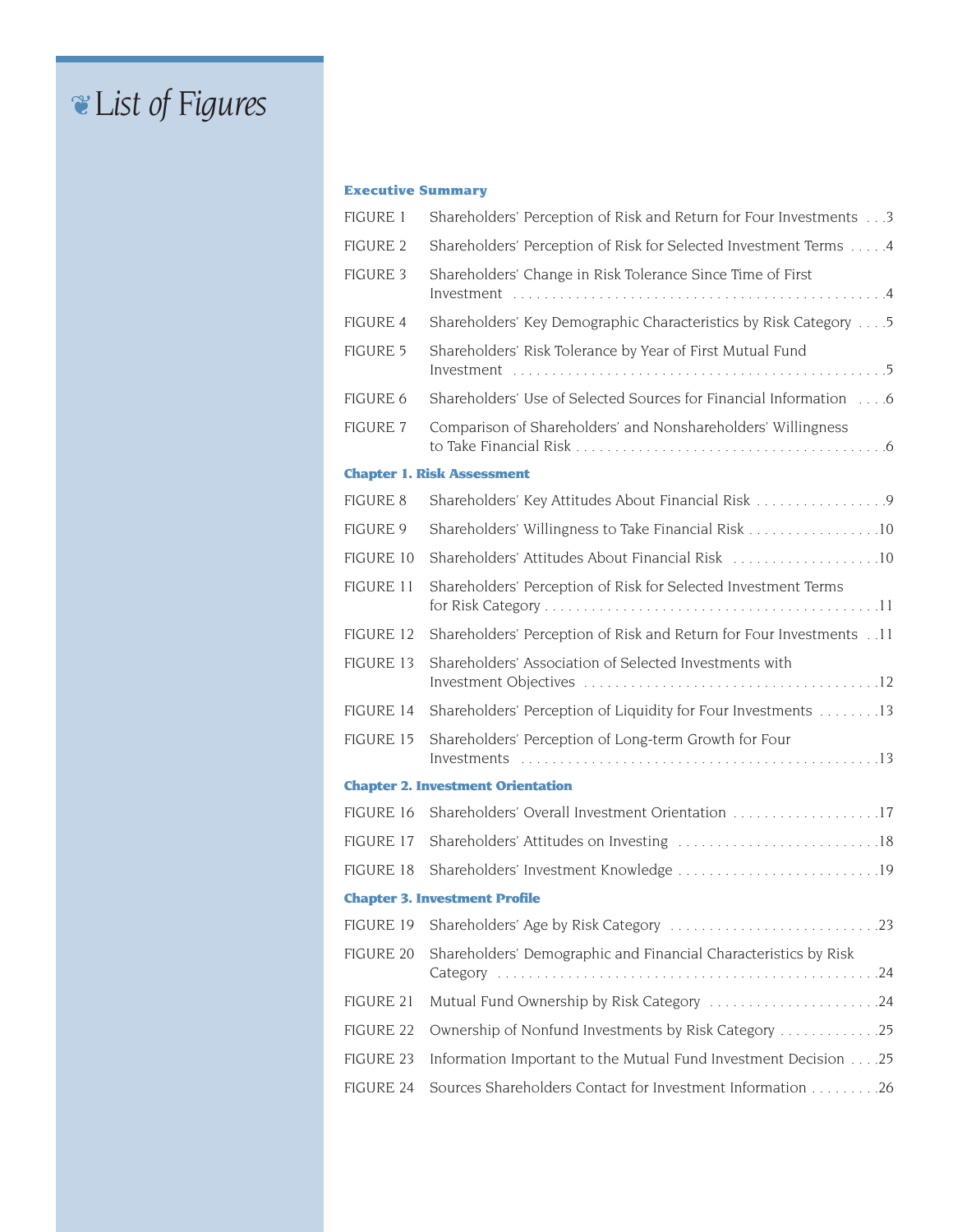# ❦L*ist of* F*igures*

### **Executive Summary**

| <b>FIGURE 1</b>  | Shareholders' Perception of Risk and Return for Four Investments 3          |
|------------------|-----------------------------------------------------------------------------|
| <b>FIGURE 2</b>  | Shareholders' Perception of Risk for Selected Investment Terms  4           |
| <b>FIGURE 3</b>  | Shareholders' Change in Risk Tolerance Since Time of First                  |
| FIGURE 4         | Shareholders' Key Demographic Characteristics by Risk Category 5            |
| FIGURE 5         | Shareholders' Risk Tolerance by Year of First Mutual Fund                   |
| FIGURE 6         | Shareholders' Use of Selected Sources for Financial Information 6           |
| <b>FIGURE 7</b>  | Comparison of Shareholders' and Nonshareholders' Willingness                |
|                  | <b>Chapter 1. Risk Assessment</b>                                           |
| FIGURE 8         | Shareholders' Key Attitudes About Financial Risk 9                          |
| <b>FIGURE 9</b>  | Shareholders' Willingness to Take Financial Risk 10                         |
| FIGURE 10        | Shareholders' Attitudes About Financial Risk 10                             |
| <b>FIGURE 11</b> | Shareholders' Perception of Risk for Selected Investment Terms              |
| FIGURE 12        | Shareholders' Perception of Risk and Return for Four Investments 11         |
| <b>FIGURE 13</b> | Shareholders' Association of Selected Investments with                      |
| FIGURE 14        | Shareholders' Perception of Liquidity for Four Investments 13               |
| FIGURE 15        | Shareholders' Perception of Long-term Growth for Four                       |
|                  | <b>Chapter 2. Investment Orientation</b>                                    |
| FIGURE 16        | Shareholders' Overall Investment Orientation 17                             |
| FIGURE 17        |                                                                             |
| FIGURE 18        |                                                                             |
|                  | <b>Chapter 3. Investment Profile</b>                                        |
| FIGURE 19        |                                                                             |
| <b>FIGURE 20</b> | Shareholders' Demographic and Financial Characteristics by Risk<br>Category |
| <b>FIGURE 21</b> | Mutual Fund Ownership by Risk Category 24                                   |
| FIGURE 22        | Ownership of Nonfund Investments by Risk Category 25                        |
| FIGURE 23        | Information Important to the Mutual Fund Investment Decision 25             |
| FIGURE 24        | Sources Shareholders Contact for Investment Information 26                  |
|                  |                                                                             |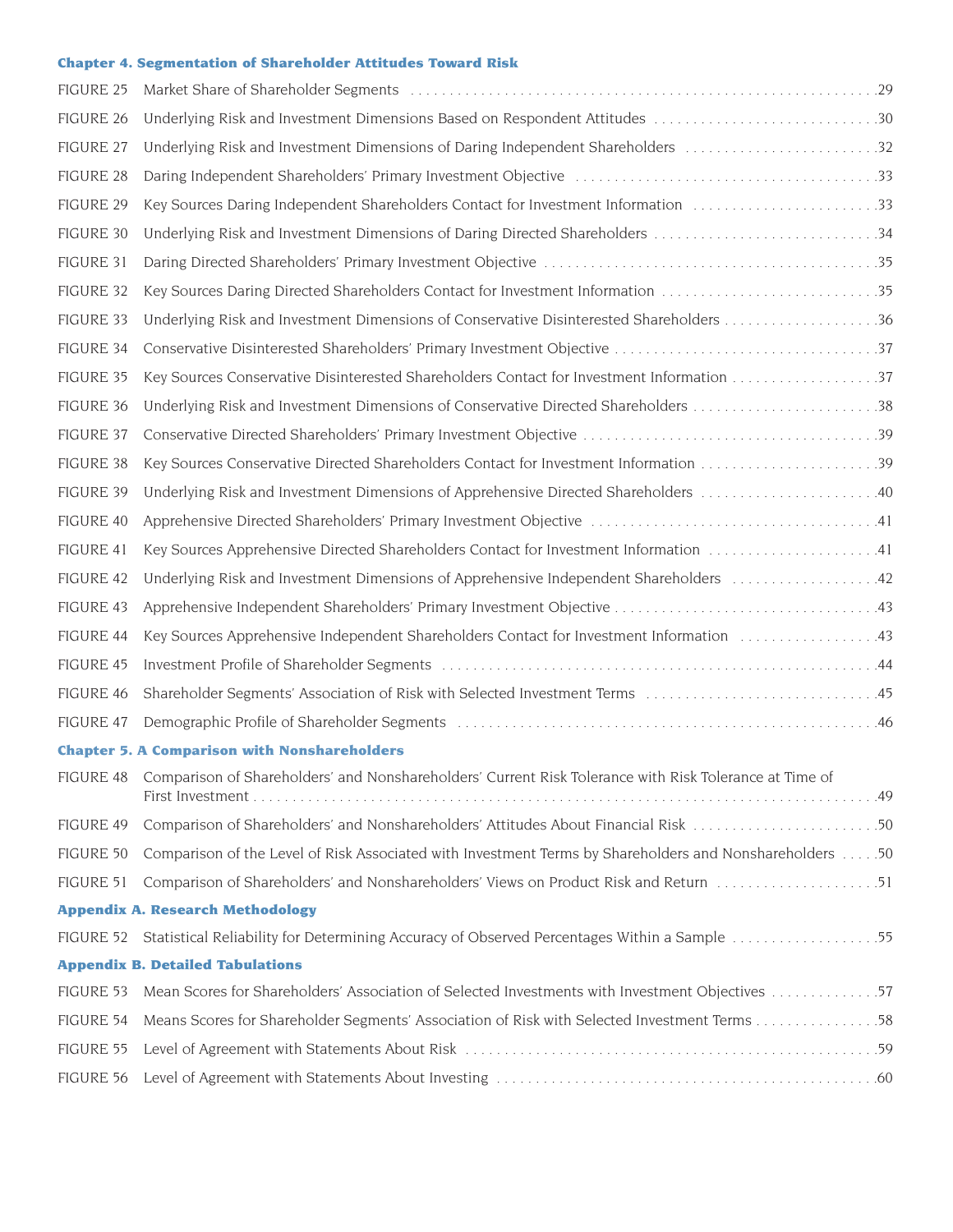#### **Chapter 4. Segmentation of Shareholder Attitudes Toward Risk**

| FIGURE 25 |                                                                                                                  |
|-----------|------------------------------------------------------------------------------------------------------------------|
| FIGURE 26 |                                                                                                                  |
| FIGURE 27 |                                                                                                                  |
| FIGURE 28 |                                                                                                                  |
| FIGURE 29 |                                                                                                                  |
| FIGURE 30 |                                                                                                                  |
| FIGURE 31 |                                                                                                                  |
| FIGURE 32 | Key Sources Daring Directed Shareholders Contact for Investment Information 35                                   |
| FIGURE 33 |                                                                                                                  |
| FIGURE 34 |                                                                                                                  |
| FIGURE 35 |                                                                                                                  |
| FIGURE 36 |                                                                                                                  |
| FIGURE 37 |                                                                                                                  |
| FIGURE 38 |                                                                                                                  |
| FIGURE 39 |                                                                                                                  |
| FIGURE 40 |                                                                                                                  |
| FIGURE 41 |                                                                                                                  |
| FIGURE 42 |                                                                                                                  |
| FIGURE 43 |                                                                                                                  |
| FIGURE 44 |                                                                                                                  |
| FIGURE 45 |                                                                                                                  |
| FIGURE 46 |                                                                                                                  |
| FIGURE 47 |                                                                                                                  |
|           | <b>Chapter 5. A Comparison with Nonshareholders</b>                                                              |
|           | FIGURE 48 Comparison of Shareholders' and Nonshareholders' Current Risk Tolerance with Risk Tolerance at Time of |
| FIGURE 49 |                                                                                                                  |
| FIGURE 50 | Comparison of the Level of Risk Associated with Investment Terms by Shareholders and Nonshareholders 50          |
| FIGURE 51 |                                                                                                                  |
|           | <b>Appendix A. Research Methodology</b>                                                                          |
| FIGURE 52 |                                                                                                                  |
|           | <b>Appendix B. Detailed Tabulations</b>                                                                          |
| FIGURE 53 |                                                                                                                  |
| FIGURE 54 |                                                                                                                  |
| FIGURE 55 |                                                                                                                  |
| FIGURE 56 |                                                                                                                  |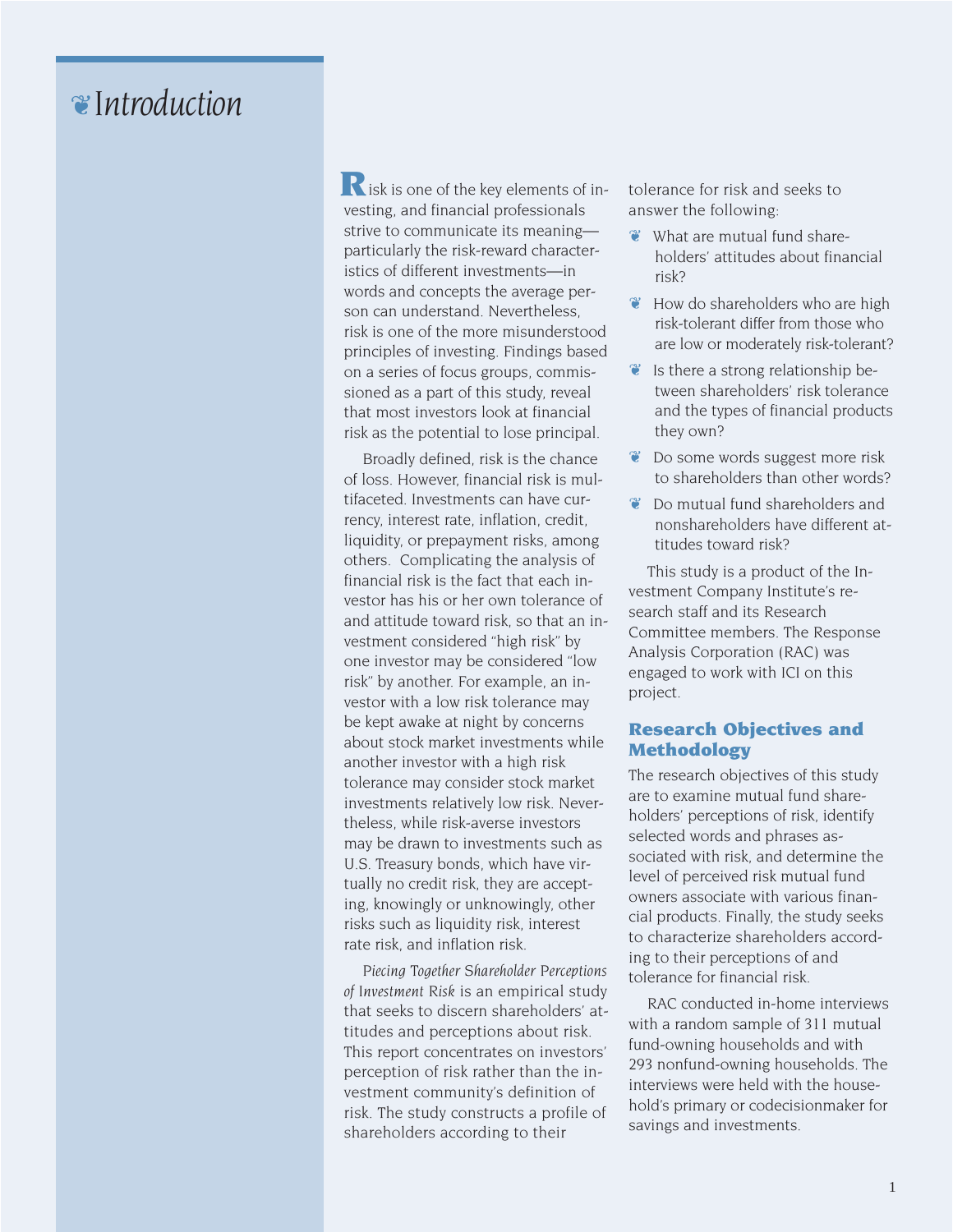# ❦I*ntroduction*

 $\mathbf{R}$  isk is one of the key elements of investing, and financial professionals strive to communicate its meaning particularly the risk-reward characteristics of different investments—in words and concepts the average person can understand. Nevertheless, risk is one of the more misunderstood principles of investing. Findings based on a series of focus groups, commissioned as a part of this study, reveal that most investors look at financial risk as the potential to lose principal.

Broadly defined, risk is the chance of loss. However, financial risk is multifaceted. Investments can have currency, interest rate, inflation, credit, liquidity, or prepayment risks, among others. Complicating the analysis of financial risk is the fact that each investor has his or her own tolerance of and attitude toward risk, so that an investment considered "high risk" by one investor may be considered "low risk" by another. For example, an investor with a low risk tolerance may be kept awake at night by concerns about stock market investments while another investor with a high risk tolerance may consider stock market investments relatively low risk. Nevertheless, while risk-averse investors may be drawn to investments such as U.S. Treasury bonds, which have virtually no credit risk, they are accepting, knowingly or unknowingly, other risks such as liquidity risk, interest rate risk, and inflation risk.

*Piecing Together Shareholder Perceptions of Investment Risk* is an empirical study that seeks to discern shareholders' attitudes and perceptions about risk. This report concentrates on investors' perception of risk rather than the investment community's definition of risk. The study constructs a profile of shareholders according to their

tolerance for risk and seeks to answer the following:

- ❦ What are mutual fund shareholders' attitudes about financial risk?
- ❦ How do shareholders who are high risk-tolerant differ from those who are low or moderately risk-tolerant?
- $\bullet$  Is there a strong relationship between shareholders' risk tolerance and the types of financial products they own?
- ❦ Do some words suggest more risk to shareholders than other words?
- ❦ Do mutual fund shareholders and nonshareholders have different attitudes toward risk?

This study is a product of the Investment Company Institute's research staff and its Research Committee members. The Response Analysis Corporation (RAC) was engaged to work with ICI on this project.

### **Research Objectives and Methodology**

The research objectives of this study are to examine mutual fund shareholders' perceptions of risk, identify selected words and phrases associated with risk, and determine the level of perceived risk mutual fund owners associate with various financial products. Finally, the study seeks to characterize shareholders according to their perceptions of and tolerance for financial risk.

RAC conducted in-home interviews with a random sample of 311 mutual fund-owning households and with 293 nonfund-owning households. The interviews were held with the household's primary or codecisionmaker for savings and investments.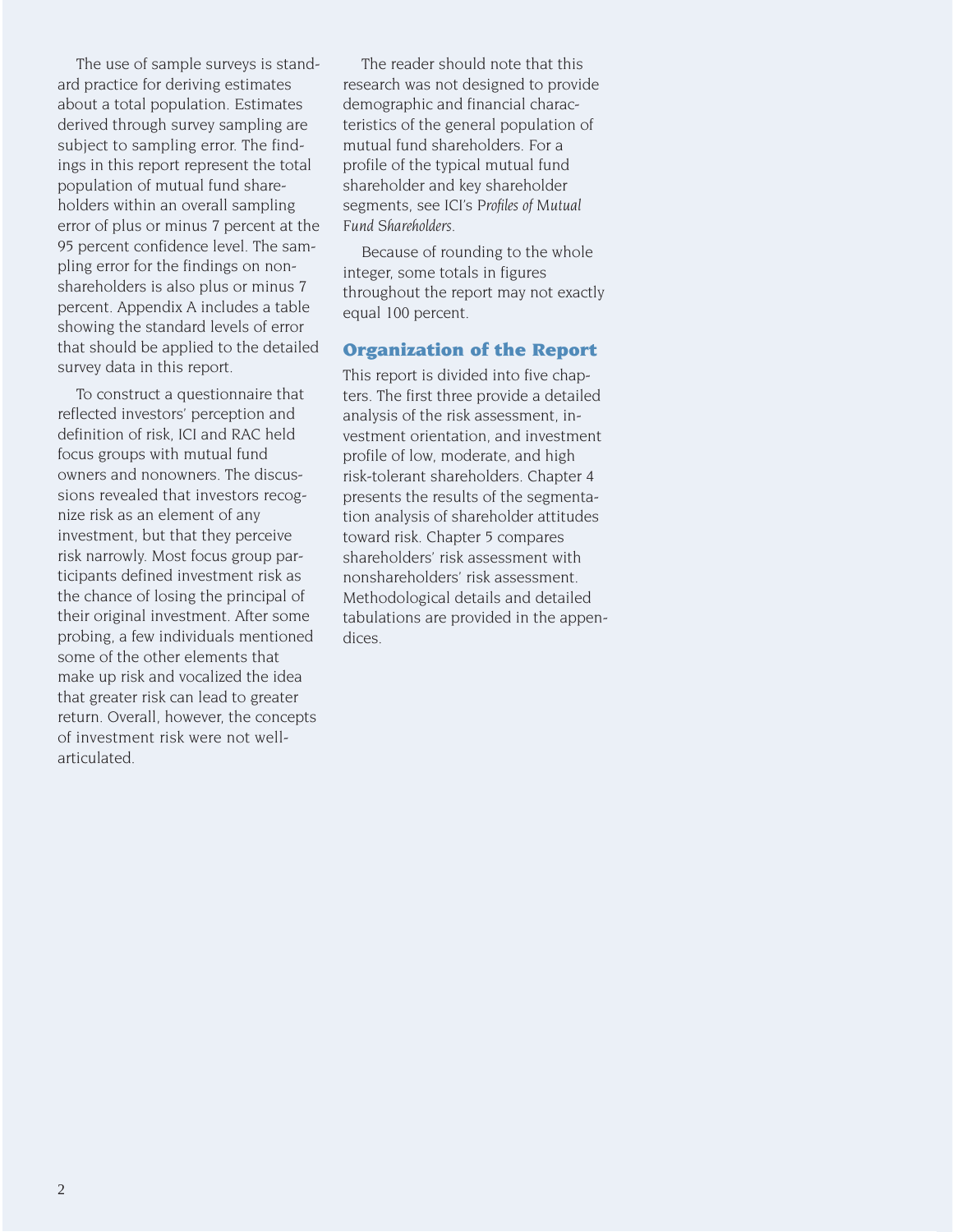The use of sample surveys is standard practice for deriving estimates about a total population. Estimates derived through survey sampling are subject to sampling error. The findings in this report represent the total population of mutual fund shareholders within an overall sampling error of plus or minus 7 percent at the 95 percent confidence level. The sampling error for the findings on nonshareholders is also plus or minus 7 percent. Appendix A includes a table showing the standard levels of error that should be applied to the detailed survey data in this report.

To construct a questionnaire that reflected investors' perception and definition of risk, ICI and RAC held focus groups with mutual fund owners and nonowners. The discussions revealed that investors recognize risk as an element of any investment, but that they perceive risk narrowly. Most focus group participants defined investment risk as the chance of losing the principal of their original investment. After some probing, a few individuals mentioned some of the other elements that make up risk and vocalized the idea that greater risk can lead to greater return. Overall, however, the concepts of investment risk were not wellarticulated.

The reader should note that this research was not designed to provide demographic and financial characteristics of the general population of mutual fund shareholders. For a profile of the typical mutual fund shareholder and key shareholder segments, see ICI's *Profiles of Mutual Fund Shareholders*.

Because of rounding to the whole integer, some totals in figures throughout the report may not exactly equal 100 percent.

#### **Organization of the Report**

This report is divided into five chapters. The first three provide a detailed analysis of the risk assessment, investment orientation, and investment profile of low, moderate, and high risk-tolerant shareholders. Chapter 4 presents the results of the segmentation analysis of shareholder attitudes toward risk. Chapter 5 compares shareholders' risk assessment with nonshareholders' risk assessment. Methodological details and detailed tabulations are provided in the appendices.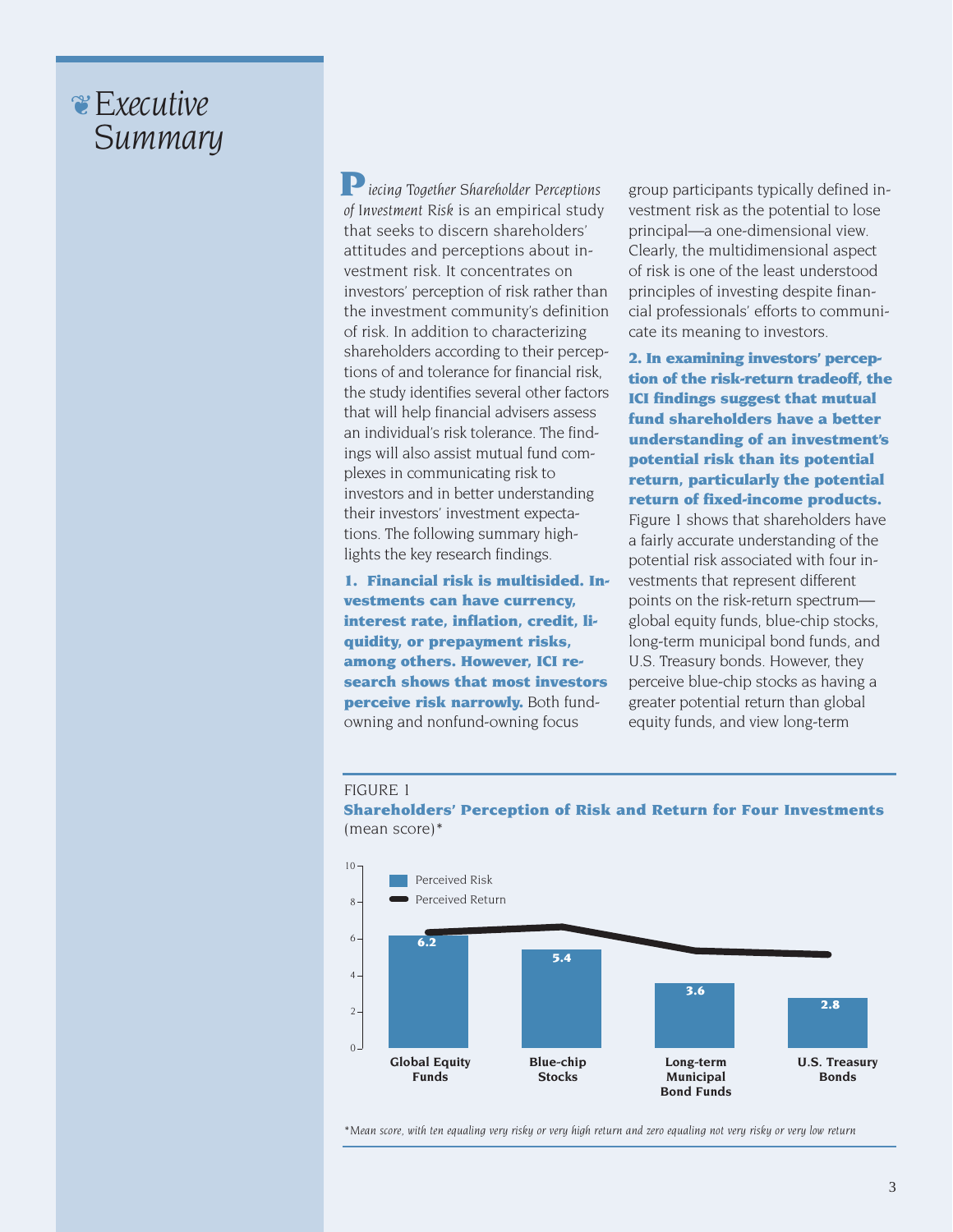# ❦E*xecutive* S*ummary*

*iecing Together Shareholder Perceptions of Investment Risk* is an empirical study that seeks to discern shareholders' attitudes and perceptions about investment risk. It concentrates on investors' perception of risk rather than the investment community's definition of risk. In addition to characterizing shareholders according to their perceptions of and tolerance for financial risk, the study identifies several other factors that will help financial advisers assess an individual's risk tolerance. The findings will also assist mutual fund complexes in communicating risk to investors and in better understanding their investors' investment expectations. The following summary highlights the key research findings. **P**

**1. Financial risk is multisided. Investments can have currency, interest rate, inflation, credit, liquidity, or prepayment risks, among others. However, ICI research shows that most investors perceive risk narrowly.** Both fundowning and nonfund-owning focus

group participants typically defined investment risk as the potential to lose principal—a one-dimensional view. Clearly, the multidimensional aspect of risk is one of the least understood principles of investing despite financial professionals' efforts to communicate its meaning to investors.

**2. In examining investors' perception of the risk-return tradeoff, the ICI findings suggest that mutual fund shareholders have a better understanding of an investment's potential risk than its potential return, particularly the potential return of fixed-income products.** Figure 1 shows that shareholders have a fairly accurate understanding of the potential risk associated with four investments that represent different points on the risk-return spectrum global equity funds, blue-chip stocks, long-term municipal bond funds, and U.S. Treasury bonds. However, they perceive blue-chip stocks as having a greater potential return than global equity funds, and view long-term

#### FIGURE 1

**Shareholders' Perception of Risk and Return for Four Investments** (mean score)\*



*\*Mean score, with ten equaling very risky or very high return and zero equaling not very risky or very low return*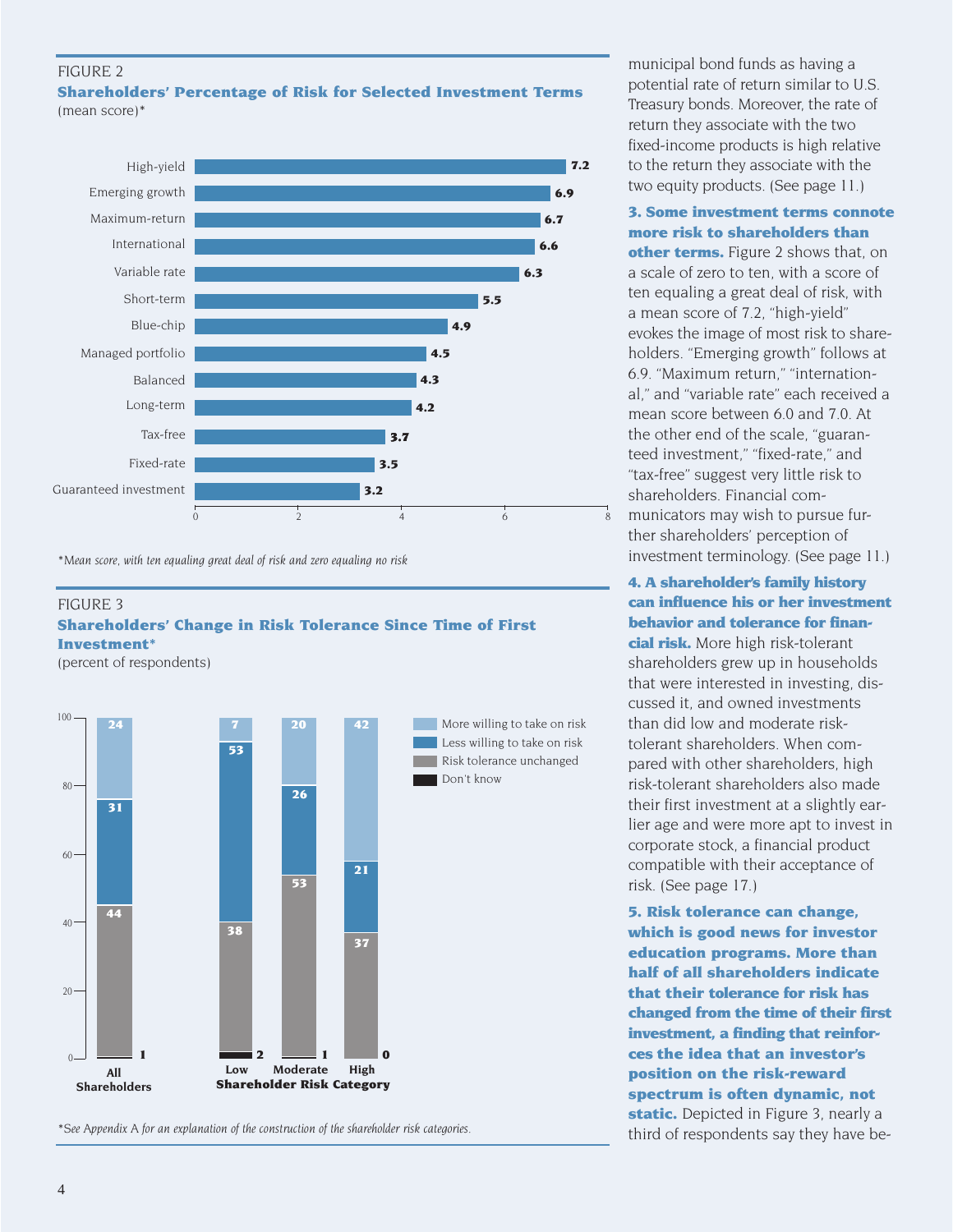#### FIGURE 2 **Shareholders' Percentage of Risk for Selected Investment Terms** (mean score)\*



*\*Mean score, with ten equaling great deal of risk and zero equaling no risk*

#### FIGURE 3 **Shareholders' Change in Risk Tolerance Since Time of First Investment\***

(percent of respondents)



*\*See Appendix A for an explanation of the construction of the shareholder risk categories.*

municipal bond funds as having a potential rate of return similar to U.S. Treasury bonds. Moreover, the rate of return they associate with the two fixed-income products is high relative to the return they associate with the two equity products. (See page 11.)

# **3. Some investment terms connote more risk to shareholders than**

**other terms.** Figure 2 shows that, on a scale of zero to ten, with a score of ten equaling a great deal of risk, with a mean score of 7.2, "high-yield" evokes the image of most risk to shareholders. "Emerging growth" follows at 6.9. "Maximum return," "international," and "variable rate" each received a mean score between 6.0 and 7.0. At the other end of the scale, "guaranteed investment," "fixed-rate," and "tax-free" suggest very little risk to shareholders. Financial communicators may wish to pursue further shareholders' perception of investment terminology. (See page 11.)

### **4. A shareholder's family history can influence his or her investment behavior and tolerance for finan-**

**cial risk.** More high risk-tolerant shareholders grew up in households that were interested in investing, discussed it, and owned investments than did low and moderate risktolerant shareholders. When compared with other shareholders, high risk-tolerant shareholders also made their first investment at a slightly earlier age and were more apt to invest in corporate stock, a financial product compatible with their acceptance of risk. (See page 17.)

**5. Risk tolerance can change, which is good news for investor education programs. More than half of all shareholders indicate that their tolerance for risk has changed from the time of their first investment, a finding that reinforces the idea that an investor's position on the risk-reward spectrum is often dynamic, not static.** Depicted in Figure 3, nearly a third of respondents say they have be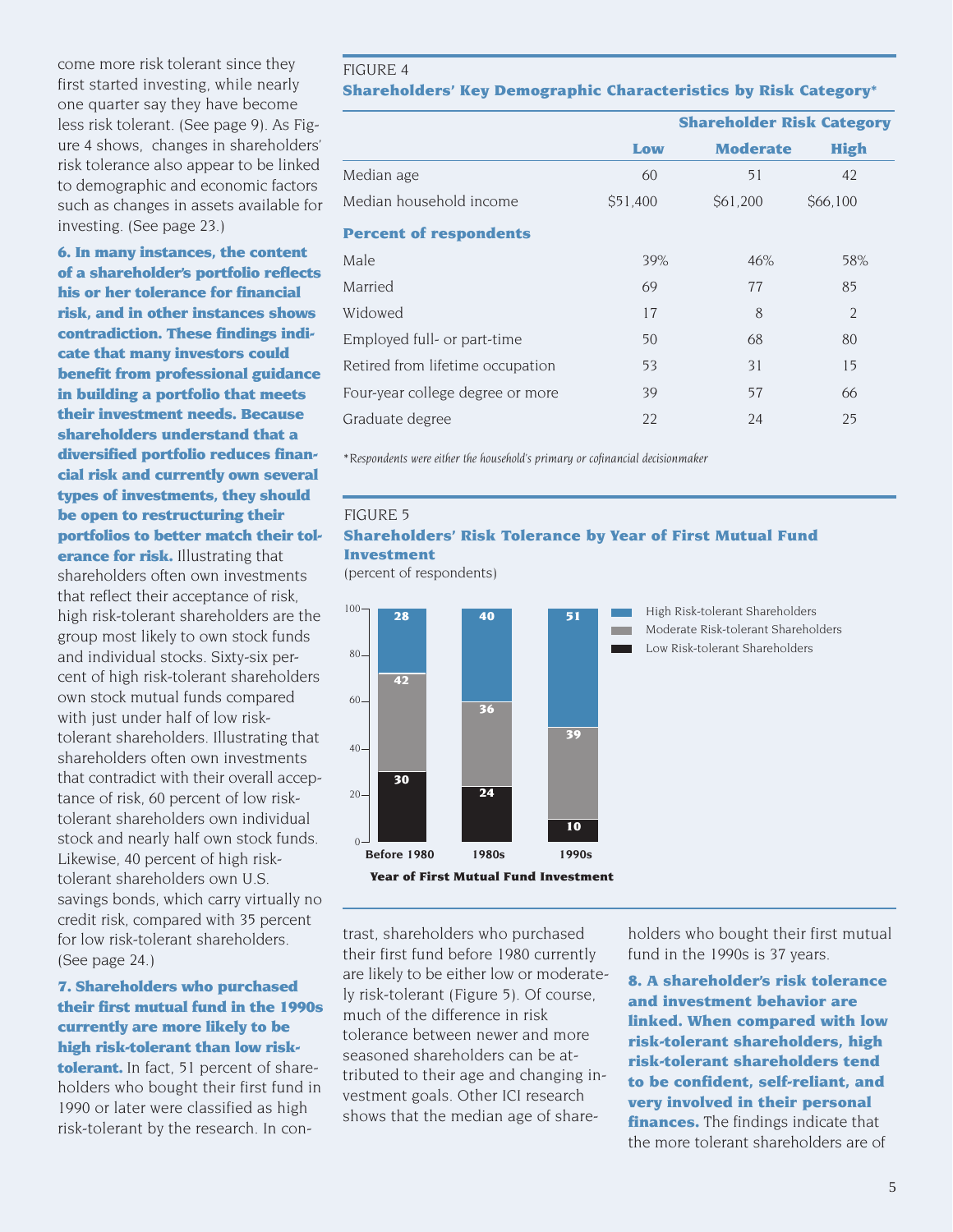come more risk tolerant since they first started investing, while nearly one quarter say they have become less risk tolerant. (See page 9). As Figure 4 shows, changes in shareholders' risk tolerance also appear to be linked to demographic and economic factors such as changes in assets available for investing. (See page 23.)

**6. In many instances, the content of a shareholder's portfolio reflects his or her tolerance for financial risk, and in other instances shows contradiction. These findings indicate that many investors could benefit from professional guidance in building a portfolio that meets their investment needs. Because shareholders understand that a diversified portfolio reduces financial risk and currently own several types of investments, they should be open to restructuring their portfolios to better match their tolerance for risk.** Illustrating that

shareholders often own investments that reflect their acceptance of risk, high risk-tolerant shareholders are the group most likely to own stock funds and individual stocks. Sixty-six percent of high risk-tolerant shareholders own stock mutual funds compared with just under half of low risktolerant shareholders. Illustrating that shareholders often own investments that contradict with their overall acceptance of risk, 60 percent of low risktolerant shareholders own individual stock and nearly half own stock funds. Likewise, 40 percent of high risktolerant shareholders own U.S. savings bonds, which carry virtually no credit risk, compared with 35 percent for low risk-tolerant shareholders. (See page 24.)

# **7. Shareholders who purchased their first mutual fund in the 1990s currently are more likely to be high risk-tolerant than low risktolerant.** In fact, 51 percent of shareholders who bought their first fund in 1990 or later were classified as high risk-tolerant by the research. In con-

#### FIGURE 4 **Shareholders' Key Demographic Characteristics by Risk Category\***

|                                  |          | <b>Shareholder Risk Category</b> |                |
|----------------------------------|----------|----------------------------------|----------------|
|                                  | Low      | <b>Moderate</b>                  | <b>High</b>    |
| Median age                       | 60       | 51                               | 42             |
| Median household income          | \$51,400 | \$61,200                         | \$66,100       |
| <b>Percent of respondents</b>    |          |                                  |                |
| Male                             | 39%      | 46%                              | 58%            |
| Married                          | 69       | 77                               | 85             |
| Widowed                          | 17       | 8                                | $\overline{2}$ |
| Employed full- or part-time      | 50       | 68                               | 80             |
| Retired from lifetime occupation | 53       | 31                               | 15             |
| Four-year college degree or more | 39       | 57                               | 66             |
| Graduate degree                  | 22       | 24                               | 25             |

*\*Respondents were either the household's primary or cofinancial decisionmaker*

### FIGURE 5 **Shareholders' Risk Tolerance by Year of First Mutual Fund Investment**

(percent of respondents)



High Risk-tolerant Shareholders Moderate Risk-tolerant Shareholders

Low Risk-tolerant Shareholders

trast, shareholders who purchased their first fund before 1980 currently are likely to be either low or moderately risk-tolerant (Figure 5). Of course, much of the difference in risk tolerance between newer and more seasoned shareholders can be attributed to their age and changing investment goals. Other ICI research shows that the median age of shareholders who bought their first mutual fund in the 1990s is 37 years.

**8. A shareholder's risk tolerance and investment behavior are linked. When compared with low risk-tolerant shareholders, high risk-tolerant shareholders tend to be confident, self-reliant, and very involved in their personal finances.** The findings indicate that the more tolerant shareholders are of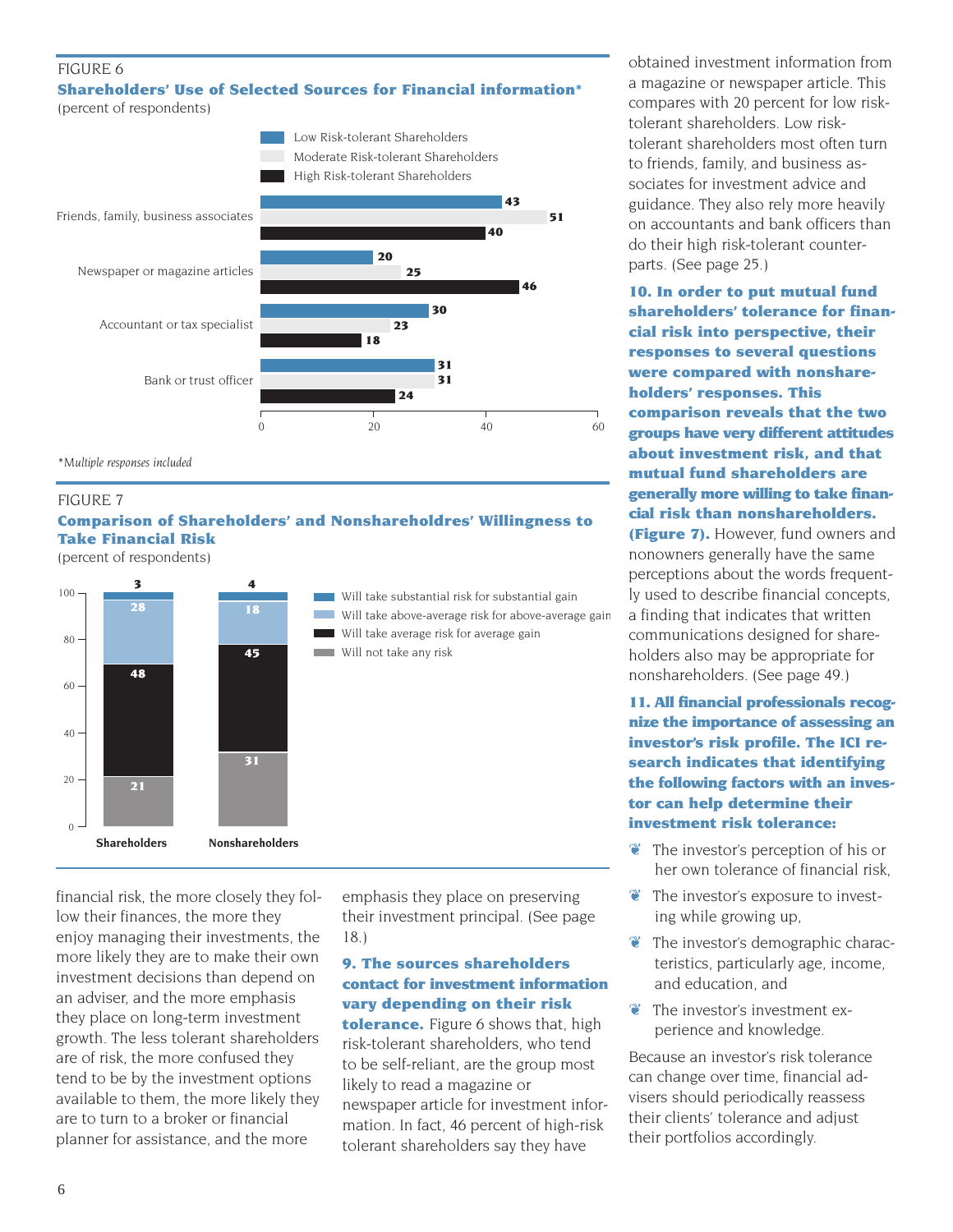# FIGURE 6

#### **Shareholders' Use of Selected Sources for Financial information\*** (percent of respondents)



*\*Multiple responses included*

#### FIGURE 7

# **Comparison of Shareholders' and Nonshareholdres' Willingness to Take Financial Risk**

(percent of respondents)



financial risk, the more closely they follow their finances, the more they enjoy managing their investments, the more likely they are to make their own investment decisions than depend on an adviser, and the more emphasis they place on long-term investment growth. The less tolerant shareholders are of risk, the more confused they tend to be by the investment options available to them, the more likely they are to turn to a broker or financial planner for assistance, and the more

emphasis they place on preserving their investment principal. (See page 18.)

### **9. The sources shareholders contact for investment information vary depending on their risk**

**tolerance.** Figure 6 shows that, high risk-tolerant shareholders, who tend to be self-reliant, are the group most likely to read a magazine or newspaper article for investment information. In fact, 46 percent of high-risk tolerant shareholders say they have

obtained investment information from a magazine or newspaper article. This compares with 20 percent for low risktolerant shareholders. Low risktolerant shareholders most often turn to friends, family, and business associates for investment advice and guidance. They also rely more heavily on accountants and bank officers than do their high risk-tolerant counterparts. (See page 25.)

**10. In order to put mutual fund shareholders' tolerance for financial risk into perspective, their responses to several questions were compared with nonshareholders' responses. This comparison reveals that the two groups have very different attitudes about investment risk, and that mutual fund shareholders are generally more willing to take financial risk than nonshareholders. (Figure 7).** However, fund owners and nonowners generally have the same perceptions about the words frequently used to describe financial concepts, a finding that indicates that written communications designed for share-

nonshareholders. (See page 49.) **11. All financial professionals recognize the importance of assessing an investor's risk profile. The ICI research indicates that identifying the following factors with an investor can help determine their investment risk tolerance:**

holders also may be appropriate for

- ❦ The investor's perception of his or her own tolerance of financial risk,
- ❦ The investor's exposure to investing while growing up,
- ❦ The investor's demographic characteristics, particularly age, income, and education, and
- ❦ The investor's investment experience and knowledge.

Because an investor's risk tolerance can change over time, financial advisers should periodically reassess their clients' tolerance and adjust their portfolios accordingly.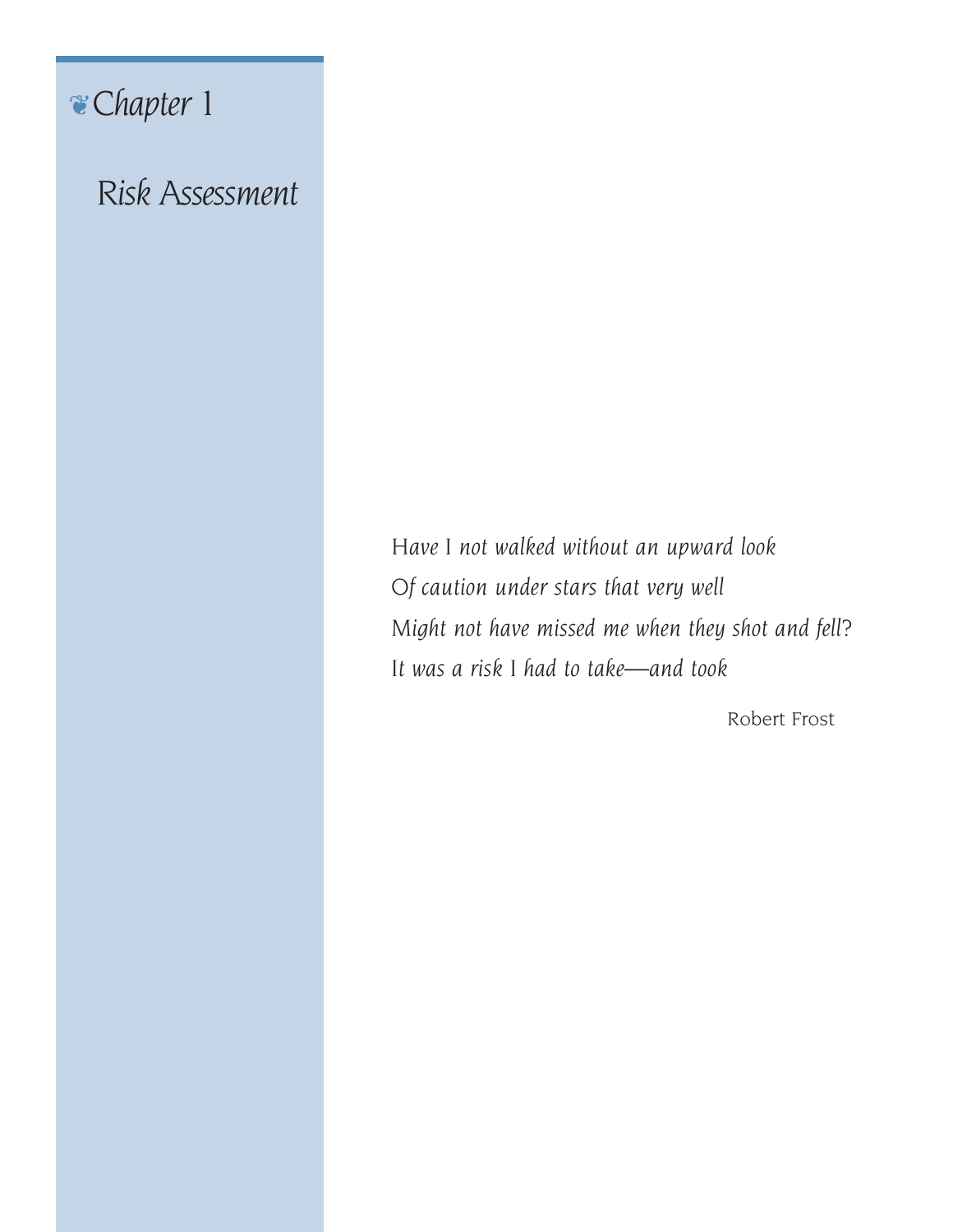# ❦*Chapter 1*

*Risk Assessment*

*Have I not walked without an upward look Of caution under stars that very well Might not have missed me when they shot and fell? It was a risk I had to take—and took*

Robert Frost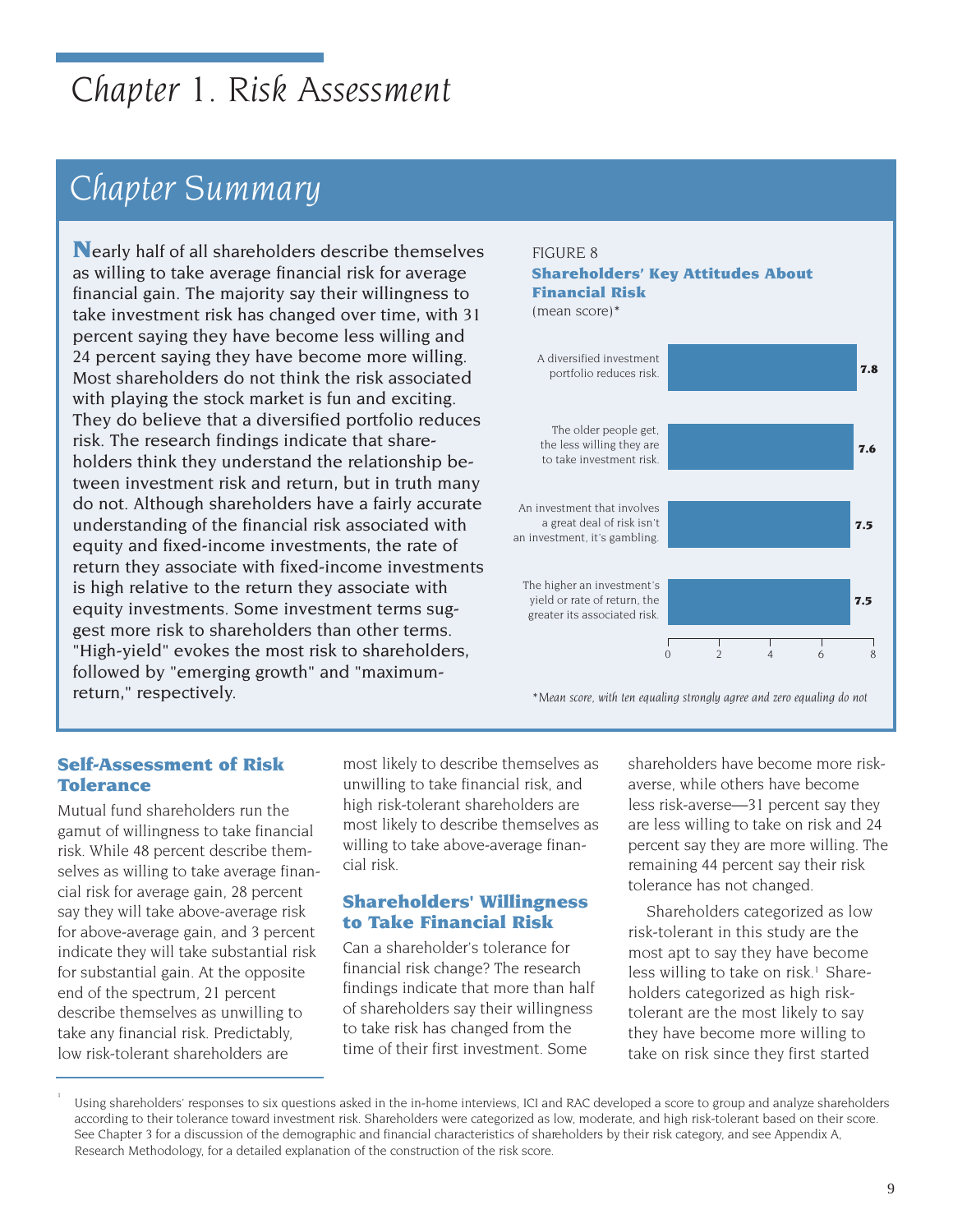# *Chapter 1. Risk Assessment*

# *Chapter Summary*

**N**early half of all shareholders describe themselves as willing to take average financial risk for average financial gain. The majority say their willingness to take investment risk has changed over time, with 31 percent saying they have become less willing and 24 percent saying they have become more willing. Most shareholders do not think the risk associated with playing the stock market is fun and exciting. They do believe that a diversified portfolio reduces risk. The research findings indicate that shareholders think they understand the relationship between investment risk and return, but in truth many do not. Although shareholders have a fairly accurate understanding of the financial risk associated with equity and fixed-income investments, the rate of return they associate with fixed-income investments is high relative to the return they associate with equity investments. Some investment terms suggest more risk to shareholders than other terms. "High-yield" evokes the most risk to shareholders, followed by "emerging growth" and "maximumreturn," respectively.

# FIGURE 8

#### **Shareholders' Key Attitudes About Financial Risk** (mean score)\*



*\*Mean score, with ten equaling strongly agree and zero equaling do not*

# **Self-Assessment of Risk Tolerance**

Mutual fund shareholders run the gamut of willingness to take financial risk. While 48 percent describe themselves as willing to take average financial risk for average gain, 28 percent say they will take above-average risk for above-average gain, and 3 percent indicate they will take substantial risk for substantial gain. At the opposite end of the spectrum, 21 percent describe themselves as unwilling to take any financial risk. Predictably, low risk-tolerant shareholders are

1

most likely to describe themselves as unwilling to take financial risk, and high risk-tolerant shareholders are most likely to describe themselves as willing to take above-average financial risk.

# **Shareholders' Willingness to Take Financial Risk**

Can a shareholder's tolerance for financial risk change? The research findings indicate that more than half of shareholders say their willingness to take risk has changed from the time of their first investment. Some

shareholders have become more riskaverse, while others have become less risk-averse—31 percent say they are less willing to take on risk and 24 percent say they are more willing. The remaining 44 percent say their risk tolerance has not changed.

Shareholders categorized as low risk-tolerant in this study are the most apt to say they have become less willing to take on risk.<sup>1</sup> Shareholders categorized as high risktolerant are the most likely to say they have become more willing to take on risk since they first started

Using shareholders' responses to six questions asked in the in-home interviews, ICI and RAC developed a score to group and analyze shareholders according to their tolerance toward investment risk. Shareholders were categorized as low, moderate, and high risk-tolerant based on their score. See Chapter 3 for a discussion of the demographic and financial characteristics of shareholders by their risk category, and see Appendix A, Research Methodology, for a detailed explanation of the construction of the risk score.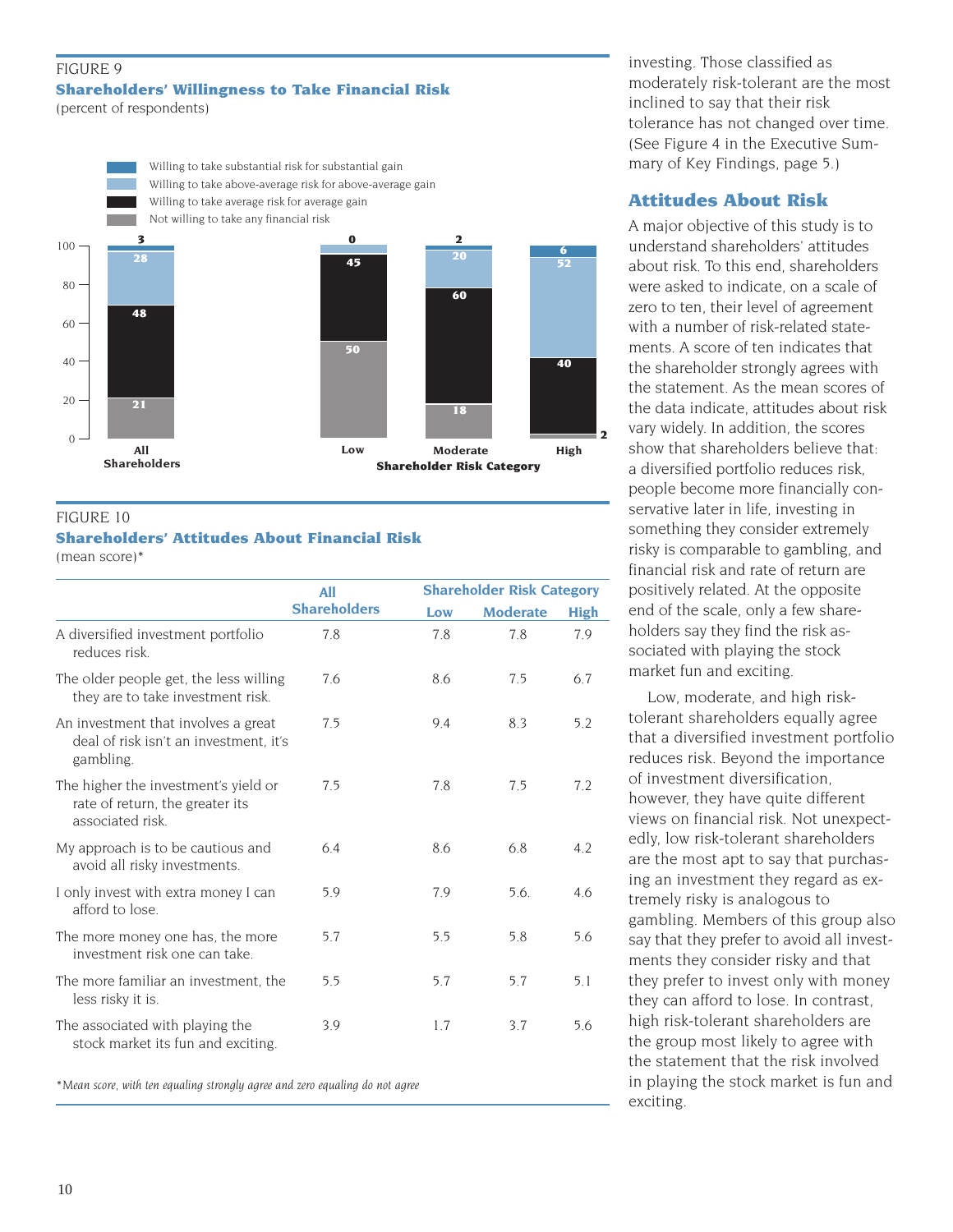#### FIGURE 9 **Shareholders' Willingness to Take Financial Risk** (percent of respondents)



### FIGURE 10

# **Shareholders' Attitudes About Financial Risk**

(mean score)\*

|                                                                                             | <b>Shareholder Risk Category</b><br>A11 |     |                 |             |
|---------------------------------------------------------------------------------------------|-----------------------------------------|-----|-----------------|-------------|
|                                                                                             | <b>Shareholders</b>                     | Low | <b>Moderate</b> | <b>High</b> |
| A diversified investment portfolio<br>reduces risk                                          | 7.8                                     | 7.8 | 7.8             | 7.9         |
| The older people get, the less willing<br>they are to take investment risk.                 | 7.6                                     | 8.6 | 7.5             | 6.7         |
| An investment that involves a great<br>deal of risk isn't an investment, it's<br>gambling.  | 7.5                                     | 9.4 | 8.3             | 5.2         |
| The higher the investment's yield or<br>rate of return, the greater its<br>associated risk. | 7.5                                     | 7.8 | 7.5             | 7.2         |
| My approach is to be cautious and<br>avoid all risky investments.                           | 6.4                                     | 8.6 | 6.8             | 4.2         |
| I only invest with extra money I can<br>afford to lose.                                     | 5.9                                     | 7.9 | 5.6.            | 4.6         |
| The more money one has, the more<br>investment risk one can take.                           | 5.7                                     | 5.5 | 5.8             | 5.6         |
| The more familiar an investment, the<br>less risky it is.                                   | 5.5                                     | 5.7 | 5.7             | 5.1         |
| The associated with playing the<br>stock market its fun and exciting.                       | 3.9                                     | 1.7 | 3.7             | 5.6         |

*\*Mean score, with ten equaling strongly agree and zero equaling do not agree*

investing. Those classified as moderately risk-tolerant are the most inclined to say that their risk tolerance has not changed over time. (See Figure 4 in the Executive Summary of Key Findings, page 5.)

# **Attitudes About Risk**

A major objective of this study is to understand shareholders' attitudes about risk. To this end, shareholders were asked to indicate, on a scale of zero to ten, their level of agreement with a number of risk-related statements. A score of ten indicates that the shareholder strongly agrees with the statement. As the mean scores of the data indicate, attitudes about risk vary widely. In addition, the scores show that shareholders believe that: a diversified portfolio reduces risk, people become more financially conservative later in life, investing in something they consider extremely risky is comparable to gambling, and financial risk and rate of return are positively related. At the opposite end of the scale, only a few shareholders say they find the risk associated with playing the stock market fun and exciting.

Low, moderate, and high risktolerant shareholders equally agree that a diversified investment portfolio reduces risk. Beyond the importance of investment diversification, however, they have quite different views on financial risk. Not unexpectedly, low risk-tolerant shareholders are the most apt to say that purchasing an investment they regard as extremely risky is analogous to gambling. Members of this group also say that they prefer to avoid all investments they consider risky and that they prefer to invest only with money they can afford to lose. In contrast, high risk-tolerant shareholders are the group most likely to agree with the statement that the risk involved in playing the stock market is fun and exciting.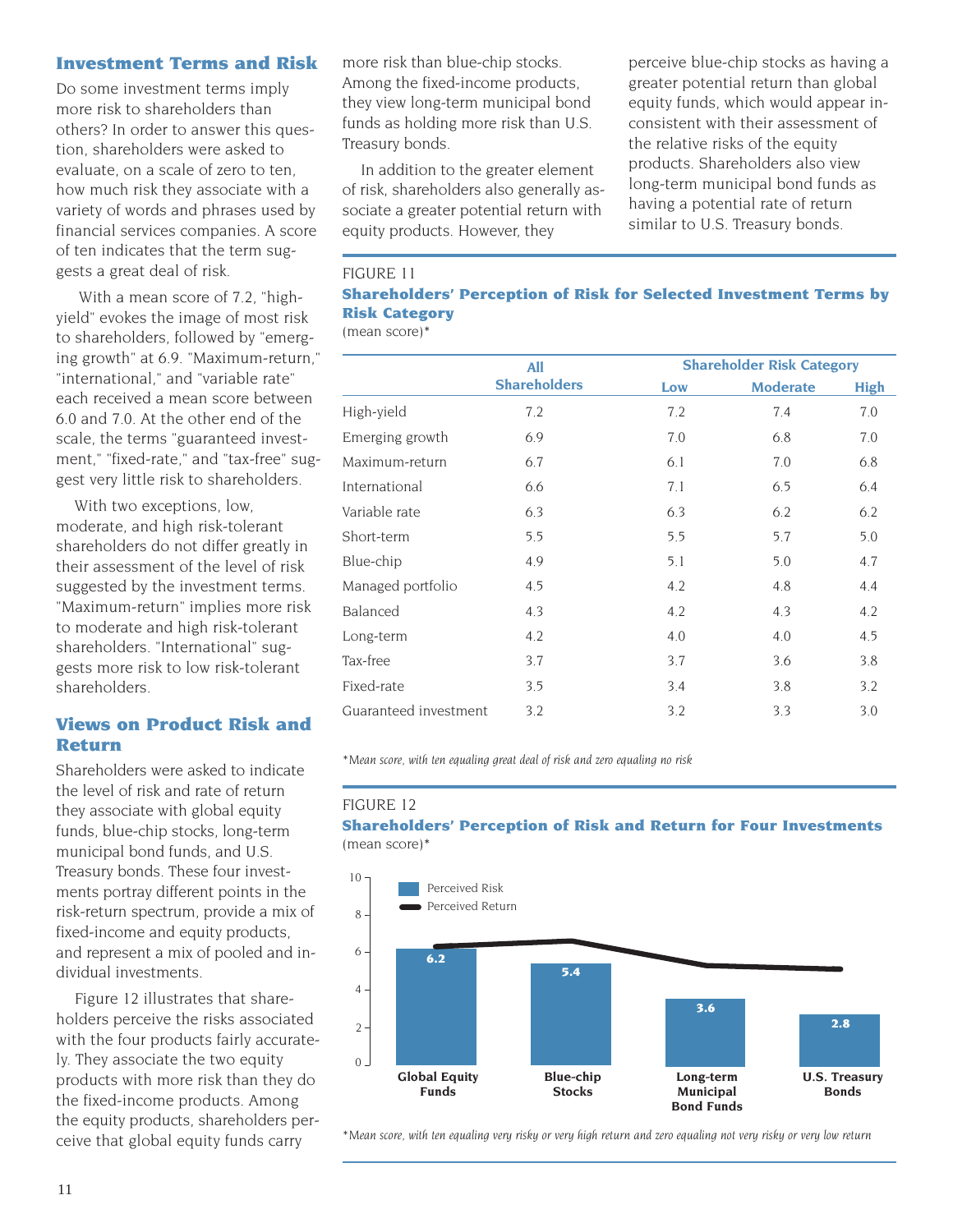### **Investment Terms and Risk**

Do some investment terms imply more risk to shareholders than others? In order to answer this question, shareholders were asked to evaluate, on a scale of zero to ten, how much risk they associate with a variety of words and phrases used by financial services companies. A score of ten indicates that the term suggests a great deal of risk.

With a mean score of 7.2, "highyield" evokes the image of most risk to shareholders, followed by "emerging growth" at 6.9. "Maximum-return," "international," and "variable rate" each received a mean score between 6.0 and 7.0. At the other end of the scale, the terms "guaranteed investment," "fixed-rate," and "tax-free" suggest very little risk to shareholders.

With two exceptions, low, moderate, and high risk-tolerant shareholders do not differ greatly in their assessment of the level of risk suggested by the investment terms. "Maximum-return" implies more risk to moderate and high risk-tolerant shareholders. "International" suggests more risk to low risk-tolerant shareholders.

# **Views on Product Risk and Return**

Shareholders were asked to indicate the level of risk and rate of return they associate with global equity funds, blue-chip stocks, long-term municipal bond funds, and U.S. Treasury bonds. These four investments portray different points in the risk-return spectrum, provide a mix of fixed-income and equity products, and represent a mix of pooled and individual investments.

Figure 12 illustrates that shareholders perceive the risks associated with the four products fairly accurately. They associate the two equity products with more risk than they do the fixed-income products. Among the equity products, shareholders perceive that global equity funds carry

more risk than blue-chip stocks. Among the fixed-income products, they view long-term municipal bond funds as holding more risk than U.S. Treasury bonds.

In addition to the greater element of risk, shareholders also generally associate a greater potential return with equity products. However, they

perceive blue-chip stocks as having a greater potential return than global equity funds, which would appear inconsistent with their assessment of the relative risks of the equity products. Shareholders also view long-term municipal bond funds as having a potential rate of return similar to U.S. Treasury bonds.

### FIGURE 11

# **Shareholders' Perception of Risk for Selected Investment Terms by Risk Category**

(mean score)\*

|                       | <b>All</b>          | <b>Shareholder Risk Category</b> |                 |             |
|-----------------------|---------------------|----------------------------------|-----------------|-------------|
|                       | <b>Shareholders</b> | Low                              | <b>Moderate</b> | <b>High</b> |
| High-yield            | 7.2                 | 7.2                              | 7.4             | 7.0         |
| Emerging growth       | 6.9                 | 7.0                              | 6.8             | 7.0         |
| Maximum-return        | 6.7                 | 6.1                              | 7.0             | 6.8         |
| International         | 6.6                 | 7.1                              | 6.5             | 6.4         |
| Variable rate         | 6.3                 | 6.3                              | 6.2             | 6.2         |
| Short-term            | 5.5                 | 5.5                              | 5.7             | 5.0         |
| Blue-chip             | 4.9                 | 5.1                              | 5.0             | 4.7         |
| Managed portfolio     | 4.5                 | 4.2                              | 4.8             | 4.4         |
| Balanced              | 4.3                 | 4.2                              | 4.3             | 4.2         |
| Long-term             | 4.2                 | 4.0                              | 4.0             | 4.5         |
| Tax-free              | 3.7                 | 3.7                              | 3.6             | 3.8         |
| Fixed-rate            | 3.5                 | 3.4                              | 3.8             | 3.2         |
| Guaranteed investment | 3.2                 | 3.2                              | 3.3             | 3.0         |

*\*Mean score, with ten equaling great deal of risk and zero equaling no risk*

#### FIGURE 12

**Shareholders' Perception of Risk and Return for Four Investments** (mean score)\*



*\*Mean score, with ten equaling very risky or very high return and zero equaling not very risky or very low return*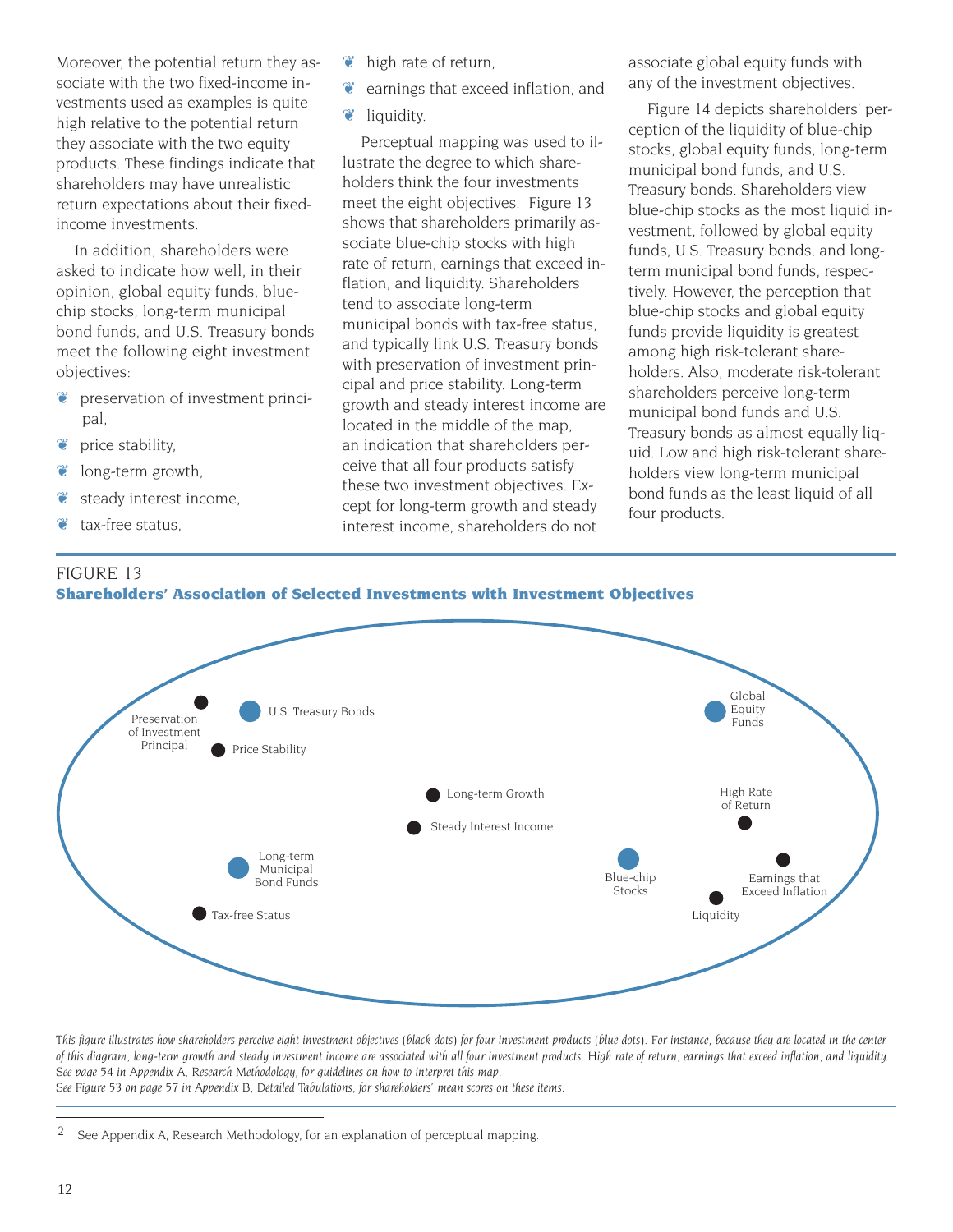Moreover, the potential return they associate with the two fixed-income investments used as examples is quite high relative to the potential return they associate with the two equity products. These findings indicate that shareholders may have unrealistic return expectations about their fixedincome investments.

In addition, shareholders were asked to indicate how well, in their opinion, global equity funds, bluechip stocks, long-term municipal bond funds, and U.S. Treasury bonds meet the following eight investment objectives:

- ❦ preservation of investment principal,
- ❦ price stability,
- $\bullet$  long-term growth,
- ❦ steady interest income,
- $\bullet$  tax-free status.
- $\bullet$  high rate of return,
- ❦ earnings that exceed inflation, and
- $\bullet$  liquidity.

Perceptual mapping was used to illustrate the degree to which shareholders think the four investments meet the eight objectives. Figure 13 shows that shareholders primarily associate blue-chip stocks with high rate of return, earnings that exceed inflation, and liquidity. Shareholders tend to associate long-term municipal bonds with tax-free status, and typically link U.S. Treasury bonds with preservation of investment principal and price stability. Long-term growth and steady interest income are located in the middle of the map, an indication that shareholders perceive that all four products satisfy these two investment objectives. Except for long-term growth and steady interest income, shareholders do not

associate global equity funds with any of the investment objectives.

Figure 14 depicts shareholders' perception of the liquidity of blue-chip stocks, global equity funds, long-term municipal bond funds, and U.S. Treasury bonds. Shareholders view blue-chip stocks as the most liquid investment, followed by global equity funds, U.S. Treasury bonds, and longterm municipal bond funds, respectively. However, the perception that blue-chip stocks and global equity funds provide liquidity is greatest among high risk-tolerant shareholders. Also, moderate risk-tolerant shareholders perceive long-term municipal bond funds and U.S. Treasury bonds as almost equally liquid. Low and high risk-tolerant shareholders view long-term municipal bond funds as the least liquid of all four products.





*This figure illustrates how shareholders perceive eight investment objectives (black dots) for four investment products (blue dots). For instance, because they are located in the center of this diagram, long-term growth and steady investment income are associated with all four investment products. High rate of return, earnings that exceed inflation, and liquidity. See page 54 in Appendix A, Research Methodology, for guidelines on how to interpret this map. See Figure 53 on page 57 in Appendix B, Detailed Tabulations, for shareholders' mean scores on these items.*

 $2^{\circ}$  See Appendix A, Research Methodology, for an explanation of perceptual mapping.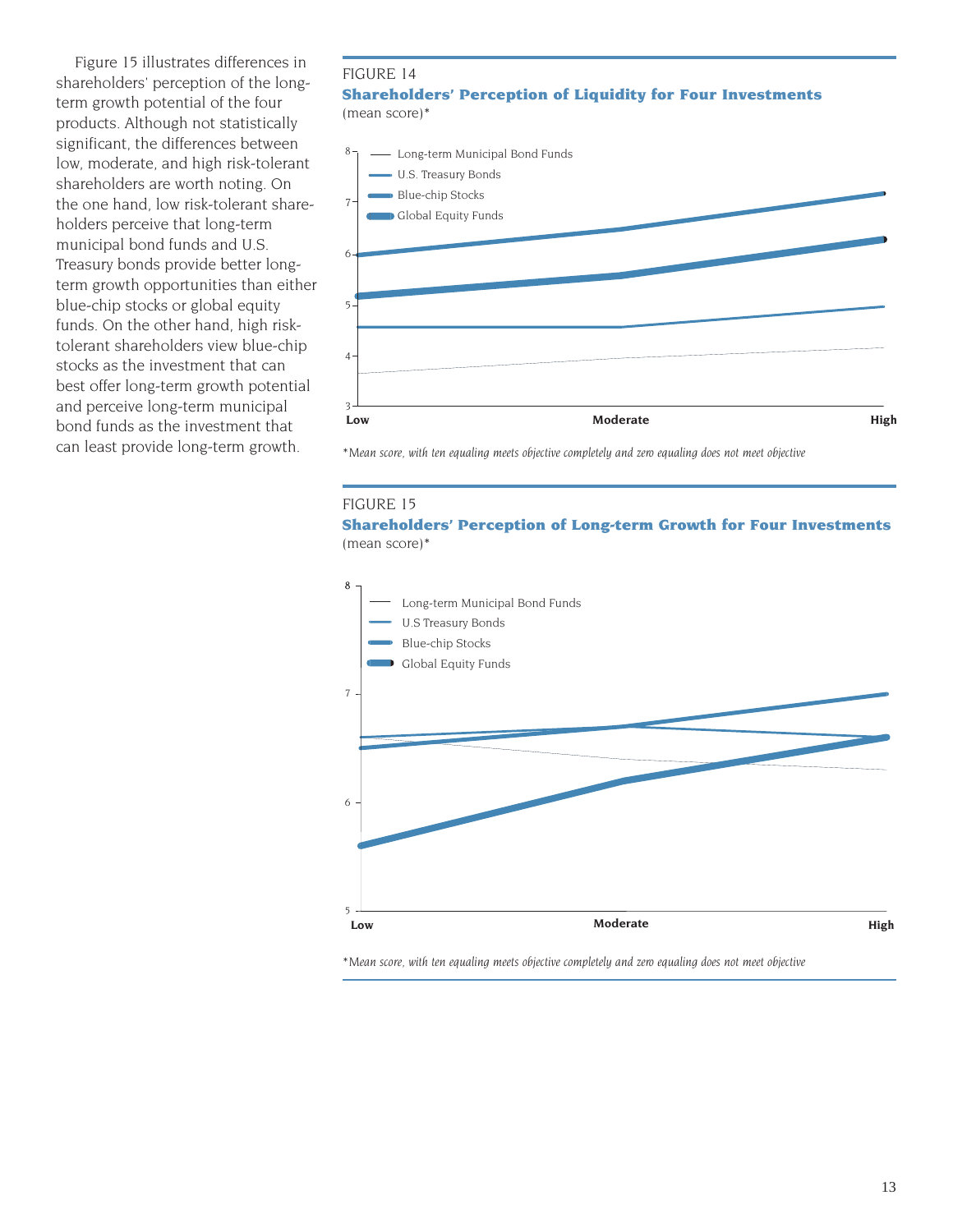Figure 15 illustrates differences in shareholders' perception of the longterm growth potential of the four products. Although not statistically significant, the differences between low, moderate, and high risk-tolerant shareholders are worth noting. On the one hand, low risk-tolerant shareholders perceive that long-term municipal bond funds and U.S. Treasury bonds provide better longterm growth opportunities than either blue-chip stocks or global equity funds. On the other hand, high risktolerant shareholders view blue-chip stocks as the investment that can best offer long-term growth potential and perceive long-term municipal bond funds as the investment that can least provide long-term growth.

#### FIGURE 14

#### **Shareholders' Perception of Liquidity for Four Investments** (mean score)\*



*\*Mean score, with ten equaling meets objective completely and zero equaling does not meet objective*

#### FIGURE 15

**Shareholders' Perception of Long-term Growth for Four Investments** (mean score)\*



*\*Mean score, with ten equaling meets objective completely and zero equaling does not meet objective*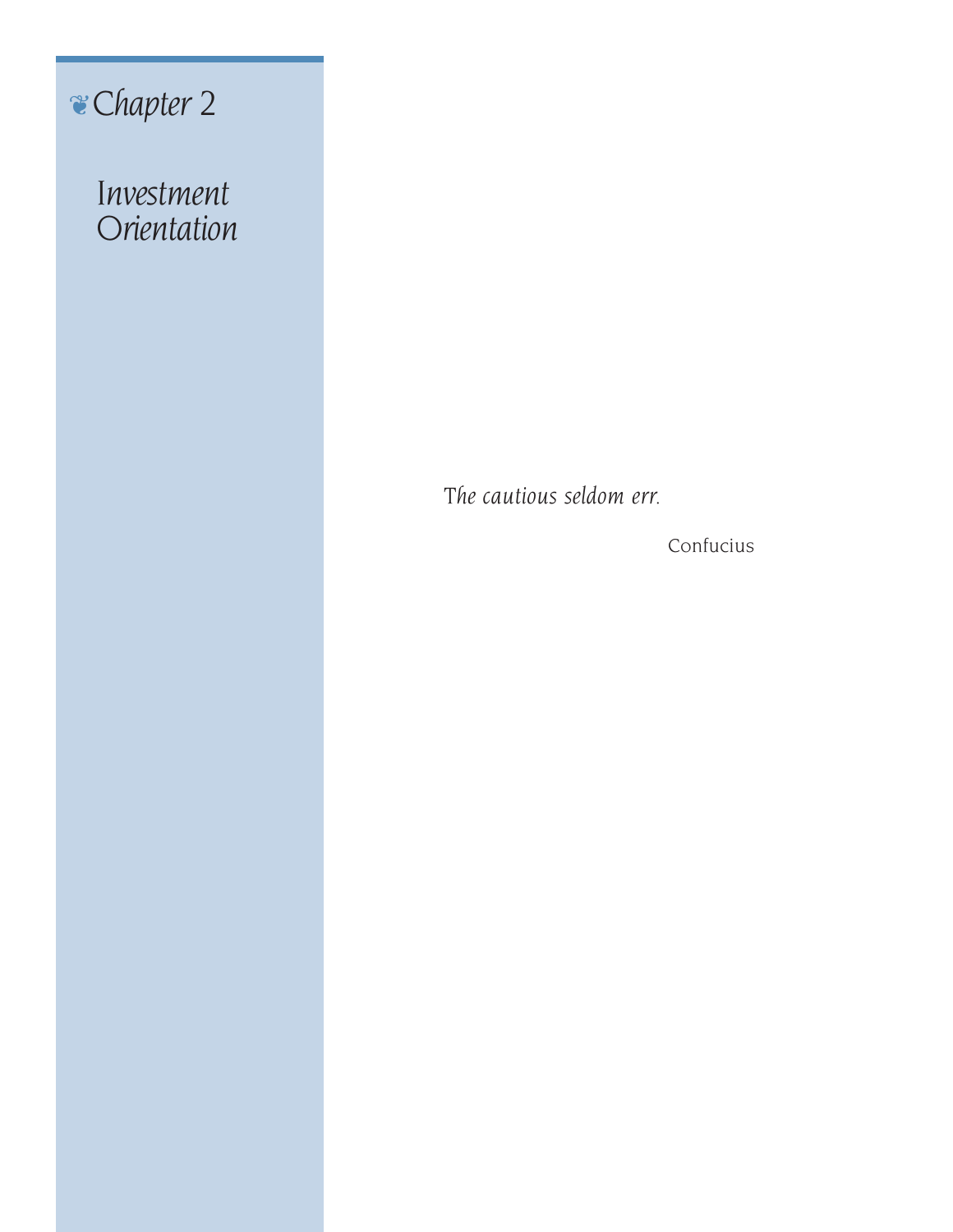# ❦*Chapter 2*

*Investment Orientation*

*The cautious seldom err.*

Confucius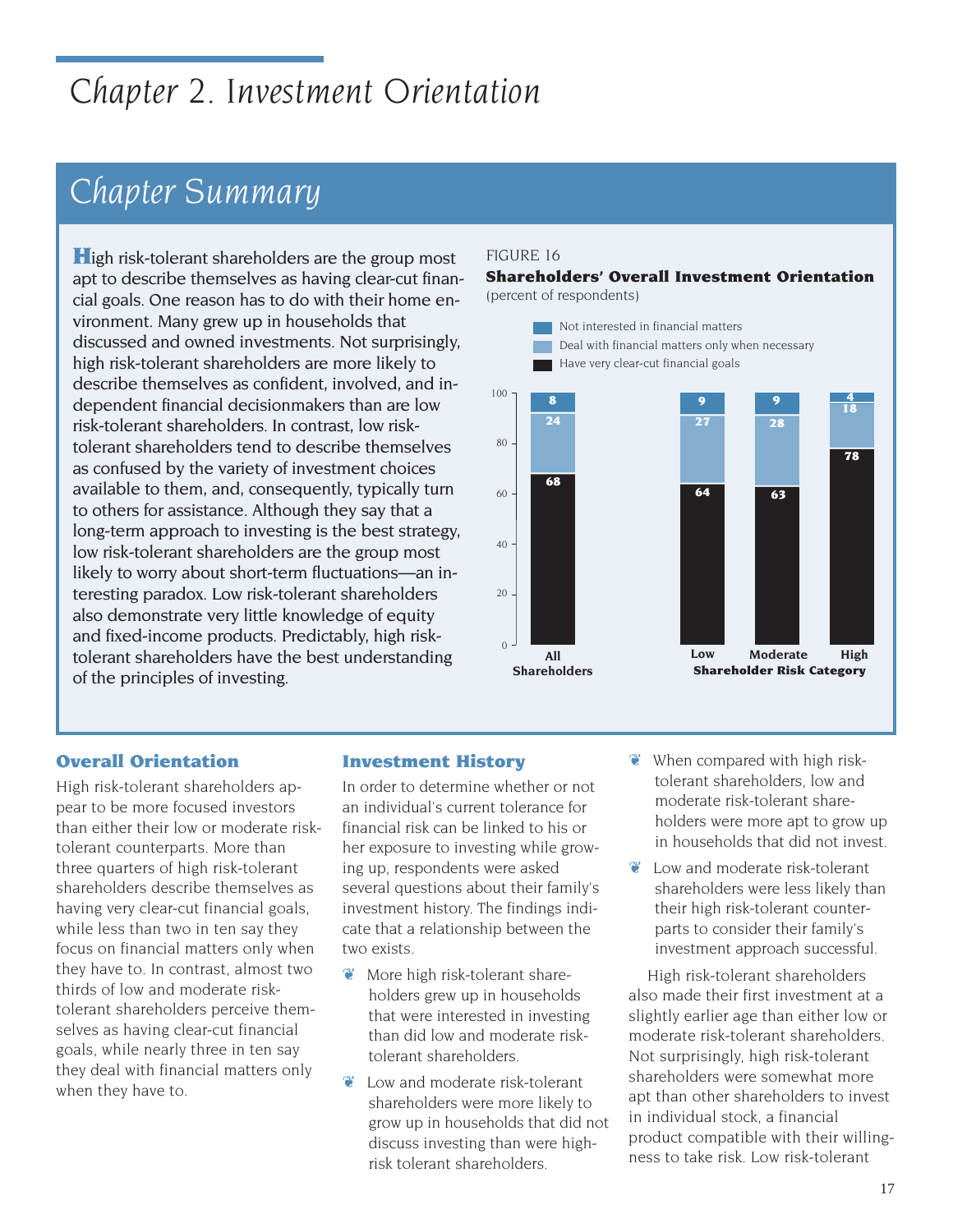# *Chapter 2. Investment Orientation*

# *Chapter Summary*

**H**igh risk-tolerant shareholders are the group most apt to describe themselves as having clear-cut financial goals. One reason has to do with their home environment. Many grew up in households that discussed and owned investments. Not surprisingly, high risk-tolerant shareholders are more likely to describe themselves as confident, involved, and independent financial decisionmakers than are low risk-tolerant shareholders. In contrast, low risktolerant shareholders tend to describe themselves as confused by the variety of investment choices available to them, and, consequently, typically turn to others for assistance. Although they say that a long-term approach to investing is the best strategy, low risk-tolerant shareholders are the group most likely to worry about short-term fluctuations—an interesting paradox. Low risk-tolerant shareholders also demonstrate very little knowledge of equity and fixed-income products. Predictably, high risktolerant shareholders have the best understanding of the principles of investing.

# FIGURE 16

#### **Shareholders' Overall Investment Orientation** (percent of respondents)



# **Overall Orientation**

High risk-tolerant shareholders appear to be more focused investors than either their low or moderate risktolerant counterparts. More than three quarters of high risk-tolerant shareholders describe themselves as having very clear-cut financial goals, while less than two in ten say they focus on financial matters only when they have to. In contrast, almost two thirds of low and moderate risktolerant shareholders perceive themselves as having clear-cut financial goals, while nearly three in ten say they deal with financial matters only when they have to.

# **Investment History**

In order to determine whether or not an individual's current tolerance for financial risk can be linked to his or her exposure to investing while growing up, respondents were asked several questions about their family's investment history. The findings indicate that a relationship between the two exists.

- ❦ More high risk-tolerant shareholders grew up in households that were interested in investing than did low and moderate risktolerant shareholders.
- ❦ Low and moderate risk-tolerant shareholders were more likely to grow up in households that did not discuss investing than were highrisk tolerant shareholders.
- ❦ When compared with high risktolerant shareholders, low and moderate risk-tolerant shareholders were more apt to grow up in households that did not invest.
- ❦ Low and moderate risk-tolerant shareholders were less likely than their high risk-tolerant counterparts to consider their family's investment approach successful.

High risk-tolerant shareholders also made their first investment at a slightly earlier age than either low or moderate risk-tolerant shareholders. Not surprisingly, high risk-tolerant shareholders were somewhat more apt than other shareholders to invest in individual stock, a financial product compatible with their willingness to take risk. Low risk-tolerant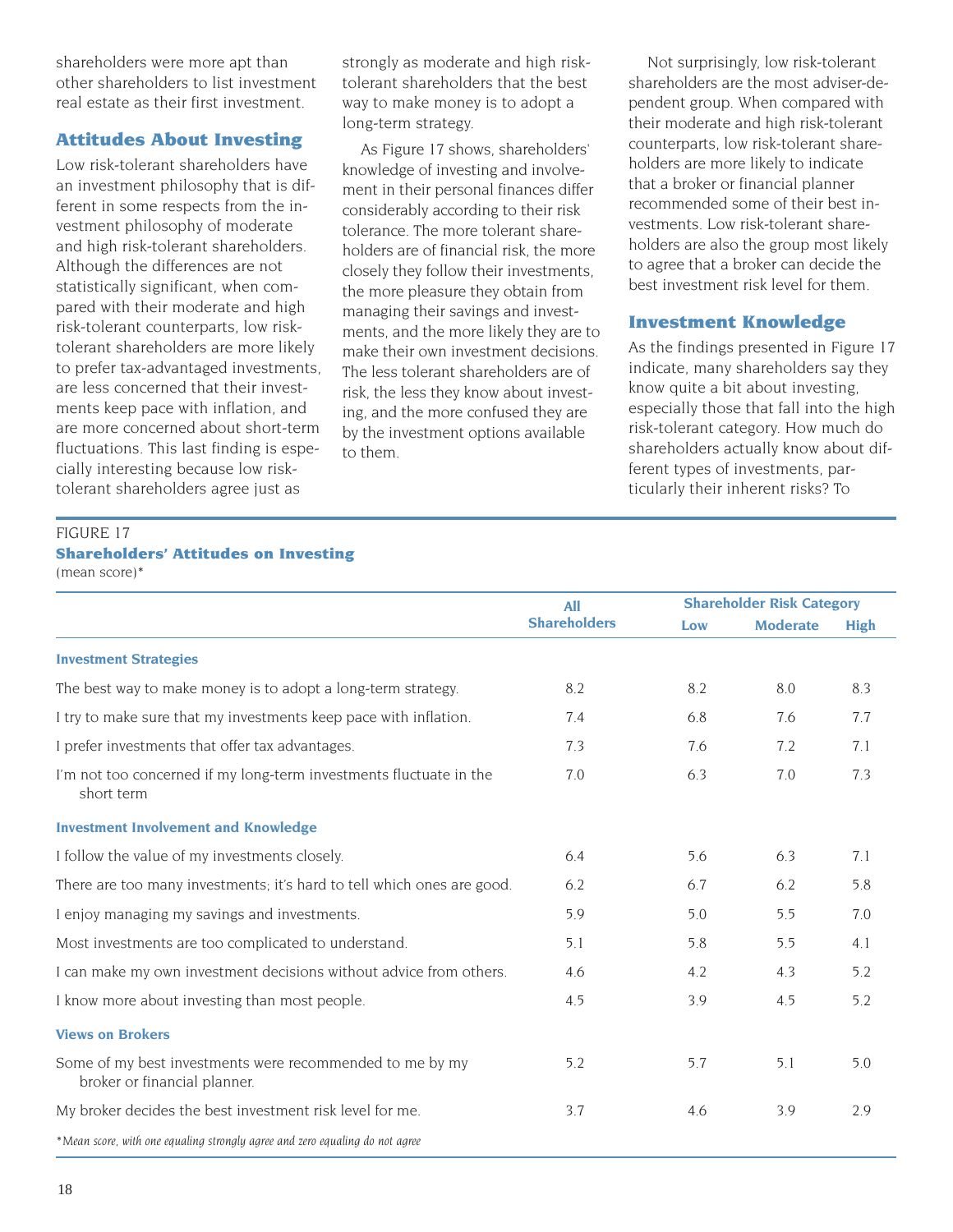shareholders were more apt than other shareholders to list investment real estate as their first investment.

## **Attitudes About Investing**

Low risk-tolerant shareholders have an investment philosophy that is different in some respects from the investment philosophy of moderate and high risk-tolerant shareholders. Although the differences are not statistically significant, when compared with their moderate and high risk-tolerant counterparts, low risktolerant shareholders are more likely to prefer tax-advantaged investments, are less concerned that their investments keep pace with inflation, and are more concerned about short-term fluctuations. This last finding is especially interesting because low risktolerant shareholders agree just as

strongly as moderate and high risktolerant shareholders that the best way to make money is to adopt a long-term strategy.

As Figure 17 shows, shareholders' knowledge of investing and involvement in their personal finances differ considerably according to their risk tolerance. The more tolerant shareholders are of financial risk, the more closely they follow their investments, the more pleasure they obtain from managing their savings and investments, and the more likely they are to make their own investment decisions. The less tolerant shareholders are of risk, the less they know about investing, and the more confused they are by the investment options available to them.

Not surprisingly, low risk-tolerant shareholders are the most adviser-dependent group. When compared with their moderate and high risk-tolerant counterparts, low risk-tolerant shareholders are more likely to indicate that a broker or financial planner recommended some of their best investments. Low risk-tolerant shareholders are also the group most likely to agree that a broker can decide the best investment risk level for them.

# **Investment Knowledge**

As the findings presented in Figure 17 indicate, many shareholders say they know quite a bit about investing, especially those that fall into the high risk-tolerant category. How much do shareholders actually know about different types of investments, particularly their inherent risks? To

# FIGURE 17 **Shareholders' Attitudes on Investing** (mean score)\*

|                                                                                          | <b>All</b>          |     | <b>Shareholder Risk Category</b> |             |  |
|------------------------------------------------------------------------------------------|---------------------|-----|----------------------------------|-------------|--|
|                                                                                          | <b>Shareholders</b> | Low | <b>Moderate</b>                  | <b>High</b> |  |
| <b>Investment Strategies</b>                                                             |                     |     |                                  |             |  |
| The best way to make money is to adopt a long-term strategy.                             | 8.2                 | 8.2 | 8.0                              | 8.3         |  |
| I try to make sure that my investments keep pace with inflation.                         | 7.4                 | 6.8 | 7.6                              | 7.7         |  |
| I prefer investments that offer tax advantages.                                          | 7.3                 | 7.6 | 7.2                              | 7.1         |  |
| I'm not too concerned if my long-term investments fluctuate in the<br>short term         | 7.0                 | 6.3 | 7.0                              | 7.3         |  |
| <b>Investment Involvement and Knowledge</b>                                              |                     |     |                                  |             |  |
| I follow the value of my investments closely.                                            | 6.4                 | 5.6 | 6.3                              | 7.1         |  |
| There are too many investments; it's hard to tell which ones are good.                   | 6.2                 | 6.7 | 6.2                              | 5.8         |  |
| I enjoy managing my savings and investments.                                             | 5.9                 | 5.0 | 5.5                              | 7.0         |  |
| Most investments are too complicated to understand.                                      | 5.1                 | 5.8 | 5.5                              | 4.1         |  |
| I can make my own investment decisions without advice from others.                       | 4.6                 | 4.2 | 4.3                              | 5.2         |  |
| I know more about investing than most people.                                            | 4.5                 | 3.9 | 4.5                              | 5.2         |  |
| <b>Views on Brokers</b>                                                                  |                     |     |                                  |             |  |
| Some of my best investments were recommended to me by my<br>broker or financial planner. | 5.2                 | 5.7 | 5.1                              | 5.0         |  |
| My broker decides the best investment risk level for me.                                 | 3.7                 | 4.6 | 3.9                              | 2.9         |  |
| *Mean score, with one equaling strongly agree and zero equaling do not agree             |                     |     |                                  |             |  |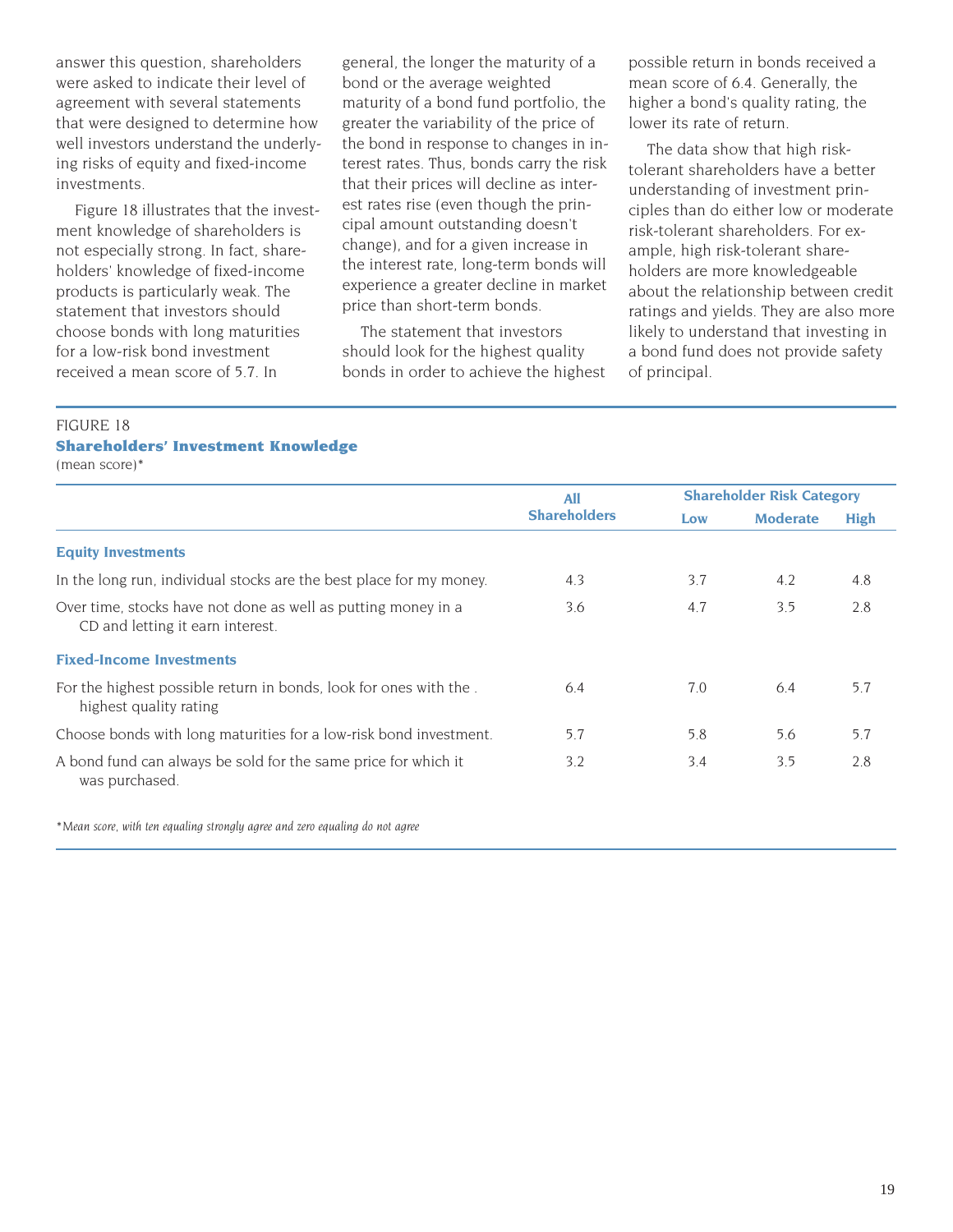answer this question, shareholders were asked to indicate their level of agreement with several statements that were designed to determine how well investors understand the underlying risks of equity and fixed-income investments.

Figure 18 illustrates that the investment knowledge of shareholders is not especially strong. In fact, shareholders' knowledge of fixed-income products is particularly weak. The statement that investors should choose bonds with long maturities for a low-risk bond investment received a mean score of 5.7. In

general, the longer the maturity of a bond or the average weighted maturity of a bond fund portfolio, the greater the variability of the price of the bond in response to changes in interest rates. Thus, bonds carry the risk that their prices will decline as interest rates rise (even though the principal amount outstanding doesn't change), and for a given increase in the interest rate, long-term bonds will experience a greater decline in market price than short-term bonds.

The statement that investors should look for the highest quality bonds in order to achieve the highest possible return in bonds received a mean score of 6.4. Generally, the higher a bond's quality rating, the lower its rate of return.

The data show that high risktolerant shareholders have a better understanding of investment principles than do either low or moderate risk-tolerant shareholders. For example, high risk-tolerant shareholders are more knowledgeable about the relationship between credit ratings and yields. They are also more likely to understand that investing in a bond fund does not provide safety of principal.

#### FIGURE 18 **Shareholders' Investment Knowledge** (mean score)\*

|                                                                                                   | <b>All</b>          | <b>Shareholder Risk Category</b> |                 |      |
|---------------------------------------------------------------------------------------------------|---------------------|----------------------------------|-----------------|------|
|                                                                                                   | <b>Shareholders</b> | Low                              | <b>Moderate</b> | High |
| <b>Equity Investments</b>                                                                         |                     |                                  |                 |      |
| In the long run, individual stocks are the best place for my money.                               | 4.3                 | 3.7                              | 4.2             | 4.8  |
| Over time, stocks have not done as well as putting money in a<br>CD and letting it earn interest. | 3.6                 | 4.7                              | 3.5             | 2.8  |
| <b>Fixed-Income Investments</b>                                                                   |                     |                                  |                 |      |
| For the highest possible return in bonds, look for ones with the.<br>highest quality rating       | 6.4                 | 7.0                              | 6.4             | 5.7  |
| Choose bonds with long maturities for a low-risk bond investment.                                 | 5.7                 | 5.8                              | 5.6             | 5.7  |
| A bond fund can always be sold for the same price for which it<br>was purchased.                  | 3.2                 | 3.4                              | 3.5             | 2.8  |

*\*Mean score, with ten equaling strongly agree and zero equaling do not agree*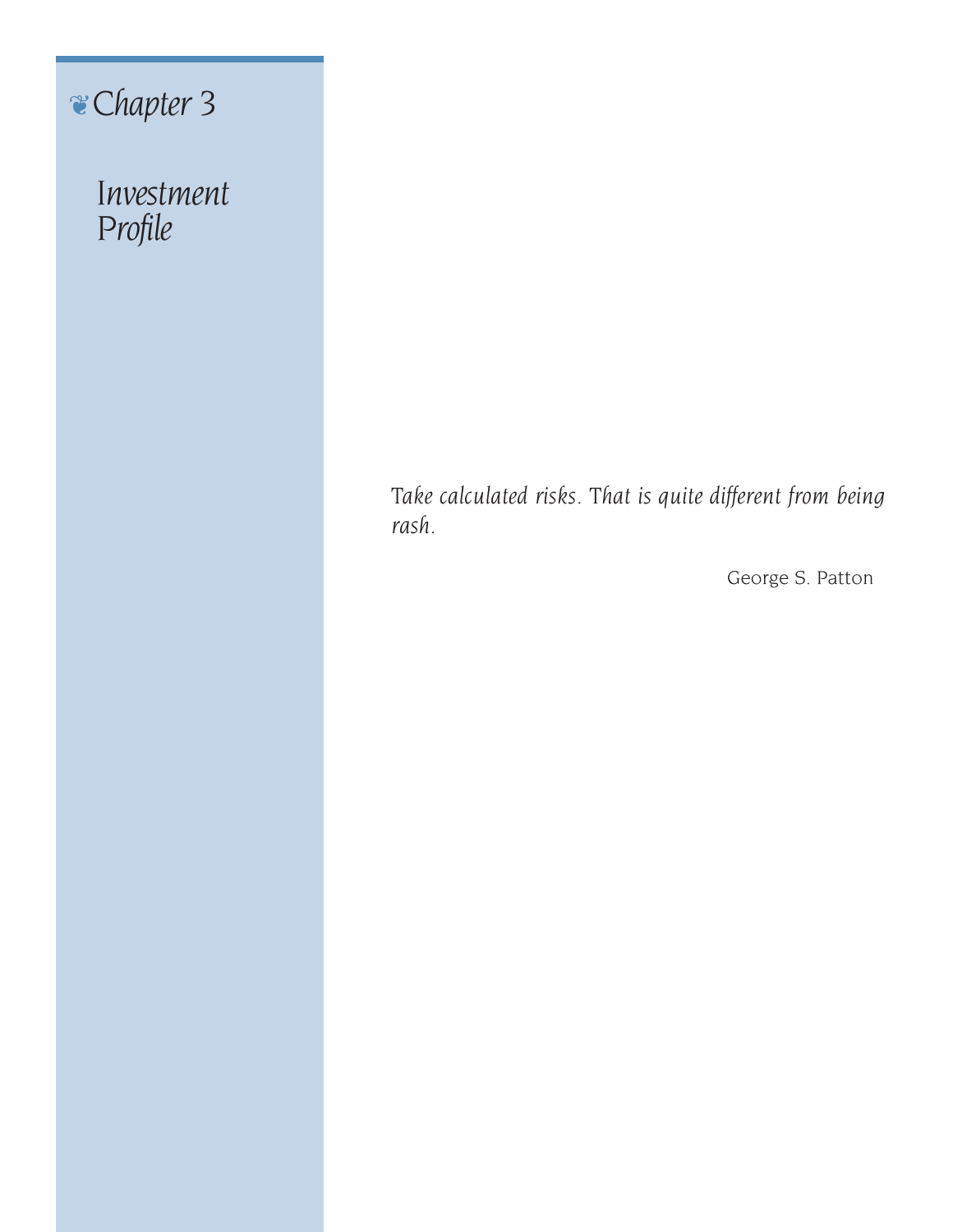❦*Chapter 3*

*Investment Profile*

> *Take calculated risks. That is quite different from being rash.*

> > George S. Patton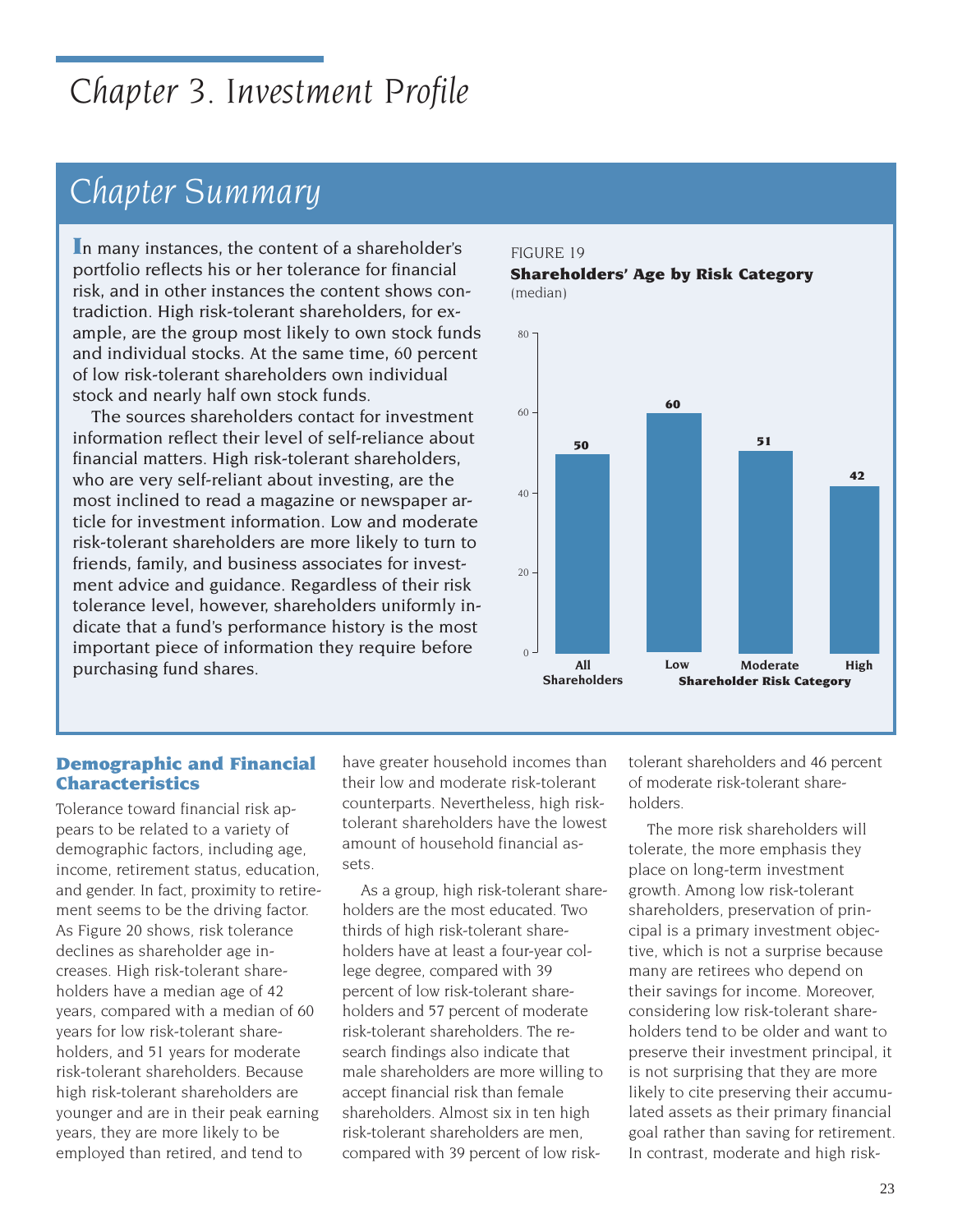# *Chapter 3. Investment Profile*

# *Chapter Summary*

**I**n many instances, the content of a shareholder's portfolio reflects his or her tolerance for financial risk, and in other instances the content shows contradiction. High risk-tolerant shareholders, for example, are the group most likely to own stock funds and individual stocks. At the same time, 60 percent of low risk-tolerant shareholders own individual stock and nearly half own stock funds.

The sources shareholders contact for investment information reflect their level of self-reliance about financial matters. High risk-tolerant shareholders, who are very self-reliant about investing, are the most inclined to read a magazine or newspaper article for investment information. Low and moderate risk-tolerant shareholders are more likely to turn to friends, family, and business associates for investment advice and guidance. Regardless of their risk tolerance level, however, shareholders uniformly indicate that a fund's performance history is the most important piece of information they require before purchasing fund shares.

### FIGURE 19 **Shareholders' Age by Risk Category** (median)



### **Demographic and Financial Characteristics**

Tolerance toward financial risk appears to be related to a variety of demographic factors, including age, income, retirement status, education, and gender. In fact, proximity to retirement seems to be the driving factor. As Figure 20 shows, risk tolerance declines as shareholder age increases. High risk-tolerant shareholders have a median age of 42 years, compared with a median of 60 years for low risk-tolerant shareholders, and 51 years for moderate risk-tolerant shareholders. Because high risk-tolerant shareholders are younger and are in their peak earning years, they are more likely to be employed than retired, and tend to

have greater household incomes than their low and moderate risk-tolerant counterparts. Nevertheless, high risktolerant shareholders have the lowest amount of household financial assets.

As a group, high risk-tolerant shareholders are the most educated. Two thirds of high risk-tolerant shareholders have at least a four-year college degree, compared with 39 percent of low risk-tolerant shareholders and 57 percent of moderate risk-tolerant shareholders. The research findings also indicate that male shareholders are more willing to accept financial risk than female shareholders. Almost six in ten high risk-tolerant shareholders are men, compared with 39 percent of low risktolerant shareholders and 46 percent of moderate risk-tolerant shareholders.

The more risk shareholders will tolerate, the more emphasis they place on long-term investment growth. Among low risk-tolerant shareholders, preservation of principal is a primary investment objective, which is not a surprise because many are retirees who depend on their savings for income. Moreover, considering low risk-tolerant shareholders tend to be older and want to preserve their investment principal, it is not surprising that they are more likely to cite preserving their accumulated assets as their primary financial goal rather than saving for retirement. In contrast, moderate and high risk-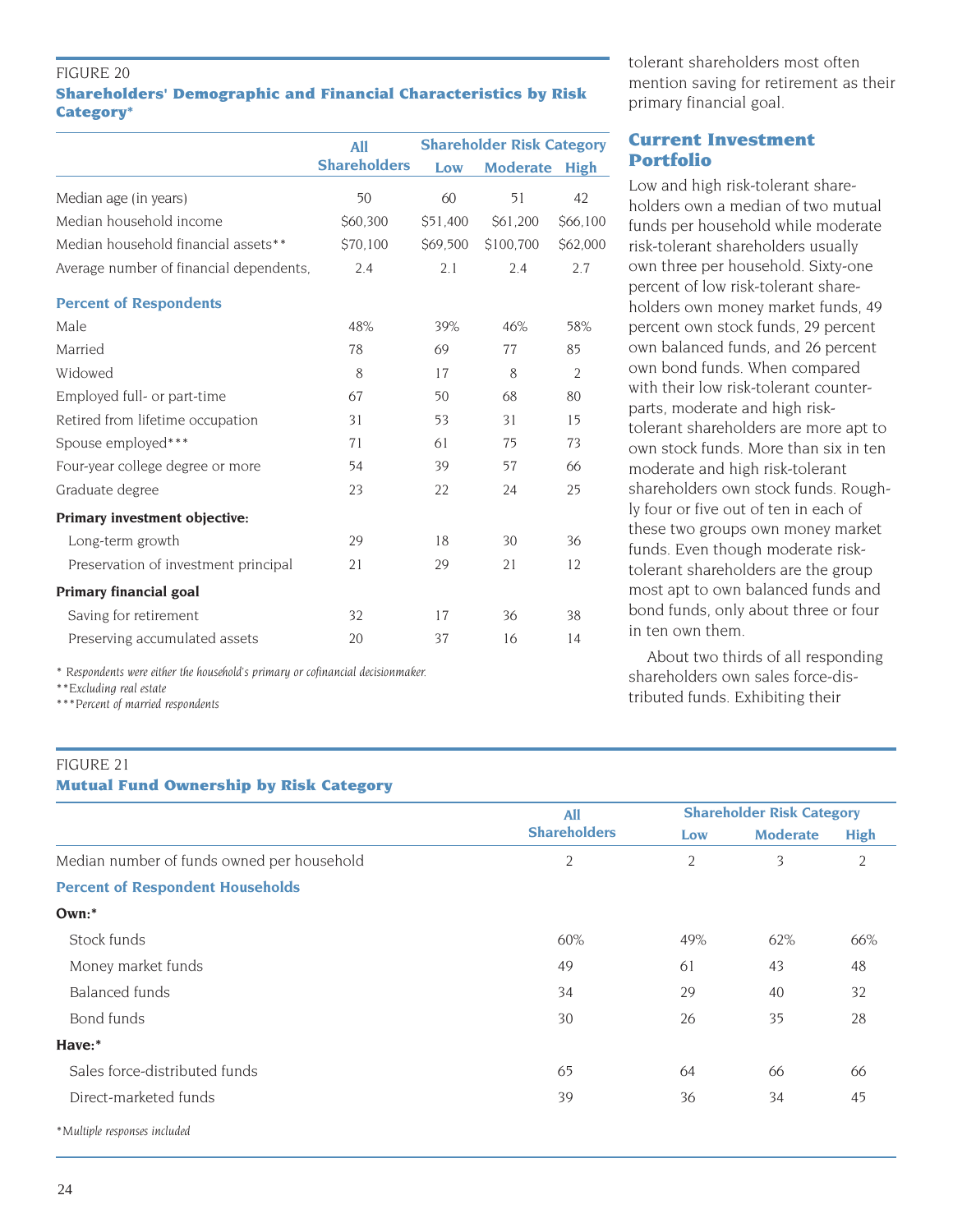#### FIGURE 20

### **Shareholders' Demographic and Financial Characteristics by Risk Category\***

|                                         | <b>Shareholder Risk Category</b><br>All |          |                 |                |  |
|-----------------------------------------|-----------------------------------------|----------|-----------------|----------------|--|
|                                         | <b>Shareholders</b>                     | Low      | <b>Moderate</b> | <b>High</b>    |  |
| Median age (in years)                   | 50                                      | 60       | 51              | 42             |  |
| Median household income                 | \$60,300                                | \$51,400 | \$61,200        | \$66,100       |  |
| Median household financial assets**     | \$70,100                                | \$69,500 | \$100,700       | \$62,000       |  |
| Average number of financial dependents, | 2.4                                     | 2.1      | 2.4             | 2.7            |  |
| <b>Percent of Respondents</b>           |                                         |          |                 |                |  |
| Male                                    | 48%                                     | 39%      | 46%             | 58%            |  |
| Married                                 | 78                                      | 69       | 77              | 85             |  |
| Widowed                                 | 8                                       | 17       | 8               | $\overline{2}$ |  |
| Employed full- or part-time             | 67                                      | 50       | 68              | 80             |  |
| Retired from lifetime occupation        | 31                                      | 53       | 31              | 15             |  |
| Spouse employed***                      | 71                                      | 61       | 75              | 73             |  |
| Four-year college degree or more        | 54                                      | 39       | 57              | 66             |  |
| Graduate degree                         | 23                                      | 22       | 24              | 25             |  |
| <b>Primary investment objective:</b>    |                                         |          |                 |                |  |
| Long-term growth                        | 29                                      | 18       | 30              | 36             |  |
| Preservation of investment principal    | 21                                      | 29       | 21              | 12             |  |
| <b>Primary financial goal</b>           |                                         |          |                 |                |  |
| Saving for retirement                   | 32                                      | 17       | 36              | 38             |  |
| Preserving accumulated assets           | 20                                      | 37       | 16              | 14             |  |
|                                         |                                         |          |                 |                |  |

*\* Respondents were either the household's primary or cofinancial decisionmaker.*

*\*\*Excluding real estate*

*\*\*\*Percent of married respondents*

#### FIGURE 21 **Mutual Fund Ownership by Risk Category**

|                                            | <b>All</b>          |                | <b>Shareholder Risk Category</b> |             |
|--------------------------------------------|---------------------|----------------|----------------------------------|-------------|
|                                            | <b>Shareholders</b> | Low            | <b>Moderate</b>                  | <b>High</b> |
| Median number of funds owned per household | $\overline{2}$      | $\overline{2}$ | 3                                | 2           |
| <b>Percent of Respondent Households</b>    |                     |                |                                  |             |
| Own:                                       |                     |                |                                  |             |
| Stock funds                                | 60%                 | 49%            | 62%                              | 66%         |
| Money market funds                         | 49                  | 61             | 43                               | 48          |
| Balanced funds                             | 34                  | 29             | 40                               | 32          |
| Bond funds                                 | 30                  | 26             | 35                               | 28          |
| Have:*                                     |                     |                |                                  |             |
| Sales force-distributed funds              | 65                  | 64             | 66                               | 66          |
| Direct-marketed funds                      | 39                  | 36             | 34                               | 45          |
| *Multiple responses included               |                     |                |                                  |             |

tolerant shareholders most often mention saving for retirement as their primary financial goal.

# **Current Investment Portfolio**

Low and high risk-tolerant shareholders own a median of two mutual funds per household while moderate risk-tolerant shareholders usually own three per household. Sixty-one percent of low risk-tolerant shareholders own money market funds, 49 percent own stock funds, 29 percent own balanced funds, and 26 percent own bond funds. When compared with their low risk-tolerant counterparts, moderate and high risktolerant shareholders are more apt to own stock funds. More than six in ten moderate and high risk-tolerant shareholders own stock funds. Roughly four or five out of ten in each of these two groups own money market funds. Even though moderate risktolerant shareholders are the group most apt to own balanced funds and bond funds, only about three or four in ten own them.

About two thirds of all responding shareholders own sales force-distributed funds. Exhibiting their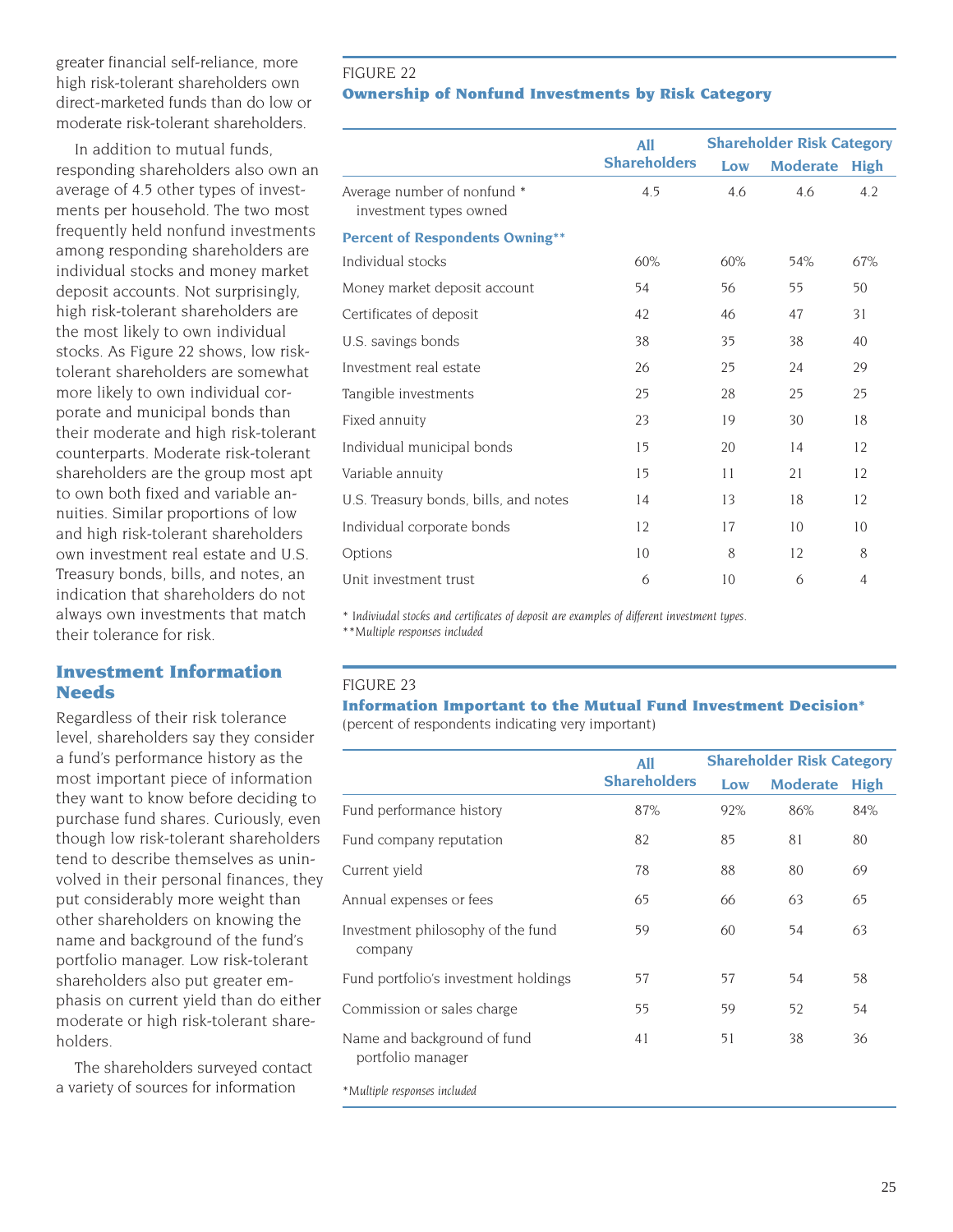greater financial self-reliance, more high risk-tolerant shareholders own direct-marketed funds than do low or moderate risk-tolerant shareholders.

In addition to mutual funds, responding shareholders also own an average of 4.5 other types of investments per household. The two most frequently held nonfund investments among responding shareholders are individual stocks and money market deposit accounts. Not surprisingly, high risk-tolerant shareholders are the most likely to own individual stocks. As Figure 22 shows, low risktolerant shareholders are somewhat more likely to own individual corporate and municipal bonds than their moderate and high risk-tolerant counterparts. Moderate risk-tolerant shareholders are the group most apt to own both fixed and variable annuities. Similar proportions of low and high risk-tolerant shareholders own investment real estate and U.S. Treasury bonds, bills, and notes, an indication that shareholders do not always own investments that match their tolerance for risk.

# **Investment Information Needs**

Regardless of their risk tolerance level, shareholders say they consider a fund's performance history as the most important piece of information they want to know before deciding to purchase fund shares. Curiously, even though low risk-tolerant shareholders tend to describe themselves as uninvolved in their personal finances, they put considerably more weight than other shareholders on knowing the name and background of the fund's portfolio manager. Low risk-tolerant shareholders also put greater emphasis on current yield than do either moderate or high risk-tolerant shareholders.

The shareholders surveyed contact a variety of sources for information

# FIGURE 22 **Ownership of Nonfund Investments by Risk Category**

|                                                       | <b>All</b>          | <b>Shareholder Risk Category</b> |                 |             |
|-------------------------------------------------------|---------------------|----------------------------------|-----------------|-------------|
|                                                       | <b>Shareholders</b> | Low                              | <b>Moderate</b> | <b>High</b> |
| Average number of nonfund *<br>investment types owned | 4.5                 | 4.6                              | 4.6             | 4.2         |
| <b>Percent of Respondents Owning**</b>                |                     |                                  |                 |             |
| Individual stocks                                     | 60%                 | 60%                              | 54%             | 67%         |
| Money market deposit account                          | 54                  | 56                               | 55              | 50          |
| Certificates of deposit                               | 42                  | 46                               | 47              | 31          |
| U.S. savings bonds                                    | 38                  | 35                               | 38              | 40          |
| Investment real estate                                | 26                  | 25                               | 24              | 29          |
| Tangible investments                                  | 25                  | 28                               | 25              | 25          |
| Fixed annuity                                         | 23                  | 19                               | 30              | 18          |
| Individual municipal bonds                            | 15                  | 20                               | 14              | 12          |
| Variable annuity                                      | 15                  | 11                               | 21              | 12          |
| U.S. Treasury bonds, bills, and notes                 | 14                  | 13                               | 18              | 12          |
| Individual corporate bonds                            | 12                  | 17                               | 10              | 10          |
| Options                                               | 10                  | 8                                | 12              | 8           |
| Unit investment trust                                 | 6                   | 10                               | 6               | 4           |

*\* Indiviudal stocks and certificates of deposit are examples of different investment types.*

*\*\*Multiple responses included*

#### FIGURE 23

### **Information Important to the Mutual Fund Investment Decision\*** (percent of respondents indicating very important)

|                                                  | All                 | <b>Shareholder Risk Category</b> |                 |             |
|--------------------------------------------------|---------------------|----------------------------------|-----------------|-------------|
|                                                  | <b>Shareholders</b> | Low                              | <b>Moderate</b> | <b>High</b> |
| Fund performance history                         | 87%                 | 92%                              | 86%             | 84%         |
| Fund company reputation                          | 82                  | 85                               | 81              | 80          |
| Current yield                                    | 78                  | 88                               | 80              | 69          |
| Annual expenses or fees                          | 65                  | 66                               | 63              | 65          |
| Investment philosophy of the fund<br>company     | 59                  | 60                               | 54              | 63          |
| Fund portfolio's investment holdings             | 57                  | 57                               | 54              | 58          |
| Commission or sales charge                       | 55                  | 59                               | 52              | 54          |
| Name and background of fund<br>portfolio manager | 41                  | 51                               | 38              | 36          |
| *Multiple responses included                     |                     |                                  |                 |             |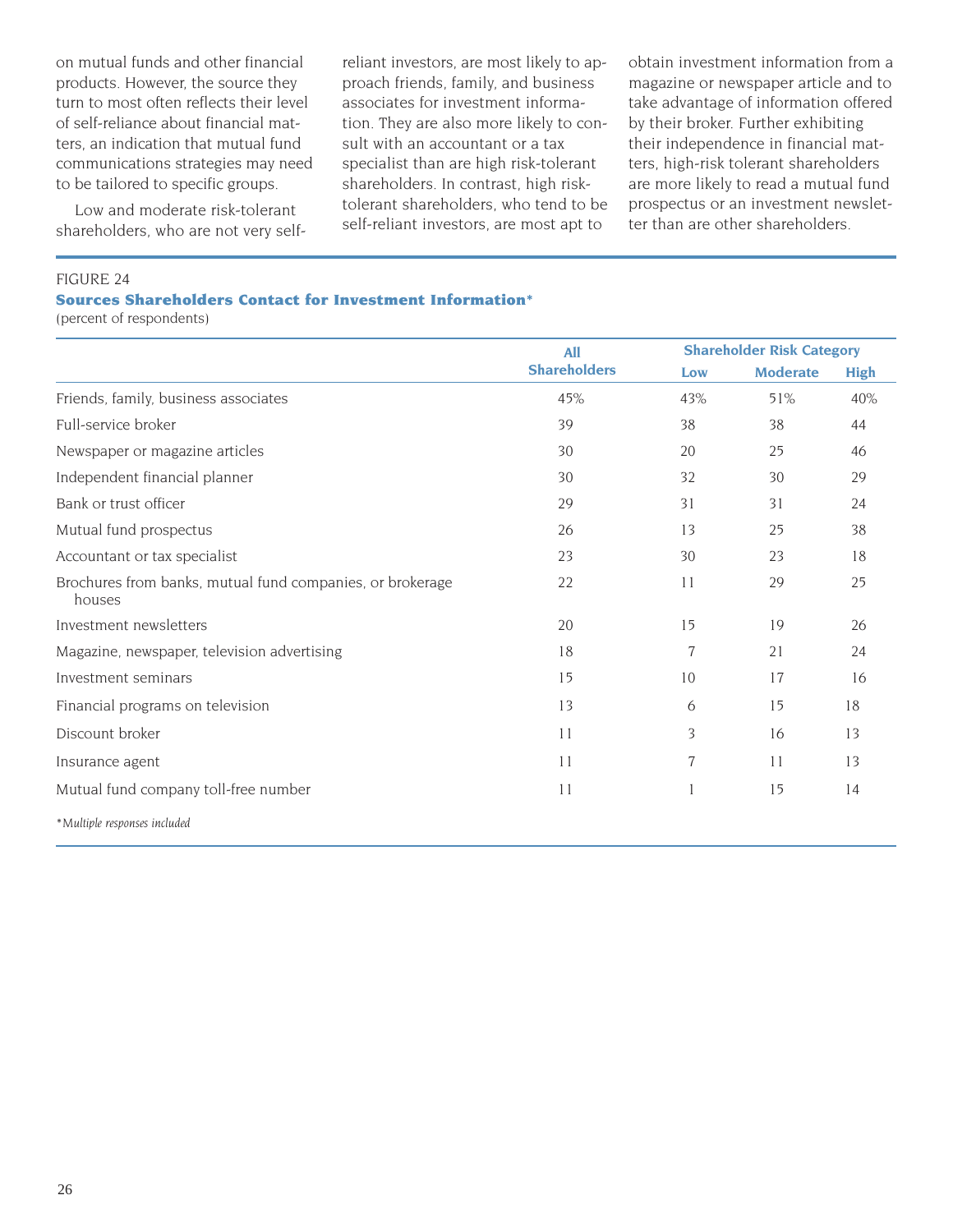on mutual funds and other financial products. However, the source they turn to most often reflects their level of self-reliance about financial matters, an indication that mutual fund communications strategies may need to be tailored to specific groups.

Low and moderate risk-tolerant shareholders, who are not very selfreliant investors, are most likely to approach friends, family, and business associates for investment information. They are also more likely to consult with an accountant or a tax specialist than are high risk-tolerant shareholders. In contrast, high risktolerant shareholders, who tend to be self-reliant investors, are most apt to

obtain investment information from a magazine or newspaper article and to take advantage of information offered by their broker. Further exhibiting their independence in financial matters, high-risk tolerant shareholders are more likely to read a mutual fund prospectus or an investment newsletter than are other shareholders.

#### FIGURE 24

**Sources Shareholders Contact for Investment Information\***

(percent of respondents)

|                                                                     | All                 |     | <b>Shareholder Risk Category</b> |             |
|---------------------------------------------------------------------|---------------------|-----|----------------------------------|-------------|
|                                                                     | <b>Shareholders</b> | Low | <b>Moderate</b>                  | <b>High</b> |
| Friends, family, business associates                                | 45%                 | 43% | 51%                              | 40%         |
| Full-service broker                                                 | 39                  | 38  | 38                               | 44          |
| Newspaper or magazine articles                                      | 30 <sup>°</sup>     | 20  | 25                               | 46          |
| Independent financial planner                                       | 30                  | 32  | 30                               | 29          |
| Bank or trust officer                                               | 29                  | 31  | 31                               | 24          |
| Mutual fund prospectus                                              | 26                  | 13  | 25                               | 38          |
| Accountant or tax specialist                                        | 23                  | 30  | 23                               | 18          |
| Brochures from banks, mutual fund companies, or brokerage<br>houses | 22                  | 11  | 29                               | 25          |
| Investment newsletters                                              | 20                  | 15  | 19                               | 26          |
| Magazine, newspaper, television advertising                         | 18                  | 7   | 21                               | 24          |
| Investment seminars                                                 | 15                  | 10  | 17                               | 16          |
| Financial programs on television                                    | 13                  | 6   | 15                               | 18          |
| Discount broker                                                     | 11                  | 3   | 16                               | 13          |
| Insurance agent                                                     | 11                  | 7   | 11                               | 13          |
| Mutual fund company toll-free number                                | 11                  |     | 15                               | 14          |
| *Multiple responses included                                        |                     |     |                                  |             |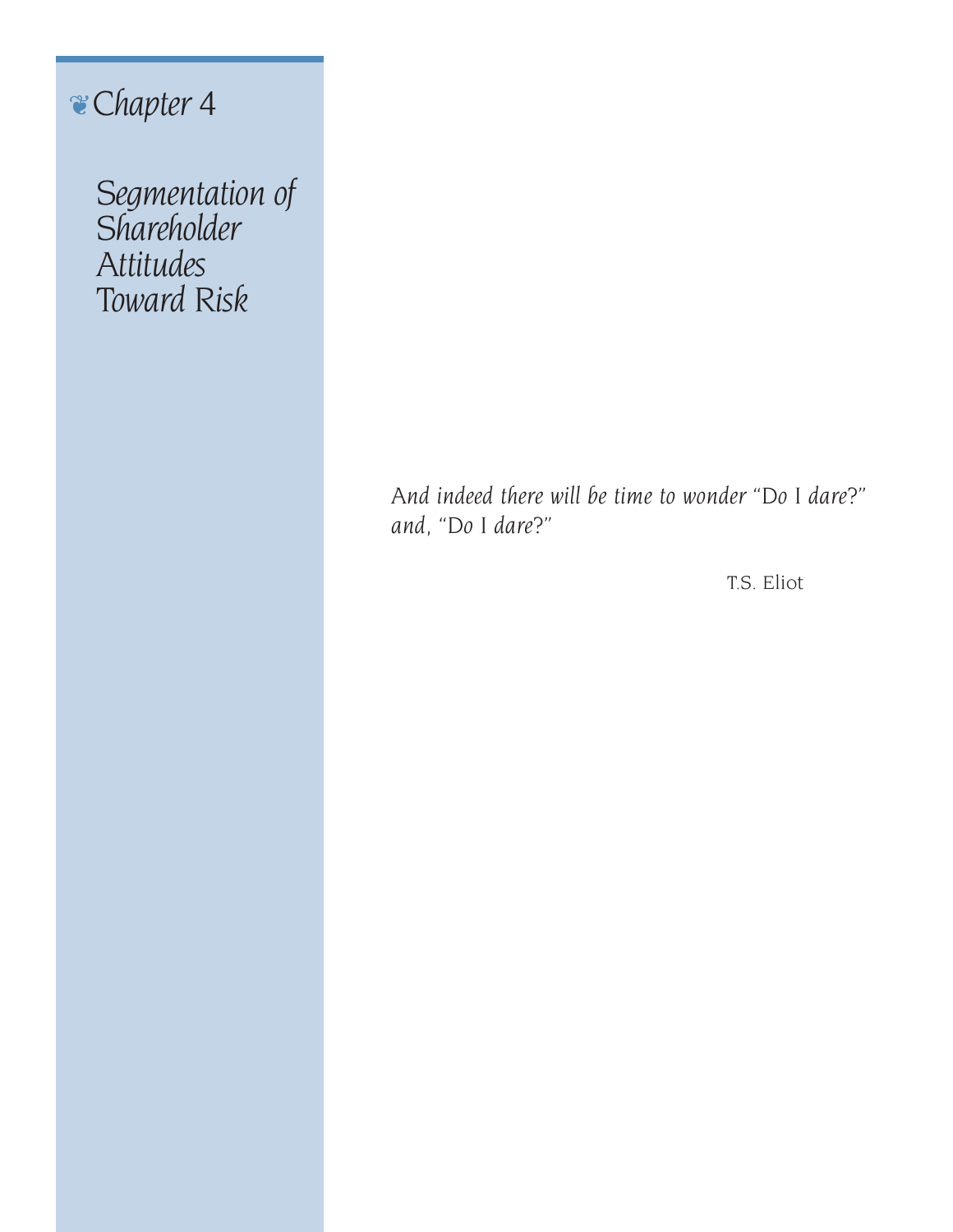# ❦*Chapter 4*

*Segmentation of Shareholder Attitudes Toward Risk*

> *And indeed there will be time to wonder "Do I dare?" and, "Do I dare?"*

> > T.S. Eliot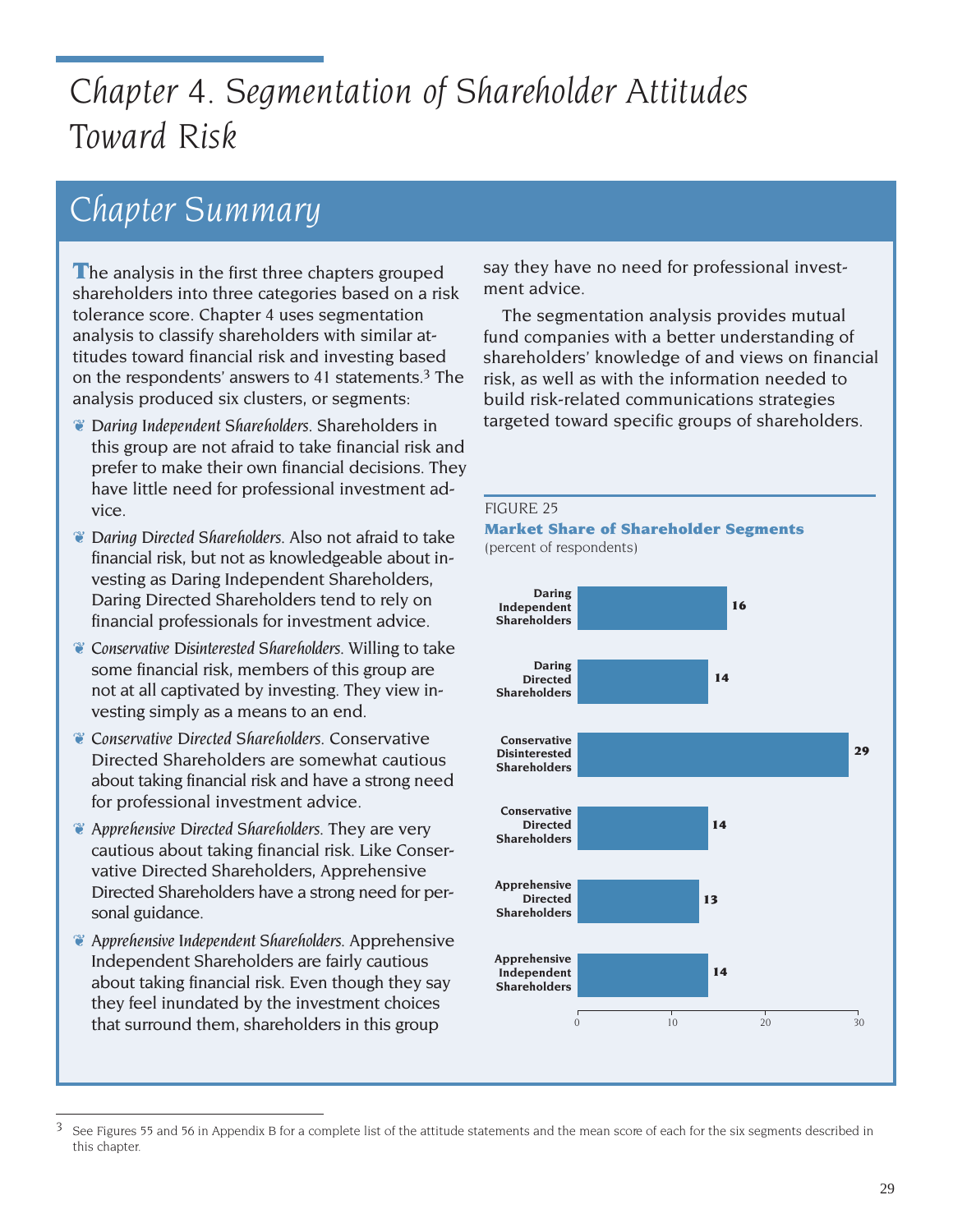# *Chapter 4. Segmentation of Shareholder Attitudes Toward Risk*

# *Chapter Summary*

**T**he analysis in the first three chapters grouped shareholders into three categories based on a risk tolerance score. Chapter 4 uses segmentation analysis to classify shareholders with similar attitudes toward financial risk and investing based on the respondents' answers to 41 statements.3 The analysis produced six clusters, or segments:

- ❦ *Daring Independent Shareholders.* Shareholders in this group are not afraid to take financial risk and prefer to make their own financial decisions. They have little need for professional investment advice.
- ❦ *Daring Directed Shareholders*. Also not afraid to take financial risk, but not as knowledgeable about investing as Daring Independent Shareholders, Daring Directed Shareholders tend to rely on financial professionals for investment advice.
- ❦ *Conservative Disinterested Shareholders*. Willing to take some financial risk, members of this group are not at all captivated by investing. They view investing simply as a means to an end.
- ❦ *Conservative Directed Shareholders*. Conservative Directed Shareholders are somewhat cautious about taking financial risk and have a strong need for professional investment advice.
- ❦ *Apprehensive Directed Shareholders*. They are very cautious about taking financial risk. Like Conservative Directed Shareholders, Apprehensive Directed Shareholders have a strong need for personal guidance.
- ❦ *Apprehensive Independent Shareholders.* Apprehensive Independent Shareholders are fairly cautious about taking financial risk. Even though they say they feel inundated by the investment choices that surround them, shareholders in this group

say they have no need for professional investment advice.

The segmentation analysis provides mutual fund companies with a better understanding of shareholders' knowledge of and views on financial risk, as well as with the information needed to build risk-related communications strategies targeted toward specific groups of shareholders.



 $3$  See Figures 55 and 56 in Appendix B for a complete list of the attitude statements and the mean score of each for the six segments described in this chapter.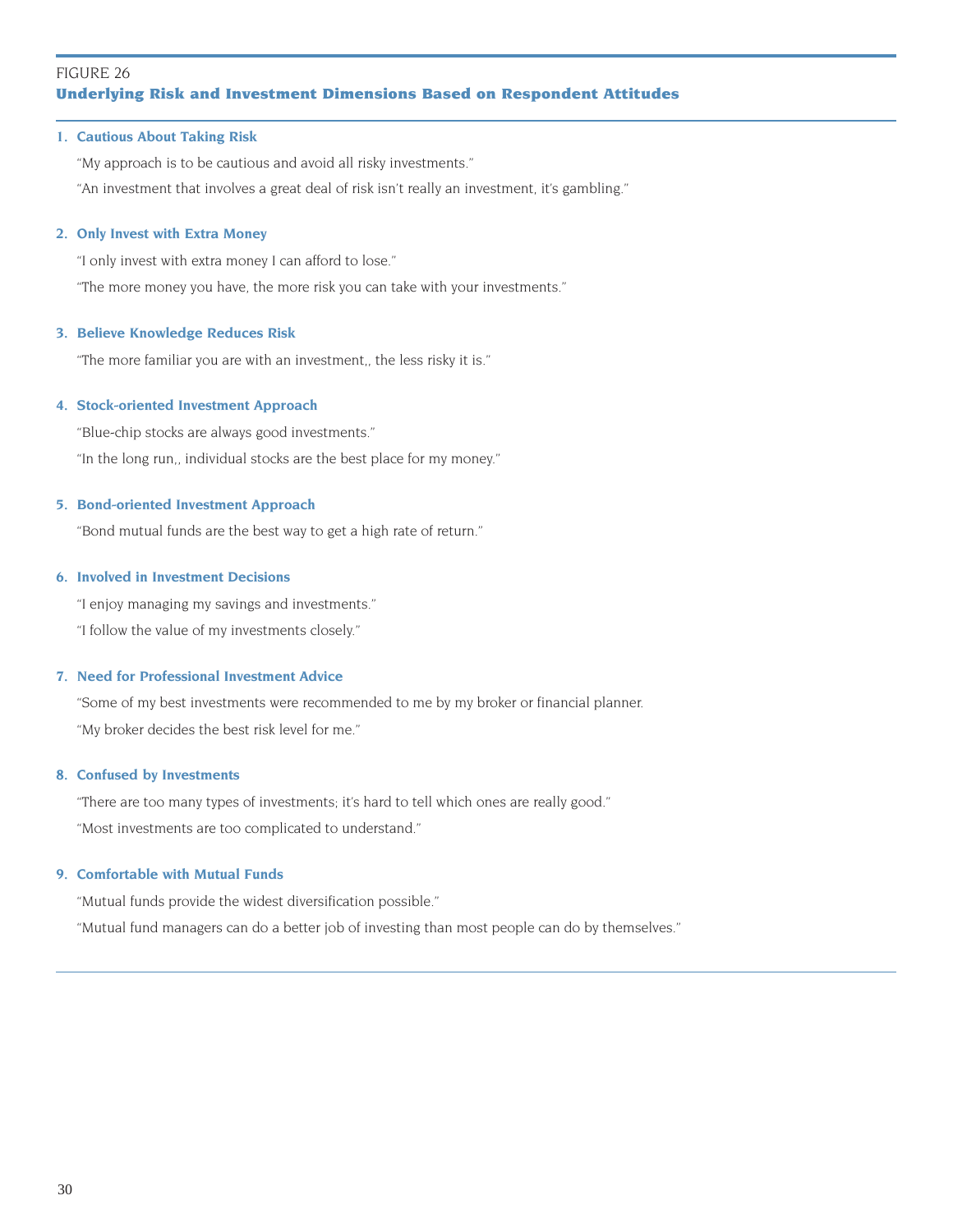# FIGURE 26 **Underlying Risk and Investment Dimensions Based on Respondent Attitudes**

#### **1. Cautious About Taking Risk**

"My approach is to be cautious and avoid all risky investments."

"An investment that involves a great deal of risk isn't really an investment, it's gambling."

#### **2. Only Invest with Extra Money**

"I only invest with extra money I can afford to lose."

"The more money you have, the more risk you can take with your investments."

#### **3. Believe Knowledge Reduces Risk**

"The more familiar you are with an investment,, the less risky it is."

#### **4. Stock-oriented Investment Approach**

"Blue-chip stocks are always good investments." "In the long run,, individual stocks are the best place for my money."

#### **5. Bond-oriented Investment Approach**

"Bond mutual funds are the best way to get a high rate of return."

#### **6. Involved in Investment Decisions**

"I enjoy managing my savings and investments."

"I follow the value of my investments closely."

#### **7. Need for Professional Investment Advice**

"Some of my best investments were recommended to me by my broker or financial planner. "My broker decides the best risk level for me."

#### **8. Confused by Investments**

"There are too many types of investments; it's hard to tell which ones are really good." "Most investments are too complicated to understand."

#### **9. Comfortable with Mutual Funds**

"Mutual funds provide the widest diversification possible." "Mutual fund managers can do a better job of investing than most people can do by themselves."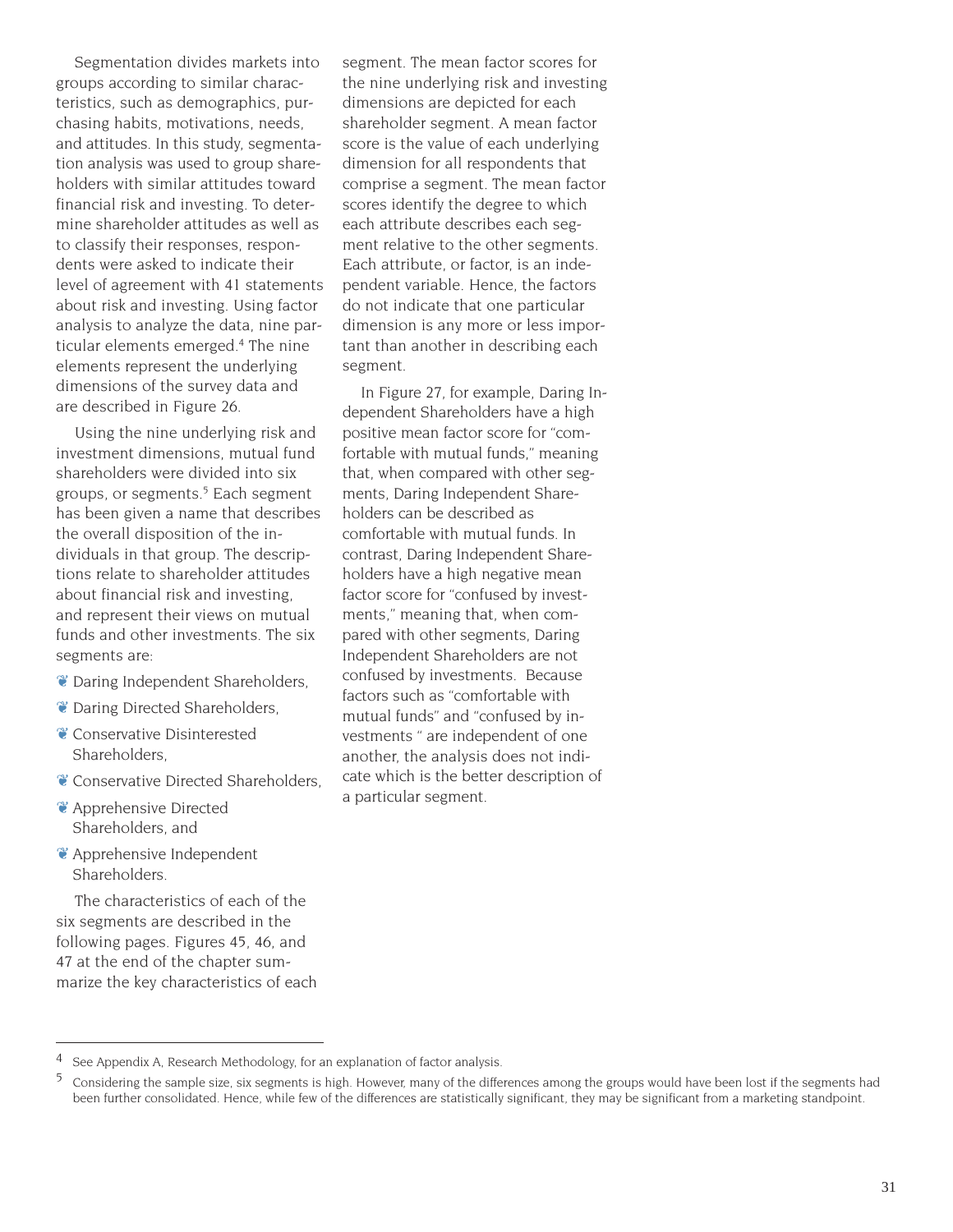Segmentation divides markets into groups according to similar characteristics, such as demographics, purchasing habits, motivations, needs, and attitudes. In this study, segmentation analysis was used to group shareholders with similar attitudes toward financial risk and investing. To determine shareholder attitudes as well as to classify their responses, respondents were asked to indicate their level of agreement with 41 statements about risk and investing. Using factor analysis to analyze the data, nine particular elements emerged.4 The nine elements represent the underlying dimensions of the survey data and are described in Figure 26.

Using the nine underlying risk and investment dimensions, mutual fund shareholders were divided into six groups, or segments.<sup>5</sup> Each segment has been given a name that describes the overall disposition of the individuals in that group. The descriptions relate to shareholder attitudes about financial risk and investing, and represent their views on mutual funds and other investments. The six segments are:

- ❦ Daring Independent Shareholders,
- ❦ Daring Directed Shareholders,
- ❦ Conservative Disinterested Shareholders,
- ❦ Conservative Directed Shareholders,
- ❦ Apprehensive Directed Shareholders, and
- ❦ Apprehensive Independent Shareholders.

The characteristics of each of the six segments are described in the following pages. Figures 45, 46, and 47 at the end of the chapter summarize the key characteristics of each segment. The mean factor scores for the nine underlying risk and investing dimensions are depicted for each shareholder segment. A mean factor score is the value of each underlying dimension for all respondents that comprise a segment. The mean factor scores identify the degree to which each attribute describes each segment relative to the other segments. Each attribute, or factor, is an independent variable. Hence, the factors do not indicate that one particular dimension is any more or less important than another in describing each segment.

In Figure 27, for example, Daring Independent Shareholders have a high positive mean factor score for "comfortable with mutual funds," meaning that, when compared with other segments, Daring Independent Shareholders can be described as comfortable with mutual funds. In contrast, Daring Independent Shareholders have a high negative mean factor score for "confused by investments," meaning that, when compared with other segments, Daring Independent Shareholders are not confused by investments. Because factors such as "comfortable with mutual funds" and "confused by investments " are independent of one another, the analysis does not indicate which is the better description of a particular segment.

<sup>4</sup> See Appendix A, Research Methodology, for an explanation of factor analysis.

<sup>5</sup> Considering the sample size, six segments is high. However, many of the differences among the groups would have been lost if the segments had been further consolidated. Hence, while few of the differences are statistically significant, they may be significant from a marketing standpoint.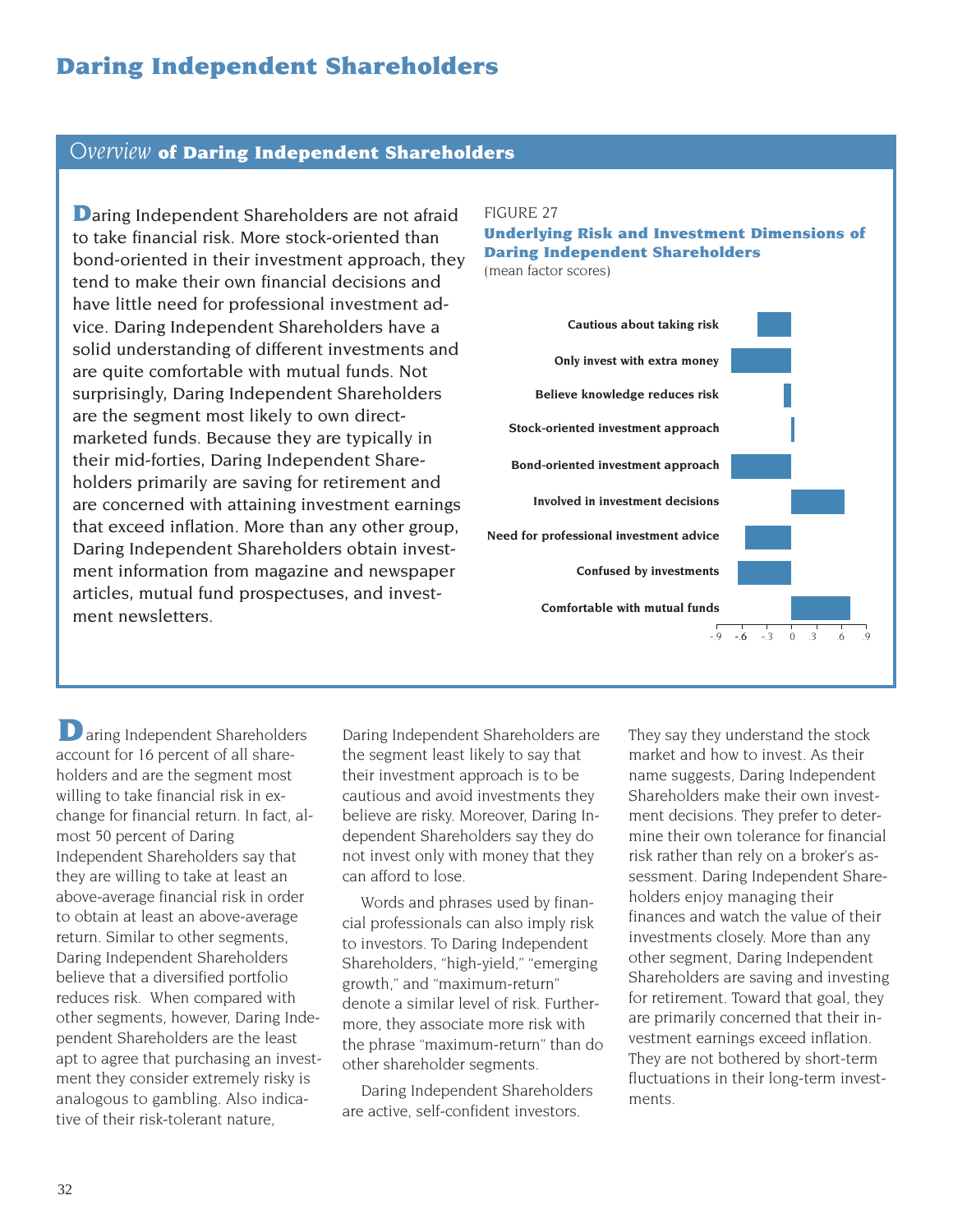# **Daring Independent Shareholders**

# *Overview* **of Daring Independent Shareholders**

**D**aring Independent Shareholders are not afraid to take financial risk. More stock-oriented than bond-oriented in their investment approach, they tend to make their own financial decisions and have little need for professional investment advice. Daring Independent Shareholders have a solid understanding of different investments and are quite comfortable with mutual funds. Not surprisingly, Daring Independent Shareholders are the segment most likely to own directmarketed funds. Because they are typically in their mid-forties, Daring Independent Shareholders primarily are saving for retirement and are concerned with attaining investment earnings that exceed inflation. More than any other group, Daring Independent Shareholders obtain investment information from magazine and newspaper articles, mutual fund prospectuses, and investment newsletters.

#### FIGURE 27

**Underlying Risk and Investment Dimensions of Daring Independent Shareholders** (mean factor scores)

**Cautious about taking risk Only invest with extra money Believe knowledge reduces risk Stock-oriented investment approach Bond-oriented investment approach Involved in investment decisions Need for professional investment advice Confused by investments Comfortable with mutual funds**  $-9$   $-6$   $-3$  0

 $\Box$  aring Independent Shareholders account for 16 percent of all shareholders and are the segment most willing to take financial risk in exchange for financial return. In fact, almost 50 percent of Daring Independent Shareholders say that they are willing to take at least an above-average financial risk in order to obtain at least an above-average return. Similar to other segments, Daring Independent Shareholders believe that a diversified portfolio reduces risk. When compared with other segments, however, Daring Independent Shareholders are the least apt to agree that purchasing an investment they consider extremely risky is analogous to gambling. Also indicative of their risk-tolerant nature,

Daring Independent Shareholders are the segment least likely to say that their investment approach is to be cautious and avoid investments they believe are risky. Moreover, Daring Independent Shareholders say they do not invest only with money that they can afford to lose.

Words and phrases used by financial professionals can also imply risk to investors. To Daring Independent Shareholders, "high-yield," "emerging growth," and "maximum-return" denote a similar level of risk. Furthermore, they associate more risk with the phrase "maximum-return" than do other shareholder segments.

Daring Independent Shareholders are active, self-confident investors.

They say they understand the stock market and how to invest. As their name suggests, Daring Independent Shareholders make their own investment decisions. They prefer to determine their own tolerance for financial risk rather than rely on a broker's assessment. Daring Independent Shareholders enjoy managing their finances and watch the value of their investments closely. More than any other segment, Daring Independent Shareholders are saving and investing for retirement. Toward that goal, they are primarily concerned that their investment earnings exceed inflation. They are not bothered by short-term fluctuations in their long-term investments.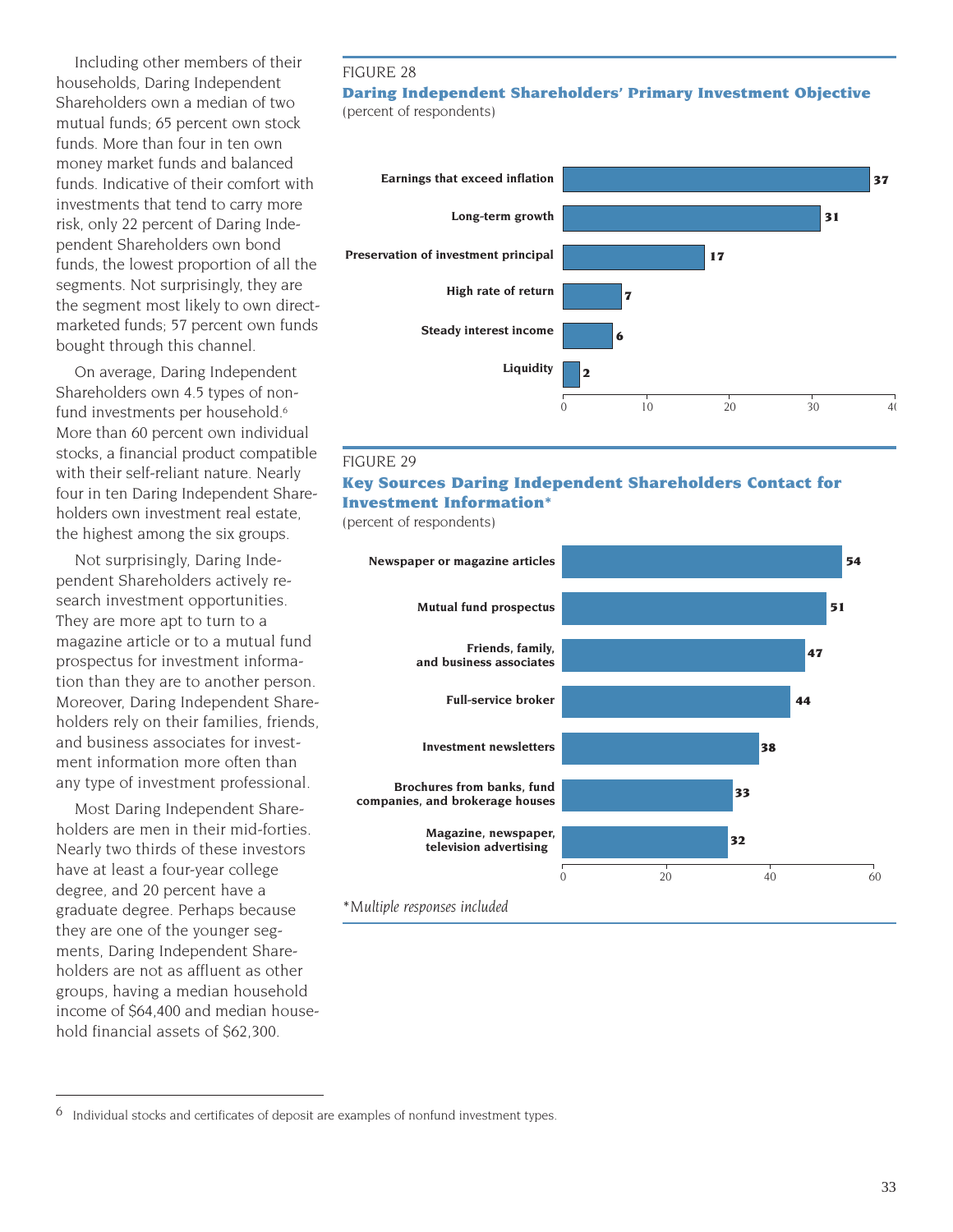Including other members of their households, Daring Independent Shareholders own a median of two mutual funds; 65 percent own stock funds. More than four in ten own money market funds and balanced funds. Indicative of their comfort with investments that tend to carry more risk, only 22 percent of Daring Independent Shareholders own bond funds, the lowest proportion of all the segments. Not surprisingly, they are the segment most likely to own directmarketed funds; 57 percent own funds bought through this channel.

On average, Daring Independent Shareholders own 4.5 types of nonfund investments per household.<sup>6</sup> More than 60 percent own individual stocks, a financial product compatible with their self-reliant nature. Nearly four in ten Daring Independent Shareholders own investment real estate, the highest among the six groups.

Not surprisingly, Daring Independent Shareholders actively research investment opportunities. They are more apt to turn to a magazine article or to a mutual fund prospectus for investment information than they are to another person. Moreover, Daring Independent Shareholders rely on their families, friends, and business associates for investment information more often than any type of investment professional.

Most Daring Independent Shareholders are men in their mid-forties. Nearly two thirds of these investors have at least a four-year college degree, and 20 percent have a graduate degree. Perhaps because they are one of the younger segments, Daring Independent Shareholders are not as affluent as other groups, having a median household income of \$64,400 and median household financial assets of \$62,300.

#### FIGURE 28

#### **Daring Independent Shareholders' Primary Investment Objective** (percent of respondents)



#### FIGURE 29

### **Key Sources Daring Independent Shareholders Contact for Investment Information\***

(percent of respondents)



Individual stocks and certificates of deposit are examples of nonfund investment types.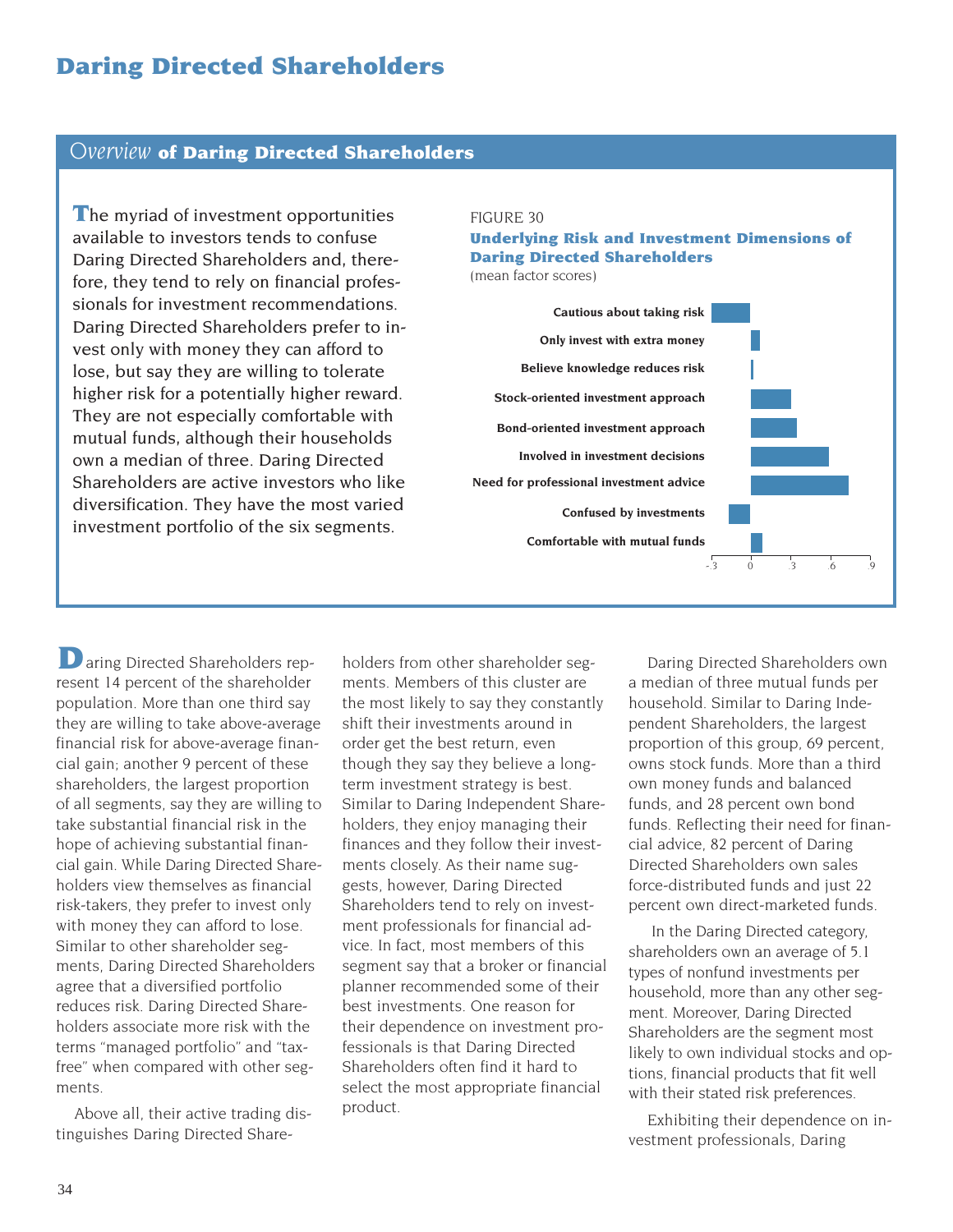# **Daring Directed Shareholders**

# *Overview* **of Daring Directed Shareholders**

**T**he myriad of investment opportunities available to investors tends to confuse Daring Directed Shareholders and, therefore, they tend to rely on financial professionals for investment recommendations. Daring Directed Shareholders prefer to invest only with money they can afford to lose, but say they are willing to tolerate higher risk for a potentially higher reward. They are not especially comfortable with mutual funds, although their households own a median of three. Daring Directed Shareholders are active investors who like diversification. They have the most varied investment portfolio of the six segments.

#### FIGURE 30

# **Underlying Risk and Investment Dimensions of Daring Directed Shareholders**

(mean factor scores)

**Cautious about taking risk Only invest with extra money Believe knowledge reduces risk Stock-oriented investment approach Bond-oriented investment approach Involved in investment decisions Need for professional investment advice Confused by investments Comfortable with mutual funds** -.3 0 .3 .6 .9

**D** aring Directed Shareholders represent 14 percent of the shareholder population. More than one third say they are willing to take above-average financial risk for above-average financial gain; another 9 percent of these shareholders, the largest proportion of all segments, say they are willing to take substantial financial risk in the hope of achieving substantial financial gain. While Daring Directed Shareholders view themselves as financial risk-takers, they prefer to invest only with money they can afford to lose. Similar to other shareholder segments, Daring Directed Shareholders agree that a diversified portfolio reduces risk. Daring Directed Shareholders associate more risk with the terms "managed portfolio" and "taxfree" when compared with other segments.

Above all, their active trading distinguishes Daring Directed Shareholders from other shareholder segments. Members of this cluster are the most likely to say they constantly shift their investments around in order get the best return, even though they say they believe a longterm investment strategy is best. Similar to Daring Independent Shareholders, they enjoy managing their finances and they follow their investments closely. As their name suggests, however, Daring Directed Shareholders tend to rely on investment professionals for financial advice. In fact, most members of this segment say that a broker or financial planner recommended some of their best investments. One reason for their dependence on investment professionals is that Daring Directed Shareholders often find it hard to select the most appropriate financial product.

Daring Directed Shareholders own a median of three mutual funds per household. Similar to Daring Independent Shareholders, the largest proportion of this group, 69 percent, owns stock funds. More than a third own money funds and balanced funds, and 28 percent own bond funds. Reflecting their need for financial advice, 82 percent of Daring Directed Shareholders own sales force-distributed funds and just 22 percent own direct-marketed funds.

In the Daring Directed category, shareholders own an average of 5.1 types of nonfund investments per household, more than any other segment. Moreover, Daring Directed Shareholders are the segment most likely to own individual stocks and options, financial products that fit well with their stated risk preferences.

Exhibiting their dependence on investment professionals, Daring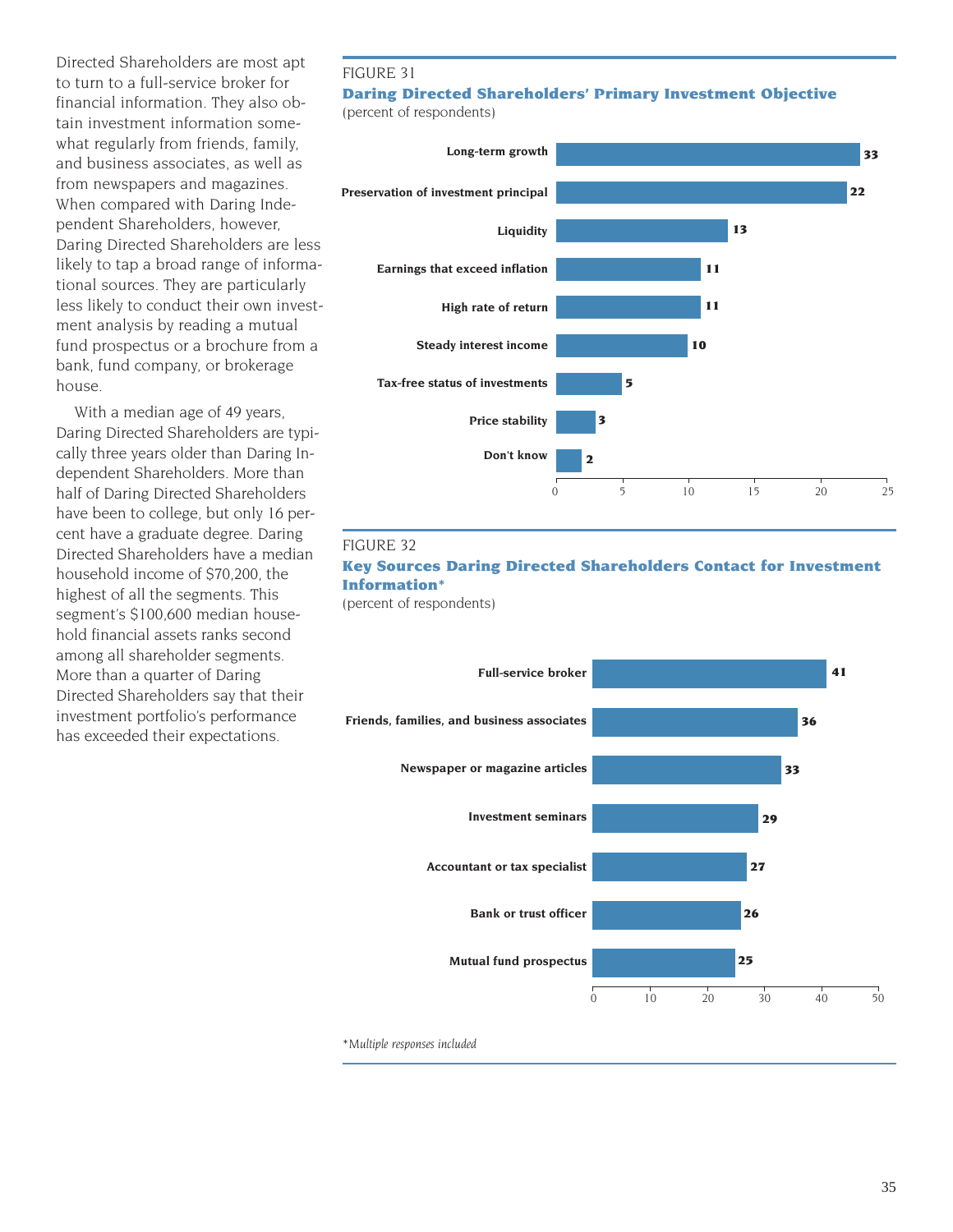Directed Shareholders are most apt to turn to a full-service broker for financial information. They also obtain investment information somewhat regularly from friends, family, and business associates, as well as from newspapers and magazines. When compared with Daring Independent Shareholders, however, Daring Directed Shareholders are less likely to tap a broad range of informational sources. They are particularly less likely to conduct their own investment analysis by reading a mutual fund prospectus or a brochure from a bank, fund company, or brokerage house.

With a median age of 49 years, Daring Directed Shareholders are typically three years older than Daring Independent Shareholders. More than half of Daring Directed Shareholders have been to college, but only 16 percent have a graduate degree. Daring Directed Shareholders have a median household income of \$70,200, the highest of all the segments. This segment's \$100,600 median household financial assets ranks second among all shareholder segments. More than a quarter of Daring Directed Shareholders say that their investment portfolio's performance has exceeded their expectations.

#### FIGURE 31

# **Daring Directed Shareholders' Primary Investment Objective**

(percent of respondents)



#### FIGURE 32

# **Key Sources Daring Directed Shareholders Contact for Investment Information\***

(percent of respondents)



*\*Multiple responses included*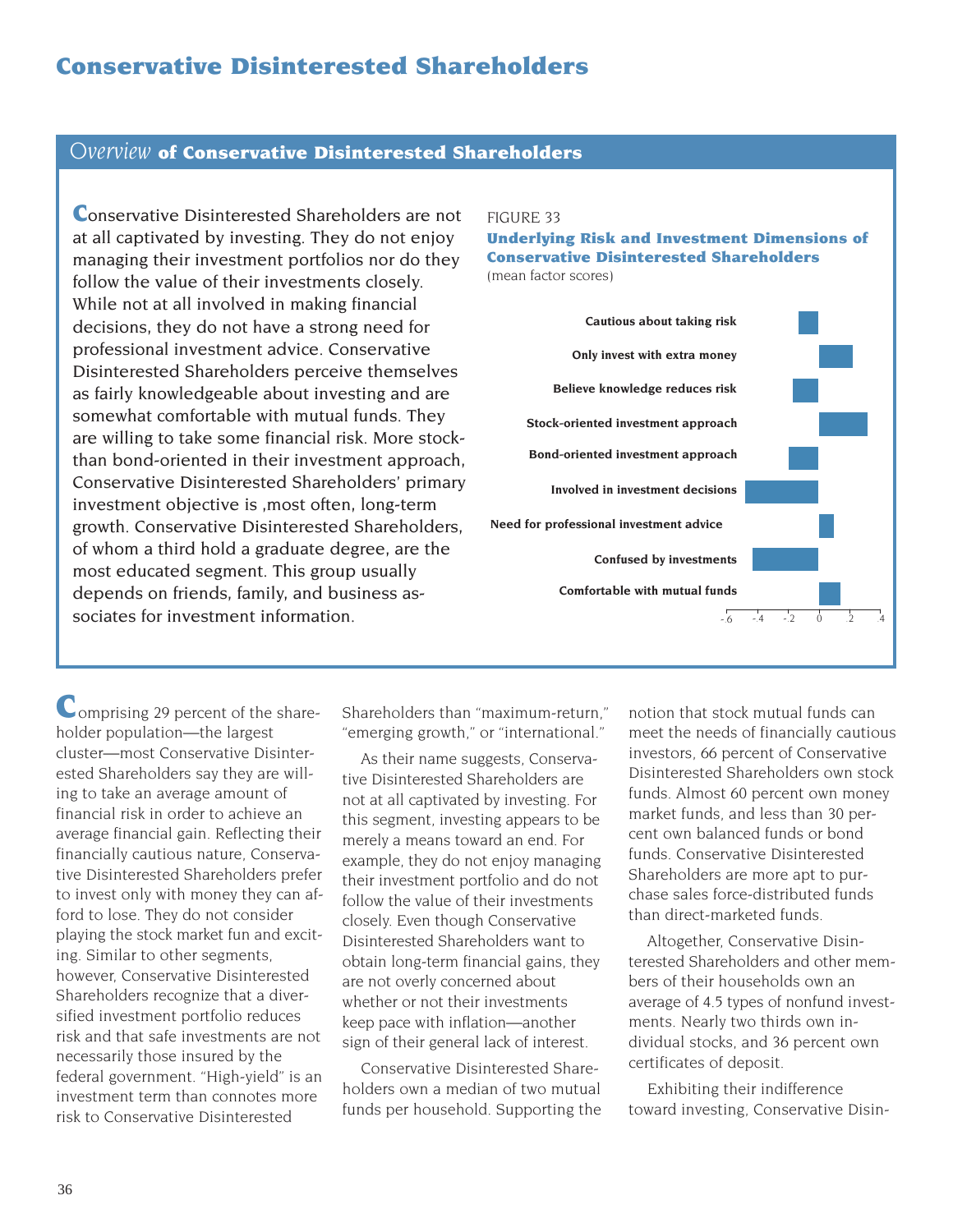# **Conservative Disinterested Shareholders**

### *Overview* **of Conservative Disinterested Shareholders**

**Conservative Disinterested Shareholders are not** at all captivated by investing. They do not enjoy managing their investment portfolios nor do they follow the value of their investments closely. While not at all involved in making financial decisions, they do not have a strong need for professional investment advice. Conservative Disinterested Shareholders perceive themselves as fairly knowledgeable about investing and are somewhat comfortable with mutual funds. They are willing to take some financial risk. More stockthan bond-oriented in their investment approach, Conservative Disinterested Shareholders' primary investment objective is ,most often, long-term growth. Conservative Disinterested Shareholders, of whom a third hold a graduate degree, are the most educated segment. This group usually depends on friends, family, and business associates for investment information.

#### FIGURE 33

#### **Underlying Risk and Investment Dimensions of Conservative Disinterested Shareholders** (mean factor scores)



Comprising 29 percent of the shareholder population—the largest cluster—most Conservative Disinterested Shareholders say they are willing to take an average amount of financial risk in order to achieve an average financial gain. Reflecting their financially cautious nature, Conservative Disinterested Shareholders prefer to invest only with money they can afford to lose. They do not consider playing the stock market fun and exciting. Similar to other segments, however, Conservative Disinterested Shareholders recognize that a diversified investment portfolio reduces risk and that safe investments are not necessarily those insured by the federal government. "High-yield" is an investment term than connotes more risk to Conservative Disinterested

Shareholders than "maximum-return," "emerging growth," or "international."

As their name suggests, Conservative Disinterested Shareholders are not at all captivated by investing. For this segment, investing appears to be merely a means toward an end. For example, they do not enjoy managing their investment portfolio and do not follow the value of their investments closely. Even though Conservative Disinterested Shareholders want to obtain long-term financial gains, they are not overly concerned about whether or not their investments keep pace with inflation—another sign of their general lack of interest.

Conservative Disinterested Shareholders own a median of two mutual funds per household. Supporting the

notion that stock mutual funds can meet the needs of financially cautious investors, 66 percent of Conservative Disinterested Shareholders own stock funds. Almost 60 percent own money market funds, and less than 30 percent own balanced funds or bond funds. Conservative Disinterested Shareholders are more apt to purchase sales force-distributed funds than direct-marketed funds.

Altogether, Conservative Disinterested Shareholders and other members of their households own an average of 4.5 types of nonfund investments. Nearly two thirds own individual stocks, and 36 percent own certificates of deposit.

Exhibiting their indifference toward investing, Conservative Disin-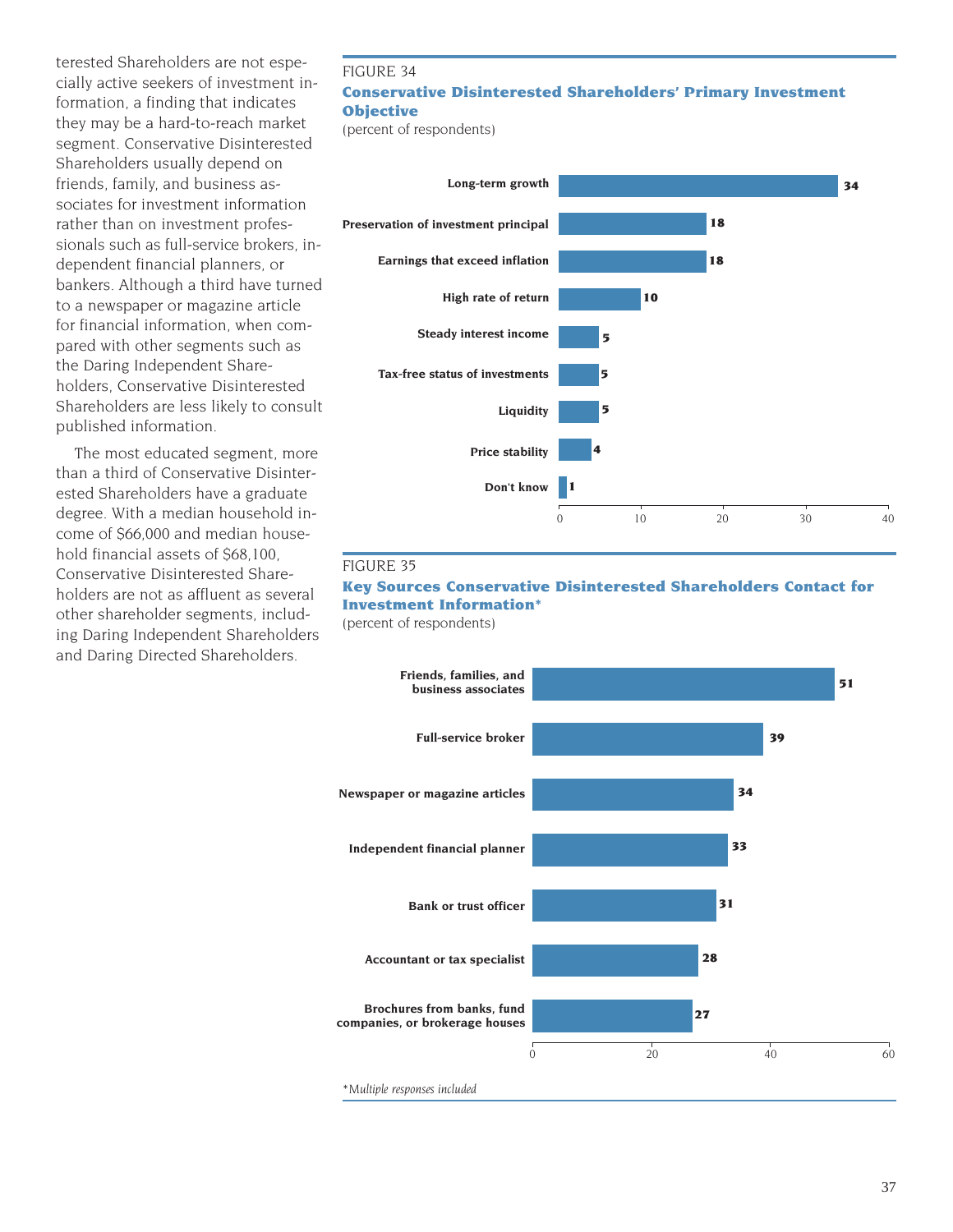terested Shareholders are not especially active seekers of investment information, a finding that indicates they may be a hard-to-reach market segment. Conservative Disinterested Shareholders usually depend on friends, family, and business associates for investment information rather than on investment professionals such as full-service brokers, independent financial planners, or bankers. Although a third have turned to a newspaper or magazine article for financial information, when compared with other segments such as the Daring Independent Shareholders, Conservative Disinterested Shareholders are less likely to consult published information.

The most educated segment, more than a third of Conservative Disinterested Shareholders have a graduate degree. With a median household income of \$66,000 and median household financial assets of \$68,100, Conservative Disinterested Shareholders are not as affluent as several other shareholder segments, including Daring Independent Shareholders and Daring Directed Shareholders.

# FIGURE 34 **Conservative Disinterested Shareholders' Primary Investment Objective**

(percent of respondents)



#### FIGURE 35

### **Key Sources Conservative Disinterested Shareholders Contact for Investment Information\***

(percent of respondents)

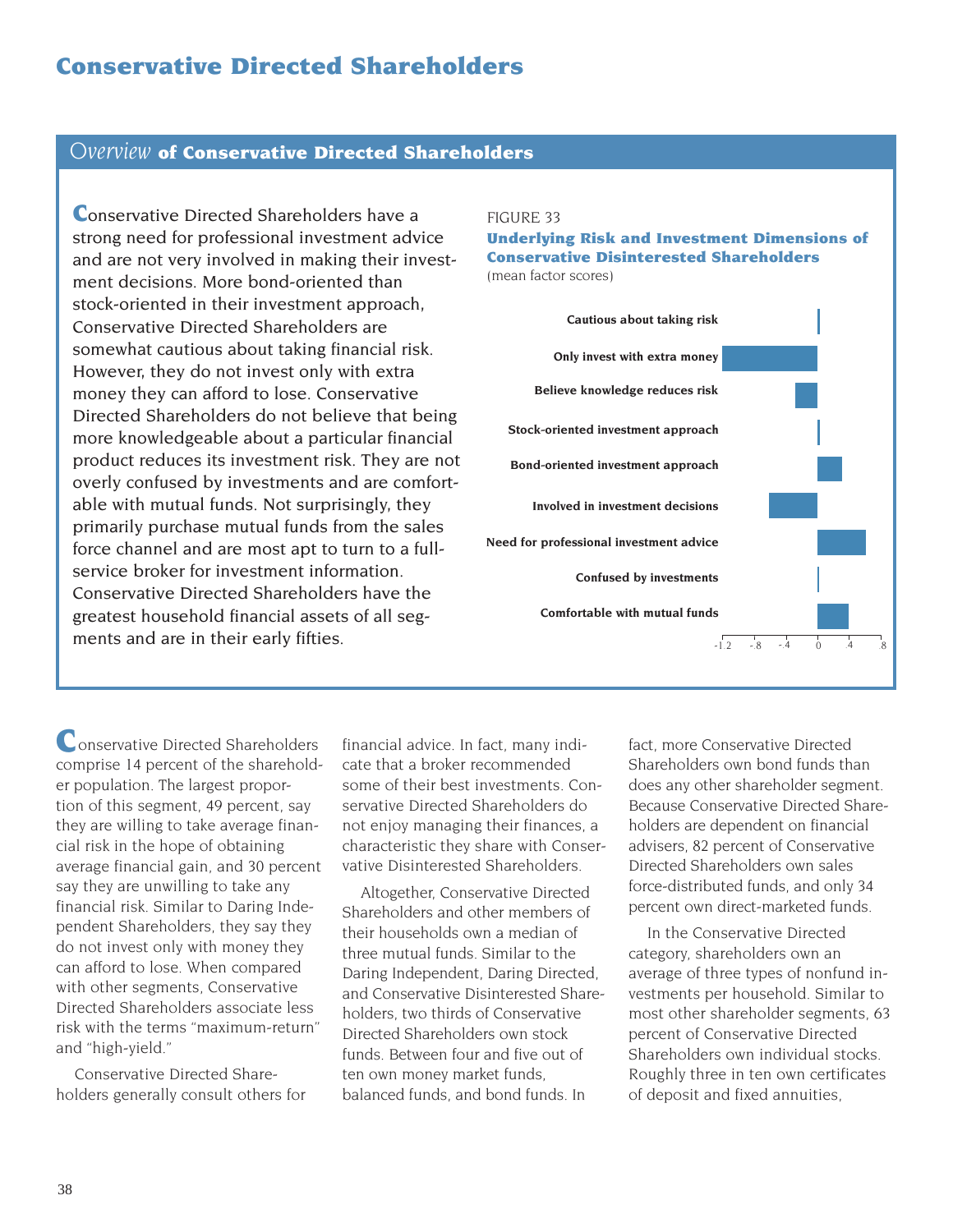# **Conservative Directed Shareholders**

### *Overview* **of Conservative Directed Shareholders**

**Conservative Directed Shareholders have a** strong need for professional investment advice and are not very involved in making their investment decisions. More bond-oriented than stock-oriented in their investment approach, Conservative Directed Shareholders are somewhat cautious about taking financial risk. However, they do not invest only with extra money they can afford to lose. Conservative Directed Shareholders do not believe that being more knowledgeable about a particular financial product reduces its investment risk. They are not overly confused by investments and are comfortable with mutual funds. Not surprisingly, they primarily purchase mutual funds from the sales force channel and are most apt to turn to a fullservice broker for investment information. Conservative Directed Shareholders have the greatest household financial assets of all segments and are in their early fifties.

#### FIGURE 33

#### **Underlying Risk and Investment Dimensions of Conservative Disinterested Shareholders** (mean factor scores)

**Cautious about taking risk Only invest with extra money Believe knowledge reduces risk Stock-oriented investment approach Bond-oriented investment approach Involved in investment decisions Need for professional investment advice Confused by investments Comfortable with mutual funds**  $-1.2$   $-8$   $-4$  0  $.4$   $.8$ 

onservative Directed Shareholders **C**comprise 14 percent of the shareholder population. The largest proportion of this segment, 49 percent, say they are willing to take average financial risk in the hope of obtaining average financial gain, and 30 percent say they are unwilling to take any financial risk. Similar to Daring Independent Shareholders, they say they do not invest only with money they can afford to lose. When compared with other segments, Conservative Directed Shareholders associate less risk with the terms "maximum-return" and "high-yield."

Conservative Directed Shareholders generally consult others for

financial advice. In fact, many indicate that a broker recommended some of their best investments. Conservative Directed Shareholders do not enjoy managing their finances, a characteristic they share with Conservative Disinterested Shareholders.

Altogether, Conservative Directed Shareholders and other members of their households own a median of three mutual funds. Similar to the Daring Independent, Daring Directed, and Conservative Disinterested Shareholders, two thirds of Conservative Directed Shareholders own stock funds. Between four and five out of ten own money market funds, balanced funds, and bond funds. In

fact, more Conservative Directed Shareholders own bond funds than does any other shareholder segment. Because Conservative Directed Shareholders are dependent on financial advisers, 82 percent of Conservative Directed Shareholders own sales force-distributed funds, and only 34 percent own direct-marketed funds.

In the Conservative Directed category, shareholders own an average of three types of nonfund investments per household. Similar to most other shareholder segments, 63 percent of Conservative Directed Shareholders own individual stocks. Roughly three in ten own certificates of deposit and fixed annuities,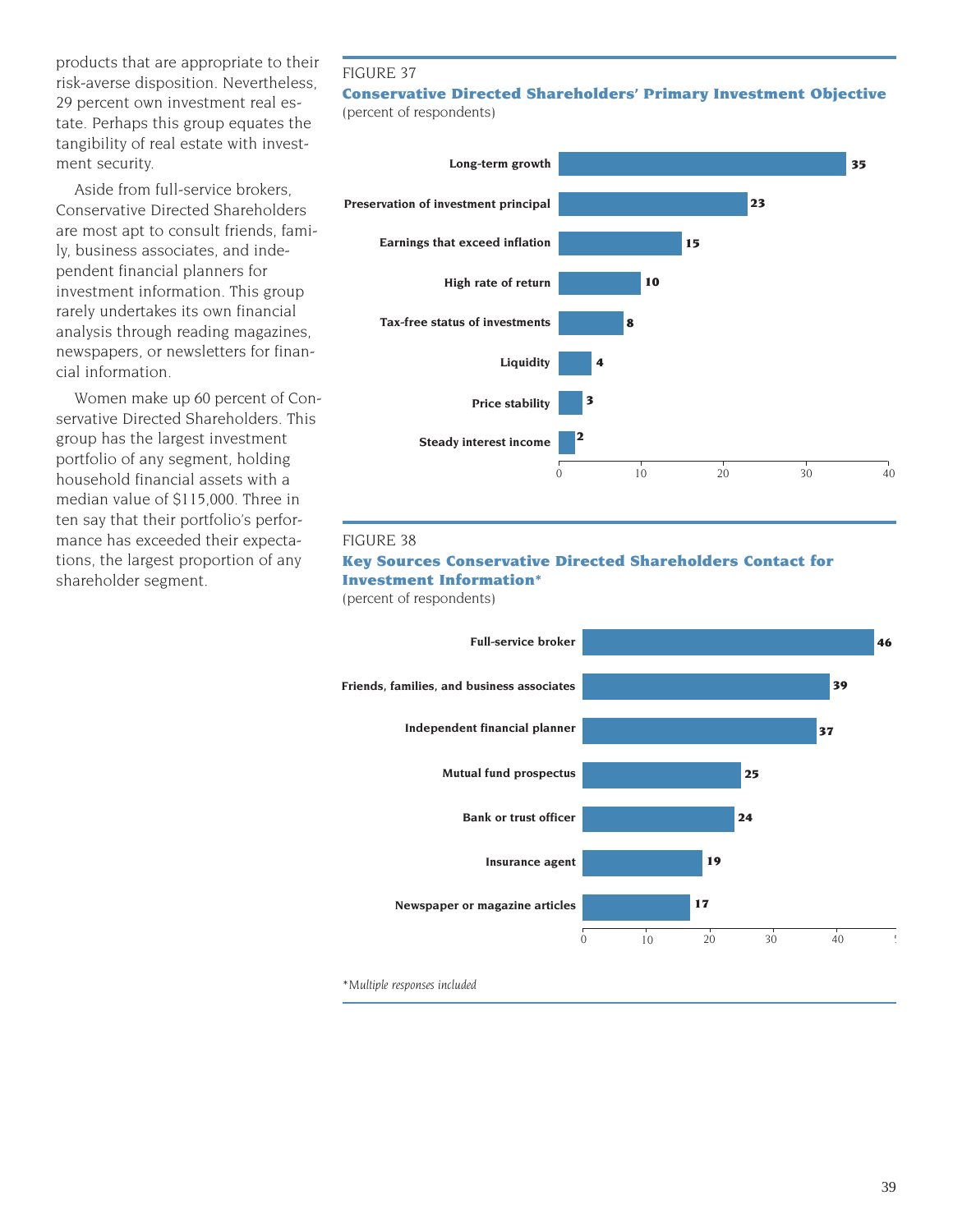products that are appropriate to their risk-averse disposition. Nevertheless, 29 percent own investment real estate. Perhaps this group equates the tangibility of real estate with investment security.

Aside from full-service brokers, Conservative Directed Shareholders are most apt to consult friends, family, business associates, and independent financial planners for investment information. This group rarely undertakes its own financial analysis through reading magazines, newspapers, or newsletters for financial information.

Women make up 60 percent of Conservative Directed Shareholders. This group has the largest investment portfolio of any segment, holding household financial assets with a median value of \$115,000. Three in ten say that their portfolio's performance has exceeded their expectations, the largest proportion of any shareholder segment.

### FIGURE 37

#### **Conservative Directed Shareholders' Primary Investment Objective** (percent of respondents)



#### FIGURE 38

# **Key Sources Conservative Directed Shareholders Contact for Investment Information\***

(percent of respondents)



39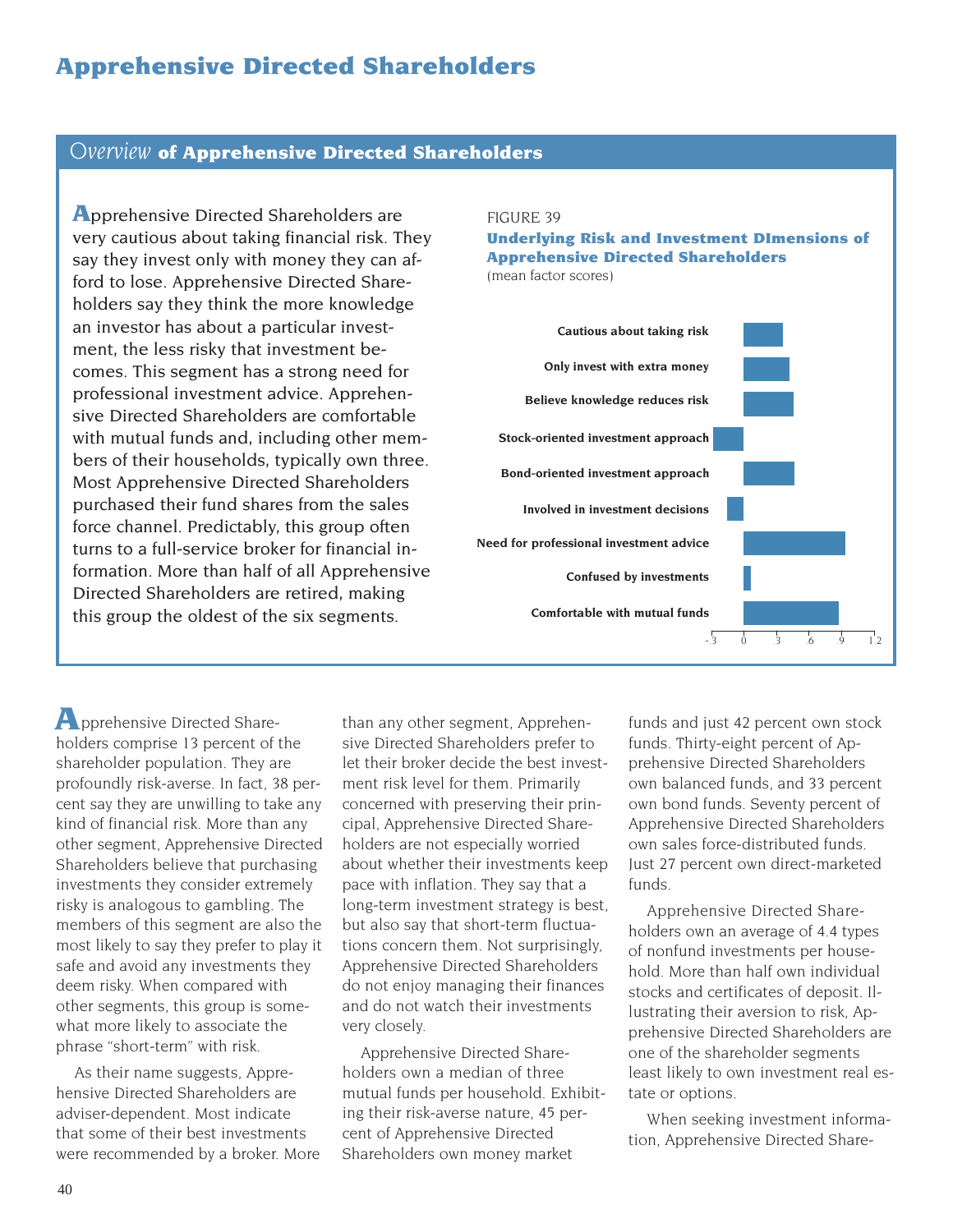# **Apprehensive Directed Shareholders**

#### *Overview* **of Apprehensive Directed Shareholders**

**A**pprehensive Directed Shareholders are very cautious about taking financial risk. They say they invest only with money they can afford to lose. Apprehensive Directed Shareholders say they think the more knowledge an investor has about a particular investment, the less risky that investment becomes. This segment has a strong need for professional investment advice. Apprehensive Directed Shareholders are comfortable with mutual funds and, including other members of their households, typically own three. Most Apprehensive Directed Shareholders purchased their fund shares from the sales force channel. Predictably, this group often turns to a full-service broker for financial information. More than half of all Apprehensive Directed Shareholders are retired, making this group the oldest of the six segments.

#### FIGURE 39

# **Underlying Risk and Investment DImensions of Apprehensive Directed Shareholders**

(mean factor scores)



pprehensive Directed Share-**A**holders comprise 13 percent of the shareholder population. They are profoundly risk-averse. In fact, 38 percent say they are unwilling to take any kind of financial risk. More than any other segment, Apprehensive Directed Shareholders believe that purchasing investments they consider extremely risky is analogous to gambling. The members of this segment are also the most likely to say they prefer to play it safe and avoid any investments they deem risky. When compared with other segments, this group is somewhat more likely to associate the phrase "short-term" with risk.

As their name suggests, Apprehensive Directed Shareholders are adviser-dependent. Most indicate that some of their best investments were recommended by a broker. More

than any other segment, Apprehensive Directed Shareholders prefer to let their broker decide the best investment risk level for them. Primarily concerned with preserving their principal, Apprehensive Directed Shareholders are not especially worried about whether their investments keep pace with inflation. They say that a long-term investment strategy is best, but also say that short-term fluctuations concern them. Not surprisingly, Apprehensive Directed Shareholders do not enjoy managing their finances and do not watch their investments very closely.

Apprehensive Directed Shareholders own a median of three mutual funds per household. Exhibiting their risk-averse nature, 45 percent of Apprehensive Directed Shareholders own money market

funds and just 42 percent own stock funds. Thirty-eight percent of Apprehensive Directed Shareholders own balanced funds, and 33 percent own bond funds. Seventy percent of Apprehensive Directed Shareholders own sales force-distributed funds. Just 27 percent own direct-marketed funds.

Apprehensive Directed Shareholders own an average of 4.4 types of nonfund investments per household. More than half own individual stocks and certificates of deposit. Illustrating their aversion to risk, Apprehensive Directed Shareholders are one of the shareholder segments least likely to own investment real estate or options.

When seeking investment information, Apprehensive Directed Share-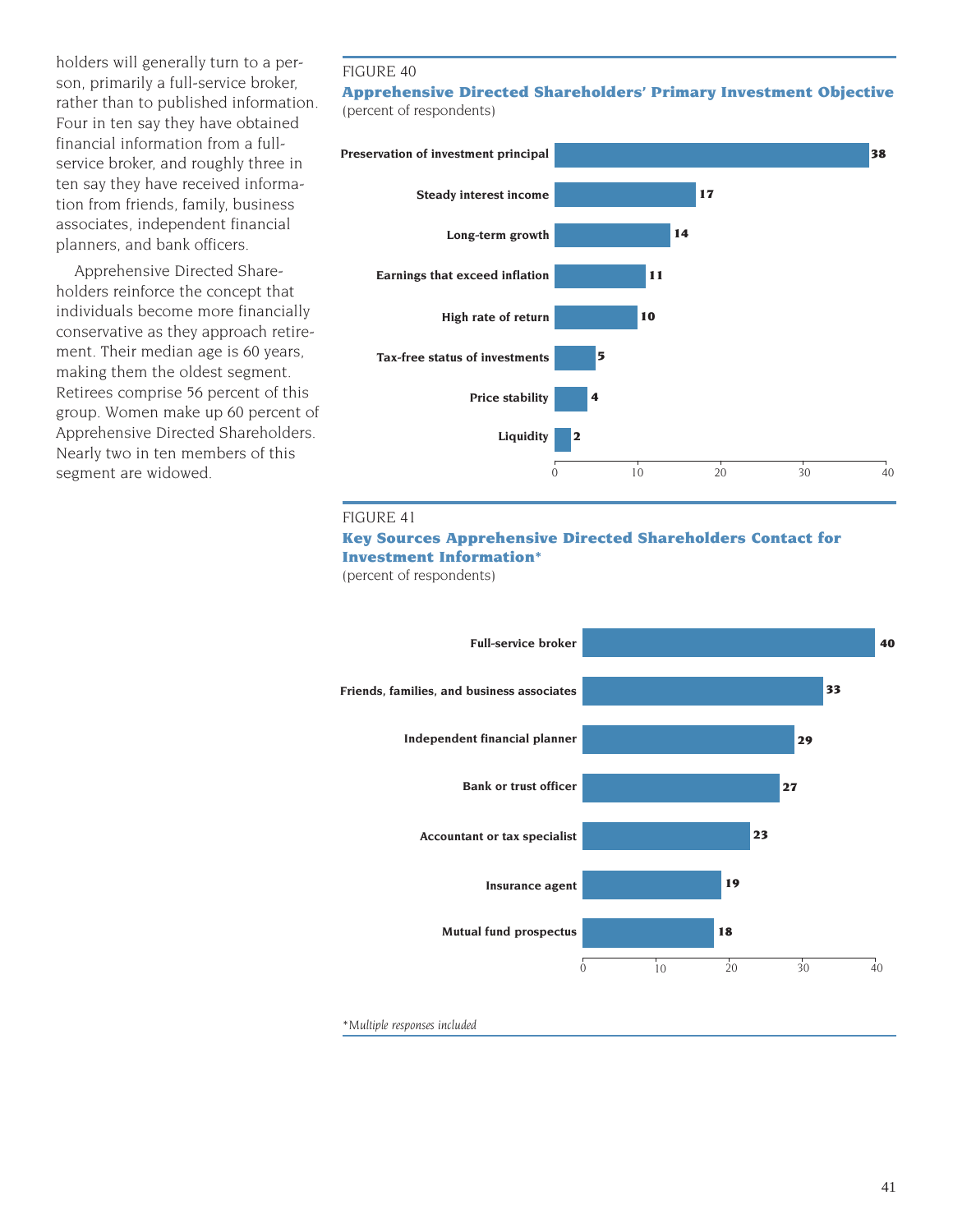holders will generally turn to a person, primarily a full-service broker, rather than to published information. Four in ten say they have obtained financial information from a fullservice broker, and roughly three in ten say they have received information from friends, family, business associates, independent financial planners, and bank officers.

Apprehensive Directed Shareholders reinforce the concept that individuals become more financially conservative as they approach retirement. Their median age is 60 years, making them the oldest segment. Retirees comprise 56 percent of this group. Women make up 60 percent of Apprehensive Directed Shareholders. Nearly two in ten members of this segment are widowed.

#### FIGURE 40

#### **Apprehensive Directed Shareholders' Primary Investment Objective** (percent of respondents)



#### FIGURE 41

### **Key Sources Apprehensive Directed Shareholders Contact for Investment Information\***

(percent of respondents)



*\*Multiple responses included*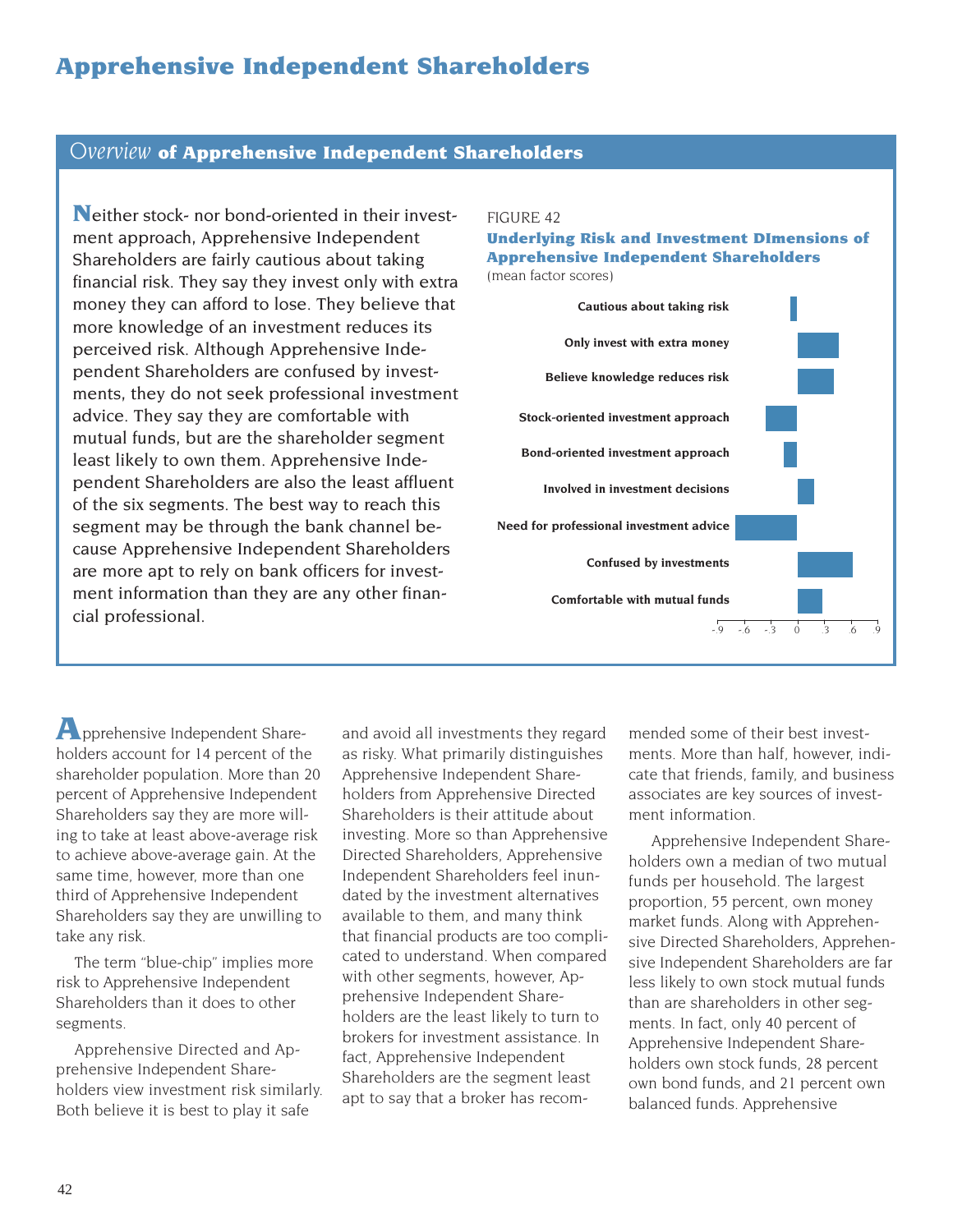# **Apprehensive Independent Shareholders**

# *Overview* **of Apprehensive Independent Shareholders**

**N**either stock- nor bond-oriented in their investment approach, Apprehensive Independent Shareholders are fairly cautious about taking financial risk. They say they invest only with extra money they can afford to lose. They believe that more knowledge of an investment reduces its perceived risk. Although Apprehensive Independent Shareholders are confused by investments, they do not seek professional investment advice. They say they are comfortable with mutual funds, but are the shareholder segment least likely to own them. Apprehensive Independent Shareholders are also the least affluent of the six segments. The best way to reach this segment may be through the bank channel because Apprehensive Independent Shareholders are more apt to rely on bank officers for investment information than they are any other financial professional.

#### FIGURE 42

#### **Underlying Risk and Investment DImensions of Apprehensive Independent Shareholders** (mean factor scores)

**Cautious about taking risk Only invest with extra money Believe knowledge reduces risk Stock-oriented investment approach Need for professional investment advice Bond-oriented investment approach Involved in investment decisions Confused by investments Comfortable with mutual funds** -.9 -.6 -.3 0 .3 .6 .9

pprehensive Independent Share-**A**holders account for 14 percent of the shareholder population. More than 20 percent of Apprehensive Independent Shareholders say they are more willing to take at least above-average risk to achieve above-average gain. At the same time, however, more than one third of Apprehensive Independent Shareholders say they are unwilling to take any risk.

The term "blue-chip" implies more risk to Apprehensive Independent Shareholders than it does to other segments.

Apprehensive Directed and Apprehensive Independent Shareholders view investment risk similarly. Both believe it is best to play it safe

and avoid all investments they regard as risky. What primarily distinguishes Apprehensive Independent Shareholders from Apprehensive Directed Shareholders is their attitude about investing. More so than Apprehensive Directed Shareholders, Apprehensive Independent Shareholders feel inundated by the investment alternatives available to them, and many think that financial products are too complicated to understand. When compared with other segments, however, Apprehensive Independent Shareholders are the least likely to turn to brokers for investment assistance. In fact, Apprehensive Independent Shareholders are the segment least apt to say that a broker has recommended some of their best investments. More than half, however, indicate that friends, family, and business associates are key sources of investment information.

Apprehensive Independent Shareholders own a median of two mutual funds per household. The largest proportion, 55 percent, own money market funds. Along with Apprehensive Directed Shareholders, Apprehensive Independent Shareholders are far less likely to own stock mutual funds than are shareholders in other segments. In fact, only 40 percent of Apprehensive Independent Shareholders own stock funds, 28 percent own bond funds, and 21 percent own balanced funds. Apprehensive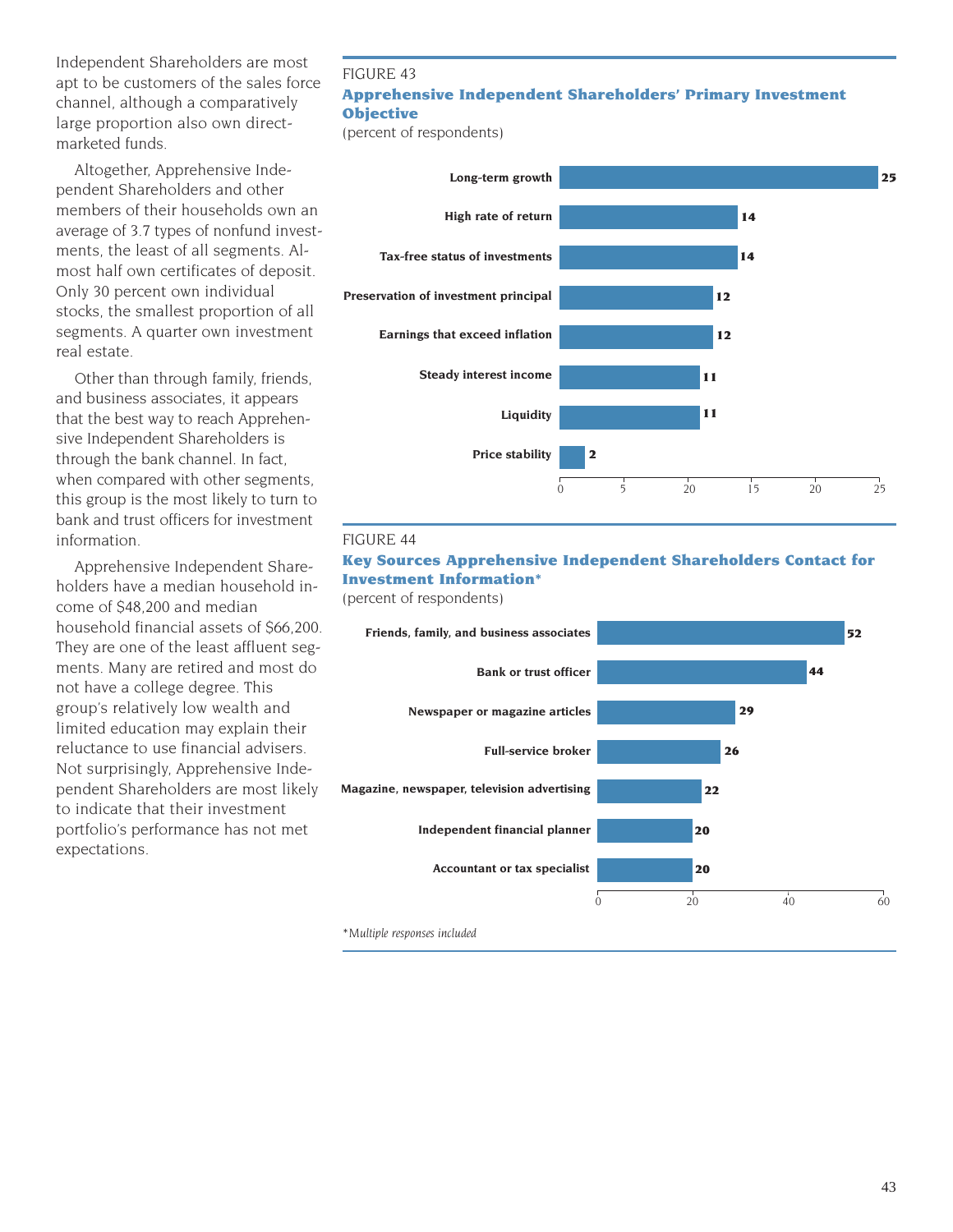Independent Shareholders are most apt to be customers of the sales force channel, although a comparatively large proportion also own directmarketed funds.

Altogether, Apprehensive Independent Shareholders and other members of their households own an average of 3.7 types of nonfund investments, the least of all segments. Almost half own certificates of deposit. Only 30 percent own individual stocks, the smallest proportion of all segments. A quarter own investment real estate.

Other than through family, friends, and business associates, it appears that the best way to reach Apprehensive Independent Shareholders is through the bank channel. In fact, when compared with other segments, this group is the most likely to turn to bank and trust officers for investment information.

Apprehensive Independent Shareholders have a median household income of \$48,200 and median household financial assets of \$66,200. They are one of the least affluent segments. Many are retired and most do not have a college degree. This group's relatively low wealth and limited education may explain their reluctance to use financial advisers. Not surprisingly, Apprehensive Independent Shareholders are most likely to indicate that their investment portfolio's performance has not met expectations.

### FIGURE 43 **Apprehensive Independent Shareholders' Primary Investment Objective**

(percent of respondents)



#### FIGURE 44

# **Key Sources Apprehensive Independent Shareholders Contact for Investment Information\***

(percent of respondents)

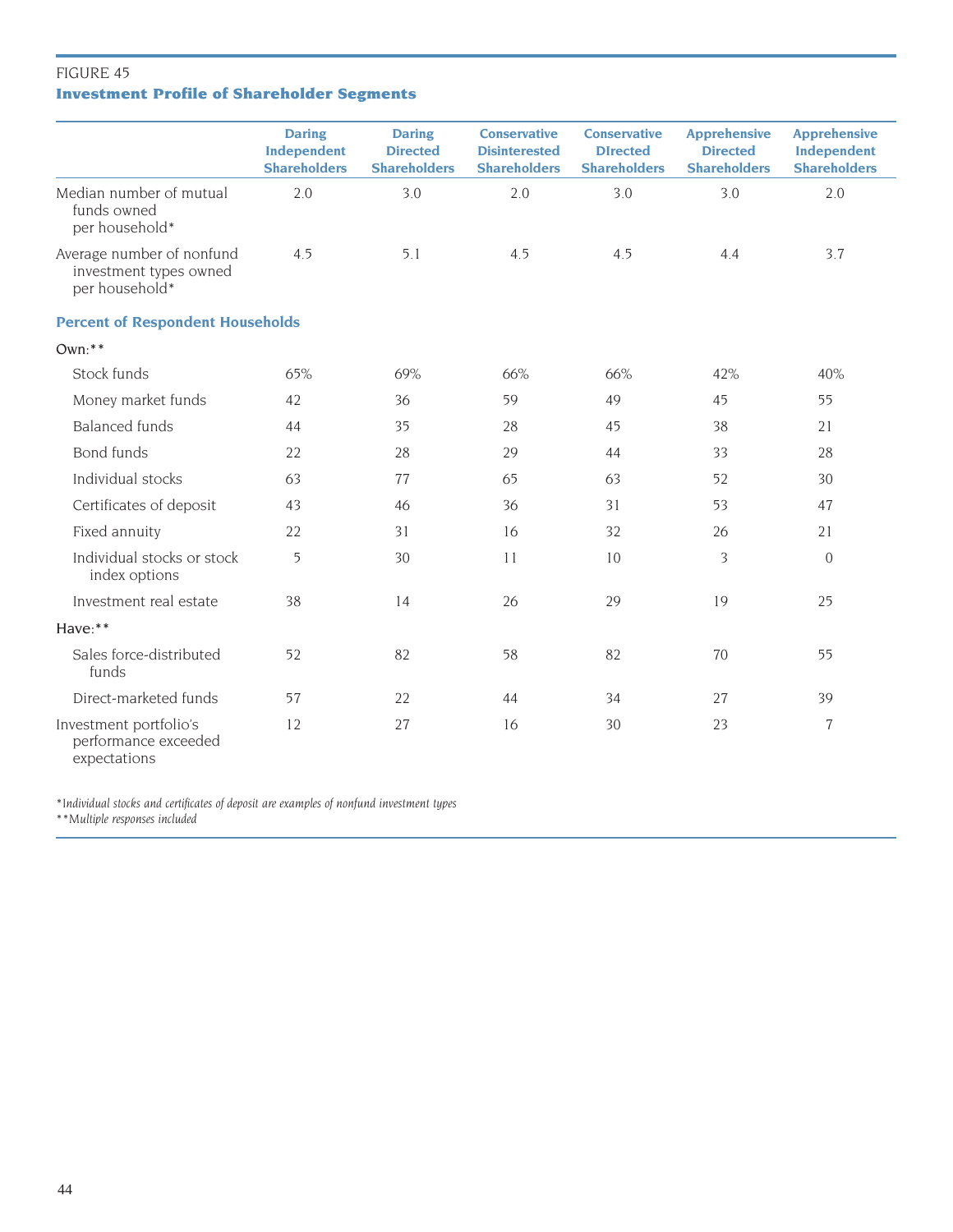# FIGURE 45 **Investment Profile of Shareholder Segments**

|                                                                       | <b>Daring</b><br>Independent<br><b>Shareholders</b> | <b>Daring</b><br><b>Directed</b><br><b>Shareholders</b> | <b>Conservative</b><br><b>Disinterested</b><br><b>Shareholders</b> | <b>Conservative</b><br><b>DIrected</b><br><b>Shareholders</b> | <b>Apprehensive</b><br><b>Directed</b><br><b>Shareholders</b> | <b>Apprehensive</b><br>Independent<br><b>Shareholders</b> |
|-----------------------------------------------------------------------|-----------------------------------------------------|---------------------------------------------------------|--------------------------------------------------------------------|---------------------------------------------------------------|---------------------------------------------------------------|-----------------------------------------------------------|
| Median number of mutual<br>funds owned<br>per household*              | 2.0                                                 | 3.0                                                     | 2.0                                                                | 3.0                                                           | 3.0                                                           | 2.0                                                       |
| Average number of nonfund<br>investment types owned<br>per household* | 4.5                                                 | 5.1                                                     | 4.5                                                                | 4.5                                                           | 4.4                                                           | 3.7                                                       |
| <b>Percent of Respondent Households</b>                               |                                                     |                                                         |                                                                    |                                                               |                                                               |                                                           |
| $Own: **$                                                             |                                                     |                                                         |                                                                    |                                                               |                                                               |                                                           |
| Stock funds                                                           | 65%                                                 | 69%                                                     | 66%                                                                | 66%                                                           | 42%                                                           | 40%                                                       |
| Money market funds                                                    | 42                                                  | 36                                                      | 59                                                                 | 49                                                            | 45                                                            | 55                                                        |
| <b>Balanced</b> funds                                                 | 44                                                  | 35                                                      | 28                                                                 | 45                                                            | 38                                                            | 21                                                        |
| Bond funds                                                            | 22                                                  | 28                                                      | 29                                                                 | 44                                                            | 33                                                            | 28                                                        |
| Individual stocks                                                     | 63                                                  | 77                                                      | 65                                                                 | 63                                                            | 52                                                            | 30                                                        |
| Certificates of deposit                                               | 43                                                  | 46                                                      | 36                                                                 | 31                                                            | 53                                                            | 47                                                        |
| Fixed annuity                                                         | 22                                                  | 31                                                      | 16                                                                 | 32                                                            | 26                                                            | 21                                                        |
| Individual stocks or stock<br>index options                           | 5                                                   | 30                                                      | 11                                                                 | 10                                                            | 3                                                             | $\overline{0}$                                            |
| Investment real estate                                                | 38                                                  | 14                                                      | 26                                                                 | 29                                                            | 19                                                            | 25                                                        |
| Have:**                                                               |                                                     |                                                         |                                                                    |                                                               |                                                               |                                                           |
| Sales force-distributed<br>funds                                      | 52                                                  | 82                                                      | 58                                                                 | 82                                                            | 70                                                            | 55                                                        |
| Direct-marketed funds                                                 | 57                                                  | 22                                                      | 44                                                                 | 34                                                            | 27                                                            | 39                                                        |
| Investment portfolio's<br>performance exceeded<br>expectations        | 12                                                  | 27                                                      | 16                                                                 | 30                                                            | 23                                                            | $\overline{7}$                                            |

*\*Individual stocks and certificates of deposit are examples of nonfund investment types*

*\*\*Multiple responses included*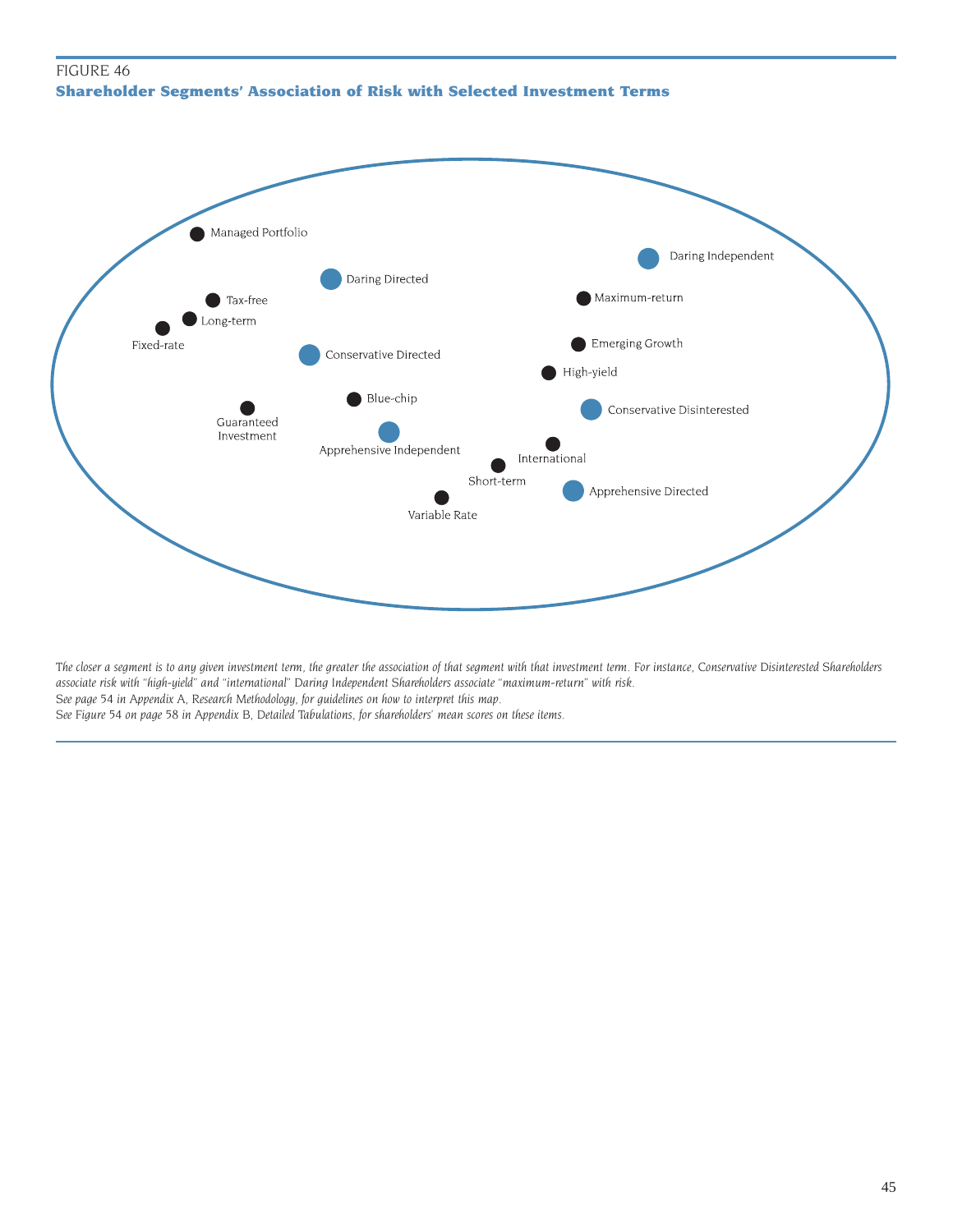# FIGURE 46 **Shareholder Segments' Association of Risk with Selected Investment Terms**



*The closer a segment is to any given investment term, the greater the association of that segment with that investment term. For instance, Conservative Disinterested Shareholders associate risk with "high-yield" and "international" Daring Independent Shareholders associate "maximum-return" with risk. See page 54 in Appendix A, Research Methodology, for guidelines on how to interpret this map. See Figure 54 on page 58 in Appendix B, Detailed Tabulations, for shareholders' mean scores on these items.*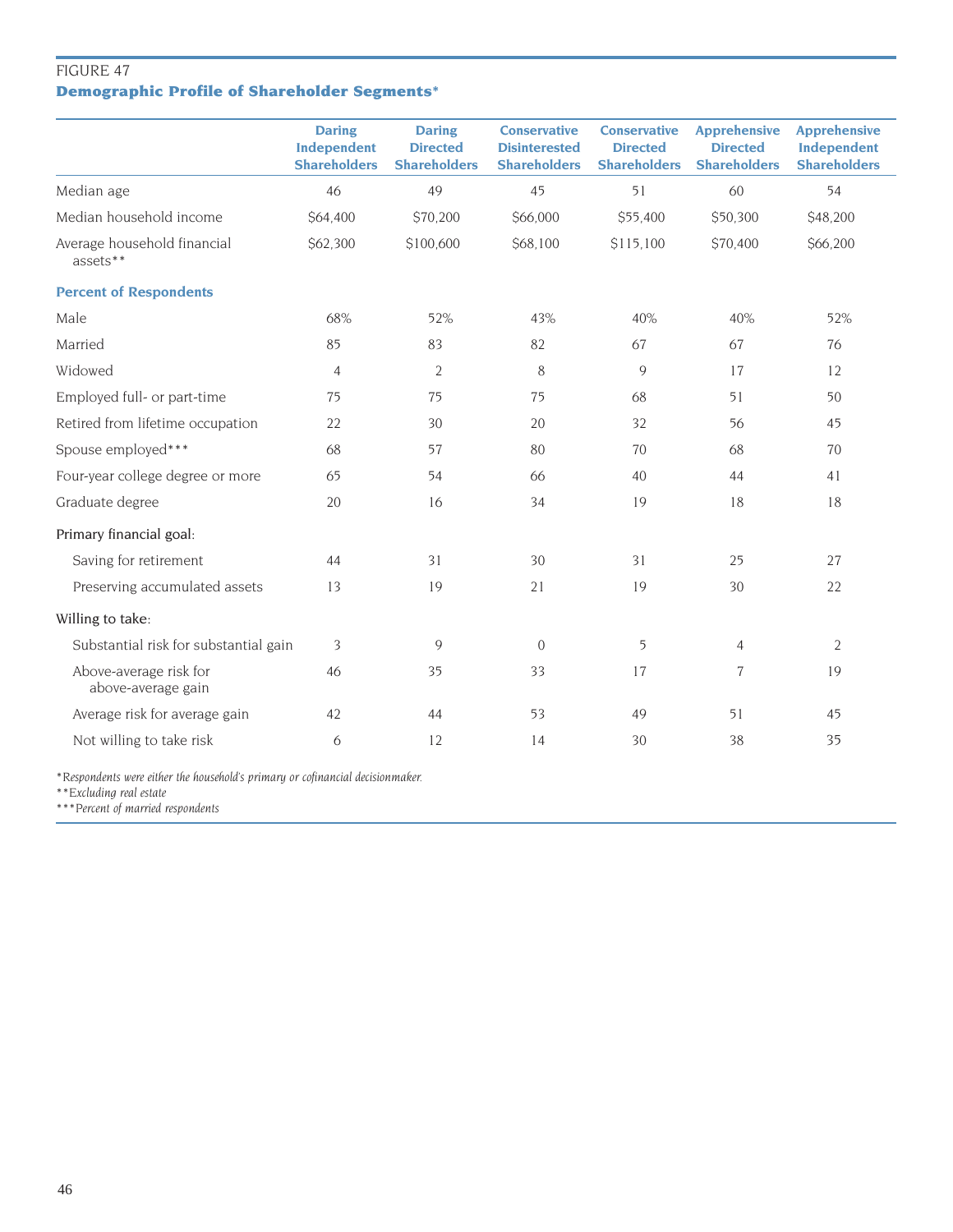# FIGURE 47 **Demographic Profile of Shareholder Segments\***

|                                              | <b>Daring</b><br>Independent<br><b>Shareholders</b> | <b>Daring</b><br><b>Directed</b><br><b>Shareholders</b> | <b>Conservative</b><br><b>Disinterested</b><br><b>Shareholders</b> | <b>Conservative</b><br><b>Directed</b><br><b>Shareholders</b> | <b>Apprehensive</b><br><b>Directed</b><br><b>Shareholders</b> | <b>Apprehensive</b><br>Independent<br><b>Shareholders</b> |
|----------------------------------------------|-----------------------------------------------------|---------------------------------------------------------|--------------------------------------------------------------------|---------------------------------------------------------------|---------------------------------------------------------------|-----------------------------------------------------------|
| Median age                                   | 46                                                  | 49                                                      | 45                                                                 | 51                                                            | 60                                                            | 54                                                        |
| Median household income                      | \$64,400                                            | \$70,200                                                | \$66,000                                                           | \$55,400                                                      | \$50,300                                                      | \$48,200                                                  |
| Average household financial<br>assets**      | \$62,300                                            | \$100,600                                               | \$68,100                                                           | \$115,100                                                     | \$70,400                                                      | \$66,200                                                  |
| <b>Percent of Respondents</b>                |                                                     |                                                         |                                                                    |                                                               |                                                               |                                                           |
| Male                                         | 68%                                                 | 52%                                                     | 43%                                                                | 40%                                                           | 40%                                                           | 52%                                                       |
| Married                                      | 85                                                  | 83                                                      | 82                                                                 | 67                                                            | 67                                                            | 76                                                        |
| Widowed                                      | $\overline{4}$                                      | $\sqrt{2}$                                              | 8                                                                  | $\mathcal{Q}$                                                 | 17                                                            | 12                                                        |
| Employed full- or part-time                  | 75                                                  | 75                                                      | 75                                                                 | 68                                                            | 51                                                            | 50                                                        |
| Retired from lifetime occupation             | 22                                                  | 30                                                      | 20                                                                 | 32                                                            | 56                                                            | 45                                                        |
| Spouse employed***                           | 68                                                  | 57                                                      | 80                                                                 | 70                                                            | 68                                                            | 70                                                        |
| Four-year college degree or more             | 65                                                  | 54                                                      | 66                                                                 | 40                                                            | 44                                                            | 41                                                        |
| Graduate degree                              | 20                                                  | 16                                                      | 34                                                                 | 19                                                            | 18                                                            | 18                                                        |
| Primary financial goal:                      |                                                     |                                                         |                                                                    |                                                               |                                                               |                                                           |
| Saving for retirement                        | 44                                                  | 31                                                      | 30                                                                 | 31                                                            | 25                                                            | 27                                                        |
| Preserving accumulated assets                | 13                                                  | 19                                                      | 21                                                                 | 19                                                            | 30                                                            | 22                                                        |
| Willing to take:                             |                                                     |                                                         |                                                                    |                                                               |                                                               |                                                           |
| Substantial risk for substantial gain        | 3                                                   | 9                                                       | $\mathbf{0}$                                                       | 5                                                             | $\overline{4}$                                                | $\overline{2}$                                            |
| Above-average risk for<br>above-average gain | 46                                                  | 35                                                      | 33                                                                 | 17                                                            | 7                                                             | 19                                                        |
| Average risk for average gain                | 42                                                  | 44                                                      | 53                                                                 | 49                                                            | 51                                                            | 45                                                        |
| Not willing to take risk                     | 6                                                   | 12                                                      | 14                                                                 | 30                                                            | 38                                                            | 35                                                        |

*\*Respondents were either the household's primary or cofinancial decisionmaker.*

*\*\*Excluding real estate*

*\*\*\*Percent of married respondents*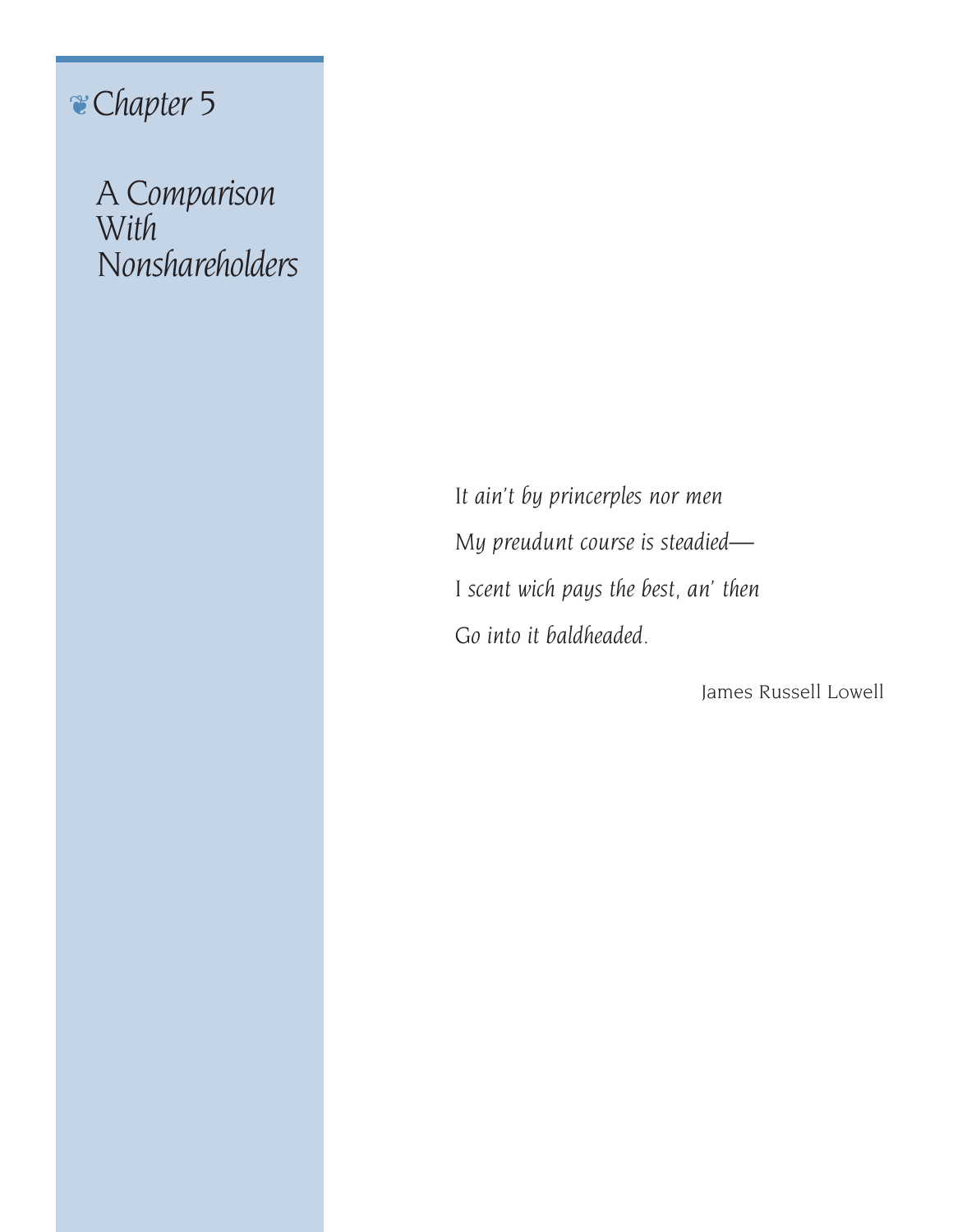# ❦*Chapter 5*

*A Comparison With Nonshareholders*

> *It ain't by princerples nor men My preudunt course is steadied— I scent wich pays the best, an' then Go into it baldheaded.*

> > James Russell Lowell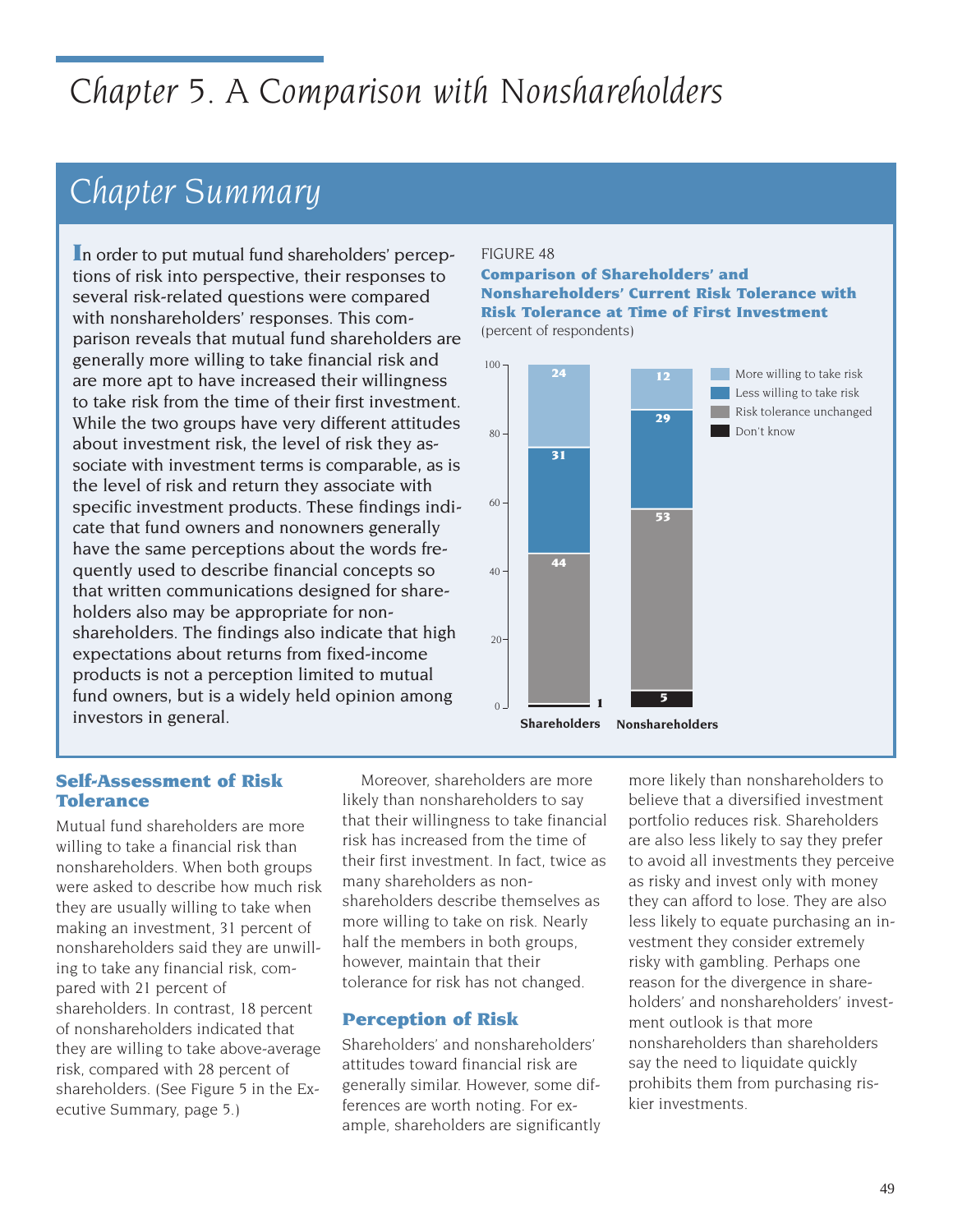# *Chapter 5. A Comparison with Nonshareholders*

# *Chapter Summary*

**I**n order to put mutual fund shareholders' perceptions of risk into perspective, their responses to several risk-related questions were compared with nonshareholders' responses. This comparison reveals that mutual fund shareholders are generally more willing to take financial risk and are more apt to have increased their willingness to take risk from the time of their first investment. While the two groups have very different attitudes about investment risk, the level of risk they associate with investment terms is comparable, as is the level of risk and return they associate with specific investment products. These findings indicate that fund owners and nonowners generally have the same perceptions about the words frequently used to describe financial concepts so that written communications designed for shareholders also may be appropriate for nonshareholders. The findings also indicate that high expectations about returns from fixed-income products is not a perception limited to mutual fund owners, but is a widely held opinion among investors in general.

#### FIGURE 48

#### **Comparison of Shareholders' and Nonshareholders' Current Risk Tolerance with Risk Tolerance at Time of First Investment** (percent of respondents)



### **Self-Assessment of Risk Tolerance**

Mutual fund shareholders are more willing to take a financial risk than nonshareholders. When both groups were asked to describe how much risk they are usually willing to take when making an investment, 31 percent of nonshareholders said they are unwilling to take any financial risk, compared with 21 percent of shareholders. In contrast, 18 percent of nonshareholders indicated that they are willing to take above-average risk, compared with 28 percent of shareholders. (See Figure 5 in the Executive Summary, page 5.)

Moreover, shareholders are more likely than nonshareholders to say that their willingness to take financial risk has increased from the time of their first investment. In fact, twice as many shareholders as nonshareholders describe themselves as more willing to take on risk. Nearly half the members in both groups, however, maintain that their tolerance for risk has not changed.

# **Perception of Risk**

Shareholders' and nonshareholders' attitudes toward financial risk are generally similar. However, some differences are worth noting. For example, shareholders are significantly more likely than nonshareholders to believe that a diversified investment portfolio reduces risk. Shareholders are also less likely to say they prefer to avoid all investments they perceive as risky and invest only with money they can afford to lose. They are also less likely to equate purchasing an investment they consider extremely risky with gambling. Perhaps one reason for the divergence in shareholders' and nonshareholders' investment outlook is that more nonshareholders than shareholders say the need to liquidate quickly prohibits them from purchasing riskier investments.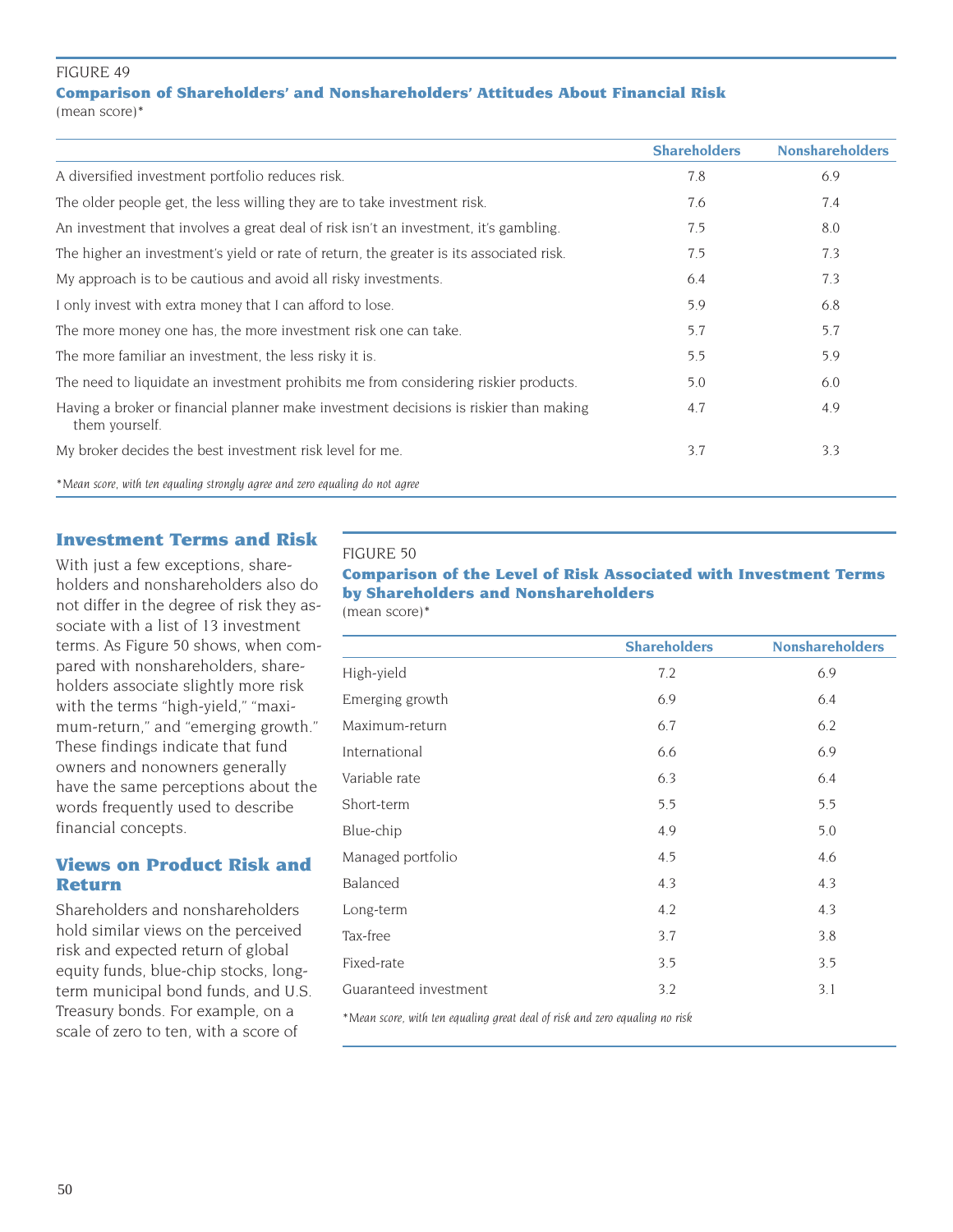#### FIGURE 49

#### **Comparison of Shareholders' and Nonshareholders' Attitudes About Financial Risk**

(mean score)\*

|                                                                                                         | <b>Shareholders</b> | <b>Nonshareholders</b> |
|---------------------------------------------------------------------------------------------------------|---------------------|------------------------|
| A diversified investment portfolio reduces risk.                                                        | 7.8                 | 6.9                    |
| The older people get, the less willing they are to take investment risk.                                | 7.6                 | 7.4                    |
| An investment that involves a great deal of risk isn't an investment, it's gambling.                    | 7.5                 | 8.0                    |
| The higher an investment's yield or rate of return, the greater is its associated risk.                 | 7.5                 | 7.3                    |
| My approach is to be cautious and avoid all risky investments.                                          | 6.4                 | 7.3                    |
| I only invest with extra money that I can afford to lose.                                               | 5.9                 | 6.8                    |
| The more money one has, the more investment risk one can take.                                          | 5.7                 | 5.7                    |
| The more familiar an investment, the less risky it is.                                                  | 5.5                 | 5.9                    |
| The need to liquidate an investment prohibits me from considering riskier products.                     | 5.0                 | 6.0                    |
| Having a broker or financial planner make investment decisions is riskier than making<br>them yourself. | 4.7                 | 4.9                    |
| My broker decides the best investment risk level for me.                                                | 3.7                 | 3.3                    |
| *Mean score, with ten equaling strongly agree and zero equaling do not agree                            |                     |                        |

# **Investment Terms and Risk**

With just a few exceptions, shareholders and nonshareholders also do not differ in the degree of risk they associate with a list of 13 investment terms. As Figure 50 shows, when compared with nonshareholders, shareholders associate slightly more risk with the terms "high-yield," "maximum-return," and "emerging growth." These findings indicate that fund owners and nonowners generally have the same perceptions about the words frequently used to describe financial concepts.

# **Views on Product Risk and Return**

Shareholders and nonshareholders hold similar views on the perceived risk and expected return of global equity funds, blue-chip stocks, longterm municipal bond funds, and U.S. Treasury bonds. For example, on a scale of zero to ten, with a score of

#### FIGURE 50

**Comparison of the Level of Risk Associated with Investment Terms by Shareholders and Nonshareholders** (mean score)\*

|                       | <b>Shareholders</b> | <b>Nonshareholders</b> |
|-----------------------|---------------------|------------------------|
| High-yield            | 7.2                 | 6.9                    |
| Emerging growth       | 6.9                 | 6.4                    |
| Maximum-return        | 6.7                 | 6.2                    |
| International         | 6.6                 | 6.9                    |
| Variable rate         | 6.3                 | 6.4                    |
| Short-term            | 5.5                 | 5.5                    |
| Blue-chip             | 4.9                 | 5.0                    |
| Managed portfolio     | 4.5                 | 4.6                    |
| Balanced              | 4.3                 | 4.3                    |
| Long-term             | 4.2                 | 4.3                    |
| Tax-free              | 3.7                 | 3.8                    |
| Fixed-rate            | 3.5                 | 3.5                    |
| Guaranteed investment | 3.2                 | 3.1                    |

*\*Mean score, with ten equaling great deal of risk and zero equaling no risk*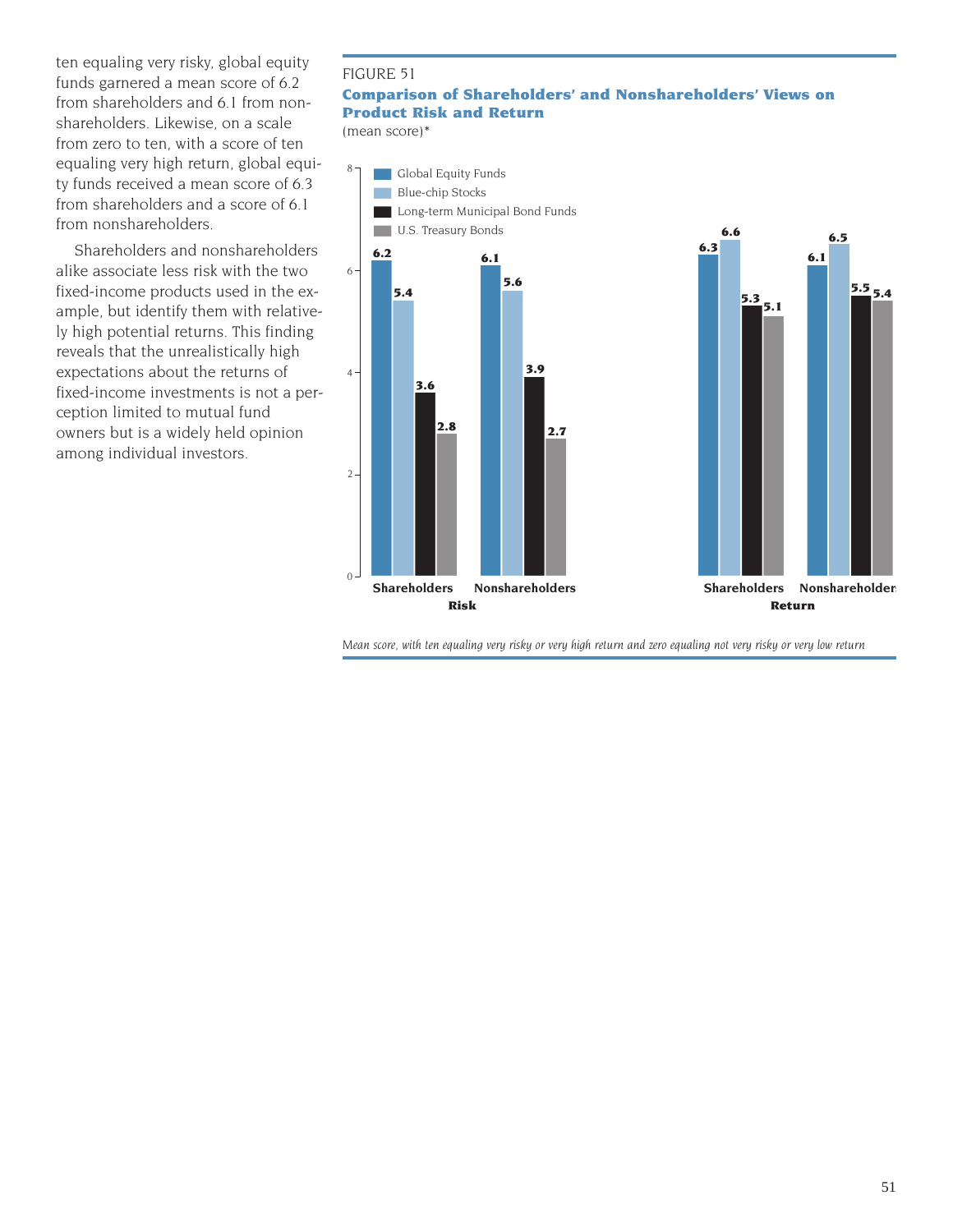ten equaling very risky, global equity funds garnered a mean score of 6.2 from shareholders and 6.1 from nonshareholders. Likewise, on a scale from zero to ten, with a score of ten equaling very high return, global equity funds received a mean score of 6.3 from shareholders and a score of 6.1 from nonshareholders.

Shareholders and nonshareholders alike associate less risk with the two fixed-income products used in the example, but identify them with relatively high potential returns. This finding reveals that the unrealistically high expectations about the returns of fixed-income investments is not a perception limited to mutual fund owners but is a widely held opinion among individual investors.

#### FIGURE 51

# **Comparison of Shareholders' and Nonshareholders' Views on Product Risk and Return**

(mean score)\*



*Mean score, with ten equaling very risky or very high return and zero equaling not very risky or very low return*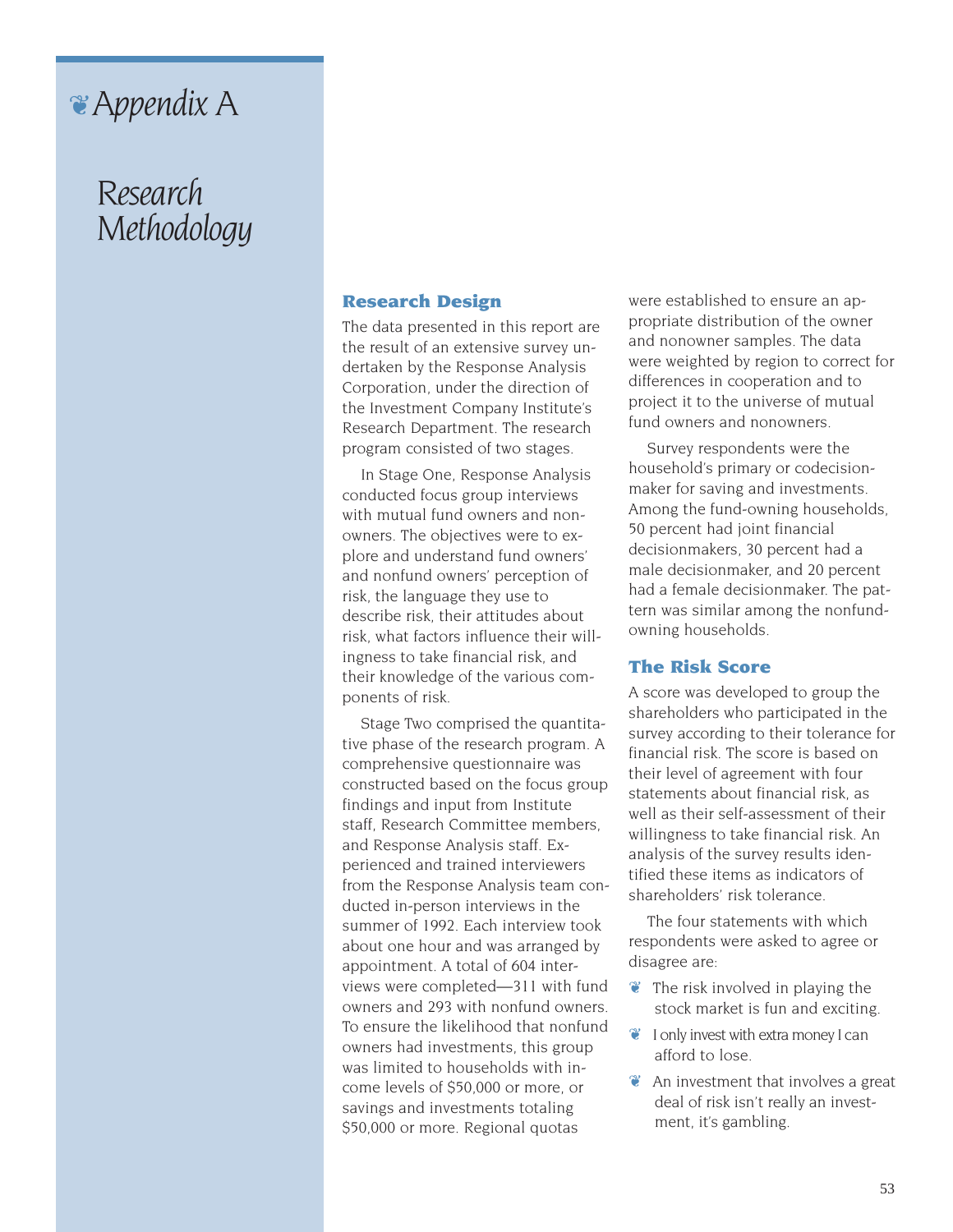# ❦*Appendix A*

# *Research Methodology*

#### **Research Design**

The data presented in this report are the result of an extensive survey undertaken by the Response Analysis Corporation, under the direction of the Investment Company Institute's Research Department. The research program consisted of two stages.

In Stage One, Response Analysis conducted focus group interviews with mutual fund owners and nonowners. The objectives were to explore and understand fund owners' and nonfund owners' perception of risk, the language they use to describe risk, their attitudes about risk, what factors influence their willingness to take financial risk, and their knowledge of the various components of risk.

Stage Two comprised the quantitative phase of the research program. A comprehensive questionnaire was constructed based on the focus group findings and input from Institute staff, Research Committee members, and Response Analysis staff. Experienced and trained interviewers from the Response Analysis team conducted in-person interviews in the summer of 1992. Each interview took about one hour and was arranged by appointment. A total of 604 interviews were completed—311 with fund owners and 293 with nonfund owners. To ensure the likelihood that nonfund owners had investments, this group was limited to households with income levels of \$50,000 or more, or savings and investments totaling \$50,000 or more. Regional quotas

were established to ensure an appropriate distribution of the owner and nonowner samples. The data were weighted by region to correct for differences in cooperation and to project it to the universe of mutual fund owners and nonowners.

Survey respondents were the household's primary or codecisionmaker for saving and investments. Among the fund-owning households, 50 percent had joint financial decisionmakers, 30 percent had a male decisionmaker, and 20 percent had a female decisionmaker. The pattern was similar among the nonfundowning households.

#### **The Risk Score**

A score was developed to group the shareholders who participated in the survey according to their tolerance for financial risk. The score is based on their level of agreement with four statements about financial risk, as well as their self-assessment of their willingness to take financial risk. An analysis of the survey results identified these items as indicators of shareholders' risk tolerance.

The four statements with which respondents were asked to agree or disagree are:

- $\bullet$  The risk involved in playing the stock market is fun and exciting.
- ❦ I only invest with extra money I can afford to lose.
- $\bullet$  An investment that involves a great deal of risk isn't really an investment, it's gambling.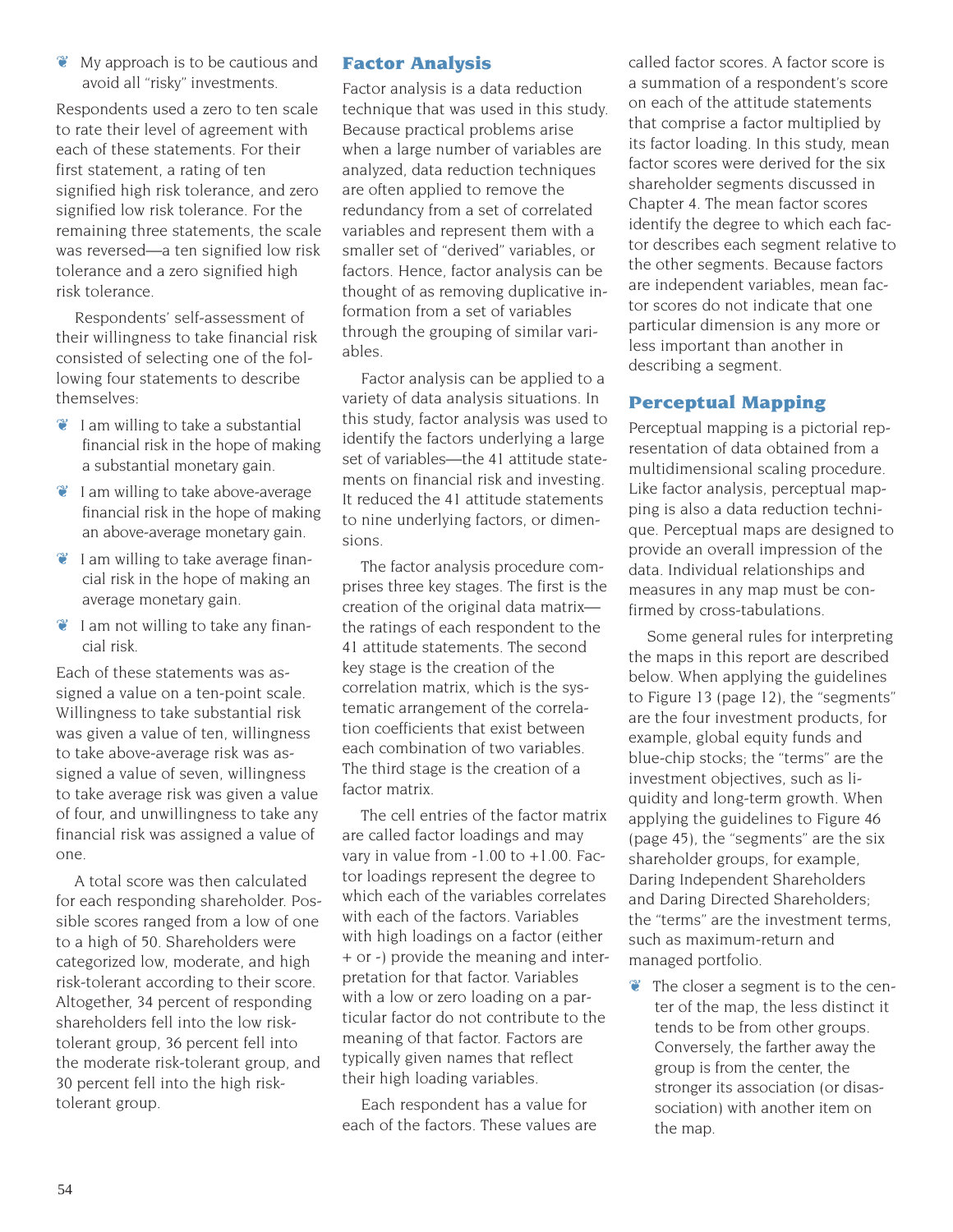$\bullet$  My approach is to be cautious and avoid all "risky" investments.

Respondents used a zero to ten scale to rate their level of agreement with each of these statements. For their first statement, a rating of ten signified high risk tolerance, and zero signified low risk tolerance. For the remaining three statements, the scale was reversed—a ten signified low risk tolerance and a zero signified high risk tolerance.

Respondents' self-assessment of their willingness to take financial risk consisted of selecting one of the following four statements to describe themselves:

- $\bullet$  I am willing to take a substantial financial risk in the hope of making a substantial monetary gain.
- $\bullet$  I am willing to take above-average financial risk in the hope of making an above-average monetary gain.
- $\bullet$  I am willing to take average financial risk in the hope of making an average monetary gain.
- $\bullet$  I am not willing to take any financial risk.

Each of these statements was assigned a value on a ten-point scale. Willingness to take substantial risk was given a value of ten, willingness to take above-average risk was assigned a value of seven, willingness to take average risk was given a value of four, and unwillingness to take any financial risk was assigned a value of one.

A total score was then calculated for each responding shareholder. Possible scores ranged from a low of one to a high of 50. Shareholders were categorized low, moderate, and high risk-tolerant according to their score. Altogether, 34 percent of responding shareholders fell into the low risktolerant group, 36 percent fell into the moderate risk-tolerant group, and 30 percent fell into the high risktolerant group.

# **Factor Analysis**

Factor analysis is a data reduction technique that was used in this study. Because practical problems arise when a large number of variables are analyzed, data reduction techniques are often applied to remove the redundancy from a set of correlated variables and represent them with a smaller set of "derived" variables, or factors. Hence, factor analysis can be thought of as removing duplicative information from a set of variables through the grouping of similar variables.

Factor analysis can be applied to a variety of data analysis situations. In this study, factor analysis was used to identify the factors underlying a large set of variables—the 41 attitude statements on financial risk and investing. It reduced the 41 attitude statements to nine underlying factors, or dimensions.

The factor analysis procedure comprises three key stages. The first is the creation of the original data matrix the ratings of each respondent to the 41 attitude statements. The second key stage is the creation of the correlation matrix, which is the systematic arrangement of the correlation coefficients that exist between each combination of two variables. The third stage is the creation of a factor matrix.

The cell entries of the factor matrix are called factor loadings and may vary in value from -1.00 to +1.00. Factor loadings represent the degree to which each of the variables correlates with each of the factors. Variables with high loadings on a factor (either + or -) provide the meaning and interpretation for that factor. Variables with a low or zero loading on a particular factor do not contribute to the meaning of that factor. Factors are typically given names that reflect their high loading variables.

Each respondent has a value for each of the factors. These values are called factor scores. A factor score is a summation of a respondent's score on each of the attitude statements that comprise a factor multiplied by its factor loading. In this study, mean factor scores were derived for the six shareholder segments discussed in Chapter 4. The mean factor scores identify the degree to which each factor describes each segment relative to the other segments. Because factors are independent variables, mean factor scores do not indicate that one particular dimension is any more or less important than another in describing a segment.

# **Perceptual Mapping**

Perceptual mapping is a pictorial representation of data obtained from a multidimensional scaling procedure. Like factor analysis, perceptual mapping is also a data reduction technique. Perceptual maps are designed to provide an overall impression of the data. Individual relationships and measures in any map must be confirmed by cross-tabulations.

Some general rules for interpreting the maps in this report are described below. When applying the guidelines to Figure 13 (page 12), the "segments" are the four investment products, for example, global equity funds and blue-chip stocks; the "terms" are the investment objectives, such as liquidity and long-term growth. When applying the guidelines to Figure 46 (page 45), the "segments" are the six shareholder groups, for example, Daring Independent Shareholders and Daring Directed Shareholders; the "terms" are the investment terms, such as maximum-return and managed portfolio.

❦ The closer a segment is to the center of the map, the less distinct it tends to be from other groups. Conversely, the farther away the group is from the center, the stronger its association (or disassociation) with another item on the map.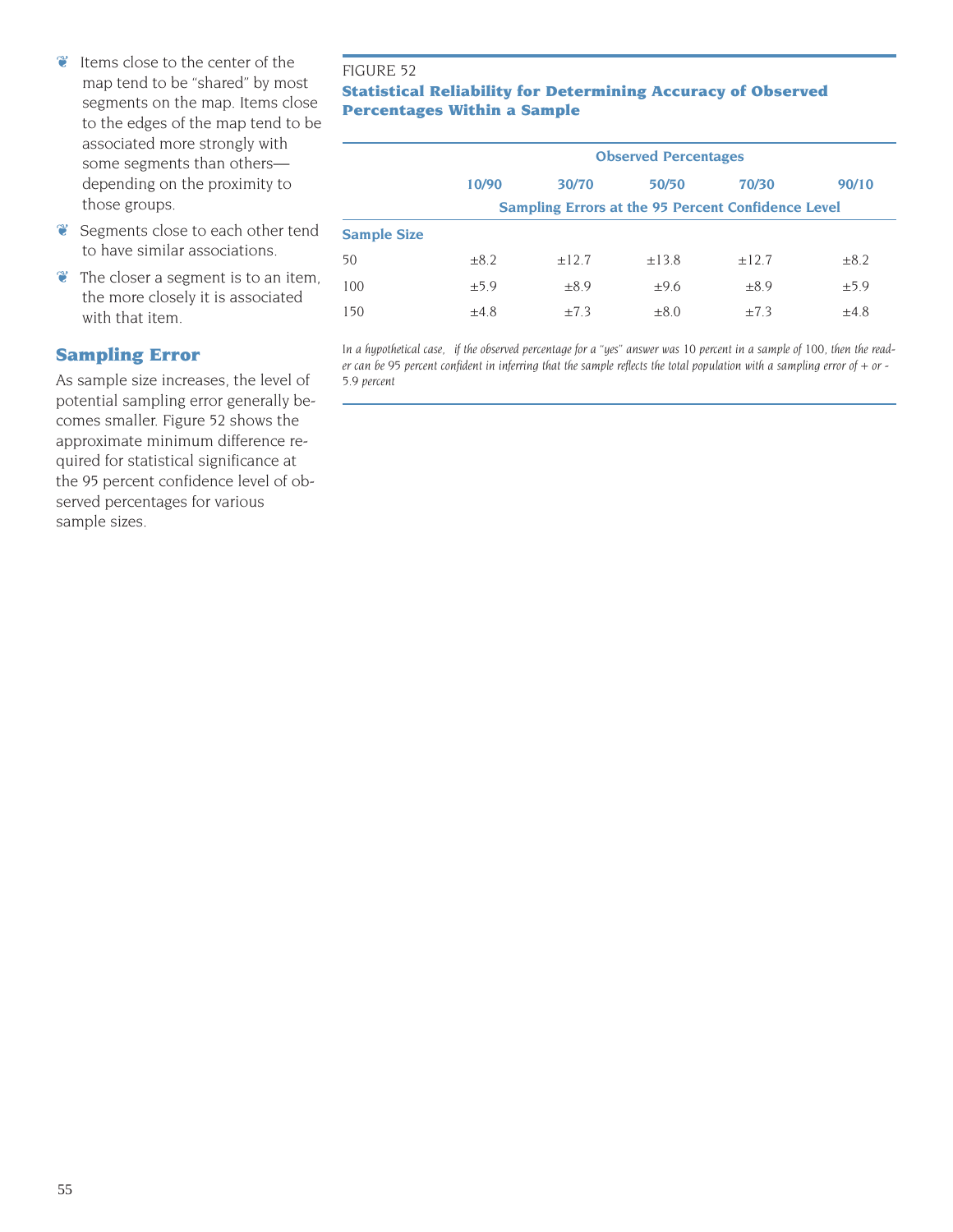- ❦ Items close to the center of the map tend to be "shared" by most segments on the map. Items close to the edges of the map tend to be associated more strongly with some segments than others depending on the proximity to those groups.
- ❦ Segments close to each other tend to have similar associations.
- $\bullet$  The closer a segment is to an item, the more closely it is associated with that item.

# **Sampling Error**

As sample size increases, the level of potential sampling error generally becomes smaller. Figure 52 shows the approximate minimum difference required for statistical significance at the 95 percent confidence level of observed percentages for various sample sizes.

#### FIGURE 52

## **Statistical Reliability for Determining Accuracy of Observed Percentages Within a Sample**

|                    | <b>Observed Percentages</b> |                                                           |            |            |           |  |  |  |  |  |
|--------------------|-----------------------------|-----------------------------------------------------------|------------|------------|-----------|--|--|--|--|--|
|                    | 10/90                       | 30/70                                                     | 50/50      | 70/30      | 90/10     |  |  |  |  |  |
|                    |                             | <b>Sampling Errors at the 95 Percent Confidence Level</b> |            |            |           |  |  |  |  |  |
| <b>Sample Size</b> |                             |                                                           |            |            |           |  |  |  |  |  |
| 50                 | $\pm 8.2$                   | ±12.7                                                     | $\pm$ 13.8 | $\pm$ 12.7 | $\pm 8.2$ |  |  |  |  |  |
| 100                | ±5.9                        | $\pm 8.9$                                                 | ±9.6       | $\pm 8.9$  | ±5.9      |  |  |  |  |  |
| 150                | $\pm 4.8$                   | $\pm 7.3$                                                 | $\pm 8.0$  | $\pm 7.3$  | $\pm 4.8$ |  |  |  |  |  |

*In a hypothetical case, if the observed percentage for a "yes" answer was 10 percent in a sample of 100, then the reader can be 95 percent confident in inferring that the sample reflects the total population with a sampling error of + or - 5.9 percent*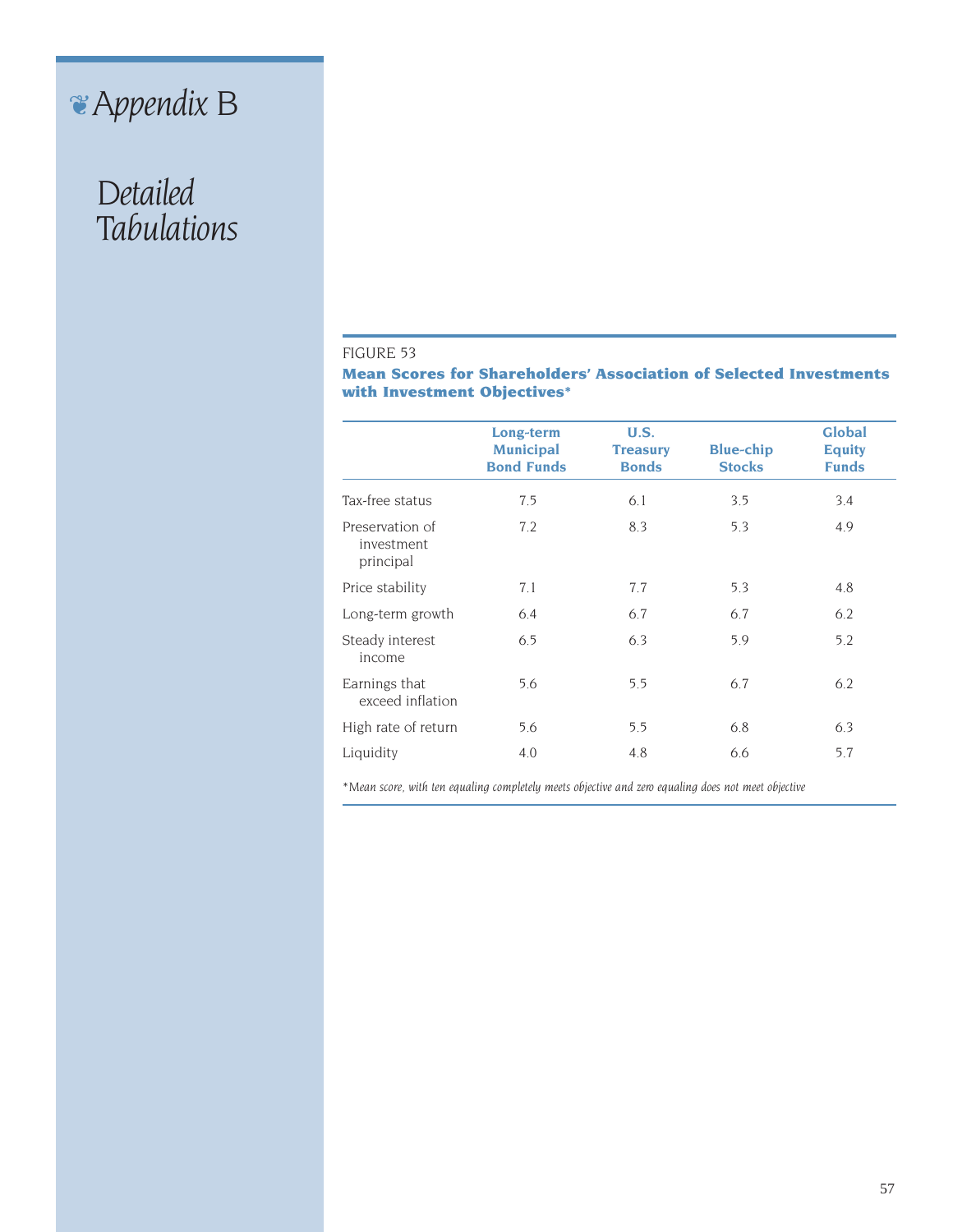# ❦*Appendix B*

# *Detailed Tabulations*

#### FIGURE 53

**Mean Scores for Shareholders' Association of Selected Investments with Investment Objectives\***

|                                            | Long-term                             | <b>U.S.</b>                     |                                   | Global                        |
|--------------------------------------------|---------------------------------------|---------------------------------|-----------------------------------|-------------------------------|
|                                            | <b>Municipal</b><br><b>Bond Funds</b> | <b>Treasury</b><br><b>Bonds</b> | <b>Blue-chip</b><br><b>Stocks</b> | <b>Equity</b><br><b>Funds</b> |
| Tax-free status                            | 7.5                                   | 6.1                             | 3.5                               | 3.4                           |
| Preservation of<br>investment<br>principal | 7.2                                   | 8.3                             | 5.3                               | 4.9                           |
| Price stability                            | 7.1                                   | 7.7                             | 5.3                               | 4.8                           |
| Long-term growth                           | 6.4                                   | 6.7                             | 6.7                               | 6.2                           |
| Steady interest<br>income                  | 6.5                                   | 6.3                             | 5.9                               | 5.2                           |
| Earnings that<br>exceed inflation          | 5.6                                   | 5.5                             | 6.7                               | 6.2                           |
| High rate of return                        | 5.6                                   | 5.5                             | 6.8                               | 6.3                           |
| Liquidity                                  | 4.0                                   | 4.8                             | 6.6                               | 5.7                           |

*\*Mean score, with ten equaling completely meets objective and zero equaling does not meet objective*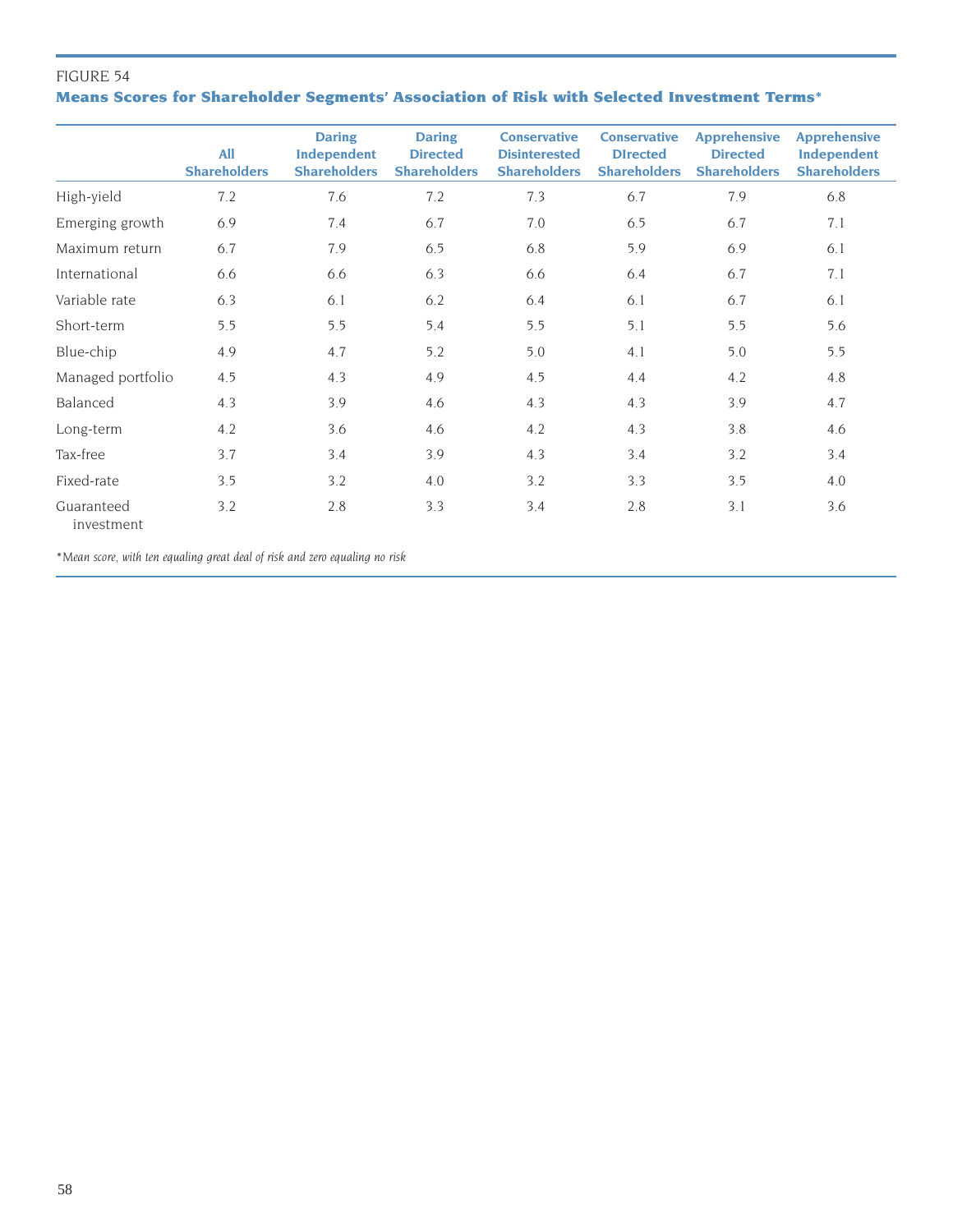# FIGURE 54 **Means Scores for Shareholder Segments' Association of Risk with Selected Investment Terms\***

|                          | <b>All</b><br><b>Shareholders</b> | <b>Daring</b><br>Independent<br><b>Shareholders</b> | <b>Daring</b><br><b>Directed</b><br><b>Shareholders</b> | <b>Conservative</b><br><b>Disinterested</b><br><b>Shareholders</b> | <b>Conservative</b><br><b>DIrected</b><br><b>Shareholders</b> | <b>Apprehensive</b><br><b>Directed</b><br><b>Shareholders</b> | <b>Apprehensive</b><br>Independent<br><b>Shareholders</b> |
|--------------------------|-----------------------------------|-----------------------------------------------------|---------------------------------------------------------|--------------------------------------------------------------------|---------------------------------------------------------------|---------------------------------------------------------------|-----------------------------------------------------------|
| High-yield               | 7.2                               | 7.6                                                 | 7.2                                                     | 7.3                                                                | 6.7                                                           | 7.9                                                           | 6.8                                                       |
| Emerging growth          | 6.9                               | 7.4                                                 | 6.7                                                     | 7.0                                                                | 6.5                                                           | 6.7                                                           | 7.1                                                       |
| Maximum return           | 6.7                               | 7.9                                                 | 6.5                                                     | 6.8                                                                | 5.9                                                           | 6.9                                                           | 6.1                                                       |
| International            | 6.6                               | 6.6                                                 | 6.3                                                     | 6.6                                                                | 6.4                                                           | 6.7                                                           | 7.1                                                       |
| Variable rate            | 6.3                               | 6.1                                                 | 6.2                                                     | 6.4                                                                | 6.1                                                           | 6.7                                                           | 6.1                                                       |
| Short-term               | 5.5                               | 5.5                                                 | 5.4                                                     | 5.5                                                                | 5.1                                                           | 5.5                                                           | 5.6                                                       |
| Blue-chip                | 4.9                               | 4.7                                                 | 5.2                                                     | 5.0                                                                | 4.1                                                           | 5.0                                                           | 5.5                                                       |
| Managed portfolio        | 4.5                               | 4.3                                                 | 4.9                                                     | 4.5                                                                | 4.4                                                           | 4.2                                                           | 4.8                                                       |
| Balanced                 | 4.3                               | 3.9                                                 | 4.6                                                     | 4.3                                                                | 4.3                                                           | 3.9                                                           | 4.7                                                       |
| Long-term                | 4.2                               | 3.6                                                 | 4.6                                                     | 4.2                                                                | 4.3                                                           | 3.8                                                           | 4.6                                                       |
| Tax-free                 | 3.7                               | 3.4                                                 | 3.9                                                     | 4.3                                                                | 3.4                                                           | 3.2                                                           | 3.4                                                       |
| Fixed-rate               | 3.5                               | 3.2                                                 | 4.0                                                     | 3.2                                                                | 3.3                                                           | 3.5                                                           | 4.0                                                       |
| Guaranteed<br>investment | 3.2                               | 2.8                                                 | 3.3                                                     | 3.4                                                                | 2.8                                                           | 3.1                                                           | 3.6                                                       |

*\*Mean score, with ten equaling great deal of risk and zero equaling no risk*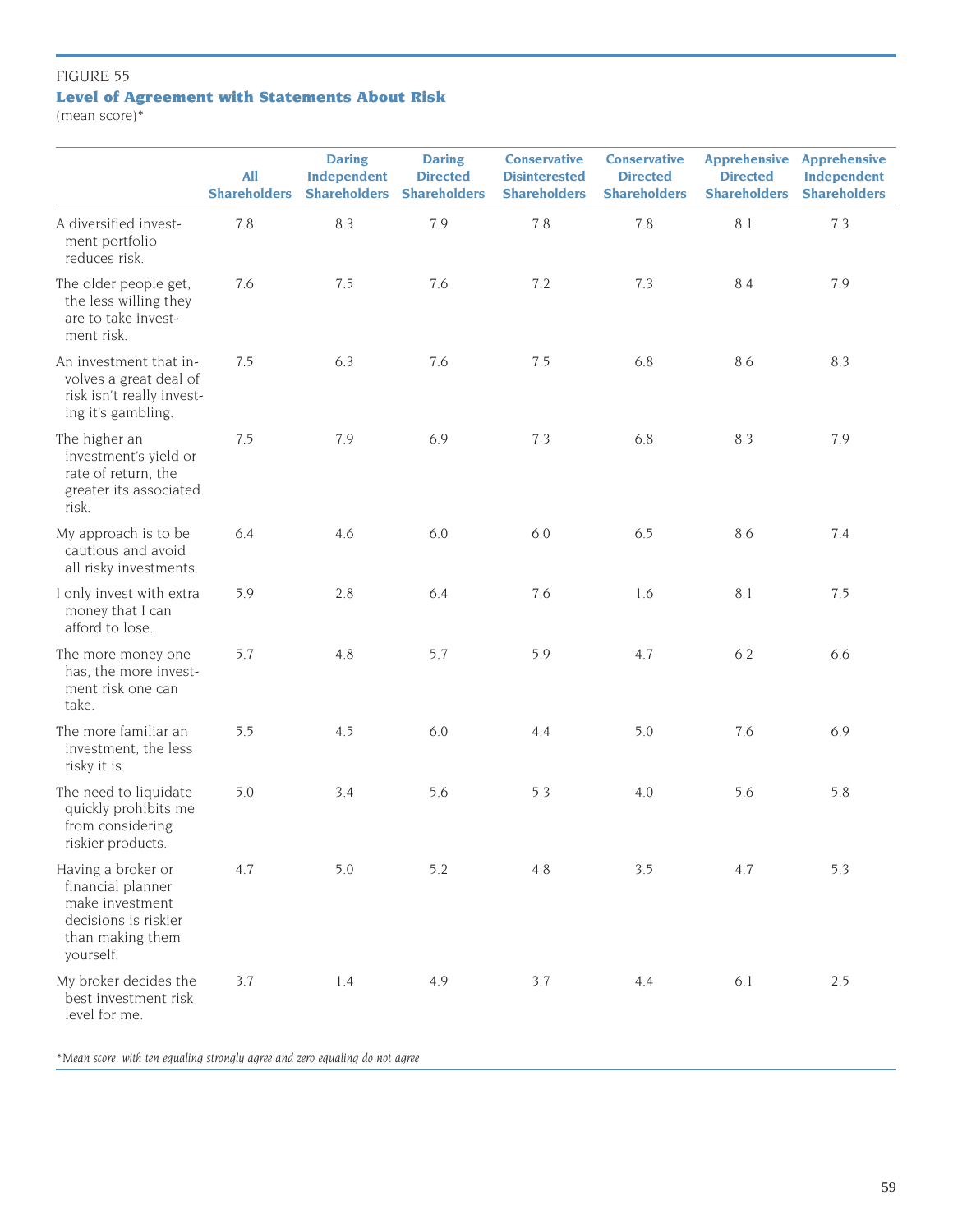# FIGURE 55 **Level of Agreement with Statements About Risk**

(mean score)\*

|                                                                                                                     | <b>All</b><br><b>Shareholders</b> | <b>Daring</b><br>Independent<br><b>Shareholders</b> | <b>Daring</b><br><b>Directed</b><br><b>Shareholders</b> | <b>Conservative</b><br><b>Disinterested</b><br><b>Shareholders</b> | <b>Conservative</b><br><b>Directed</b><br><b>Shareholders</b> | <b>Apprehensive</b><br><b>Directed</b><br><b>Shareholders</b> | <b>Apprehensive</b><br>Independent<br><b>Shareholders</b> |
|---------------------------------------------------------------------------------------------------------------------|-----------------------------------|-----------------------------------------------------|---------------------------------------------------------|--------------------------------------------------------------------|---------------------------------------------------------------|---------------------------------------------------------------|-----------------------------------------------------------|
| A diversified invest-<br>ment portfolio<br>reduces risk.                                                            | 7.8                               | 8.3                                                 | 7.9                                                     | 7.8                                                                | 7.8                                                           | 8.1                                                           | 7.3                                                       |
| The older people get,<br>the less willing they<br>are to take invest-<br>ment risk.                                 | 7.6                               | 7.5                                                 | 7.6                                                     | 7.2                                                                | 7.3                                                           | 8.4                                                           | 7.9                                                       |
| An investment that in-<br>volves a great deal of<br>risk isn't really invest-<br>ing it's gambling.                 | 7.5                               | 6.3                                                 | 7.6                                                     | 7.5                                                                | 6.8                                                           | 8.6                                                           | 8.3                                                       |
| The higher an<br>investment's yield or<br>rate of return, the<br>greater its associated<br>risk.                    | 7.5                               | 7.9                                                 | 6.9                                                     | 7.3                                                                | 6.8                                                           | 8.3                                                           | 7.9                                                       |
| My approach is to be<br>cautious and avoid<br>all risky investments.                                                | 6.4                               | 4.6                                                 | 6.0                                                     | $6.0\,$                                                            | 6.5                                                           | 8.6                                                           | 7.4                                                       |
| I only invest with extra<br>money that I can<br>afford to lose.                                                     | 5.9                               | 2.8                                                 | 6.4                                                     | 7.6                                                                | 1.6                                                           | 8.1                                                           | 7.5                                                       |
| The more money one<br>has, the more invest-<br>ment risk one can<br>take.                                           | 5.7                               | 4.8                                                 | 5.7                                                     | 5.9                                                                | 4.7                                                           | 6.2                                                           | 6.6                                                       |
| The more familiar an<br>investment, the less<br>risky it is.                                                        | 5.5                               | 4.5                                                 | $6.0\,$                                                 | 4.4                                                                | $5.0$                                                         | 7.6                                                           | 6.9                                                       |
| The need to liquidate<br>quickly prohibits me<br>from considering<br>riskier products.                              | 5.0                               | 3.4                                                 | 5.6                                                     | 5.3                                                                | 4.0                                                           | 5.6                                                           | 5.8                                                       |
| Having a broker or<br>financial planner<br>make investment<br>decisions is riskier<br>than making them<br>yourself. | 4.7                               | 5.0                                                 | 5.2                                                     | 4.8                                                                | 3.5                                                           | 4.7                                                           | 5.3                                                       |
| My broker decides the<br>best investment risk<br>level for me.                                                      | 3.7                               | 1.4                                                 | 4.9                                                     | 3.7                                                                | 4.4                                                           | 6.1                                                           | 2.5                                                       |

*\*Mean score, with ten equaling strongly agree and zero equaling do not agree*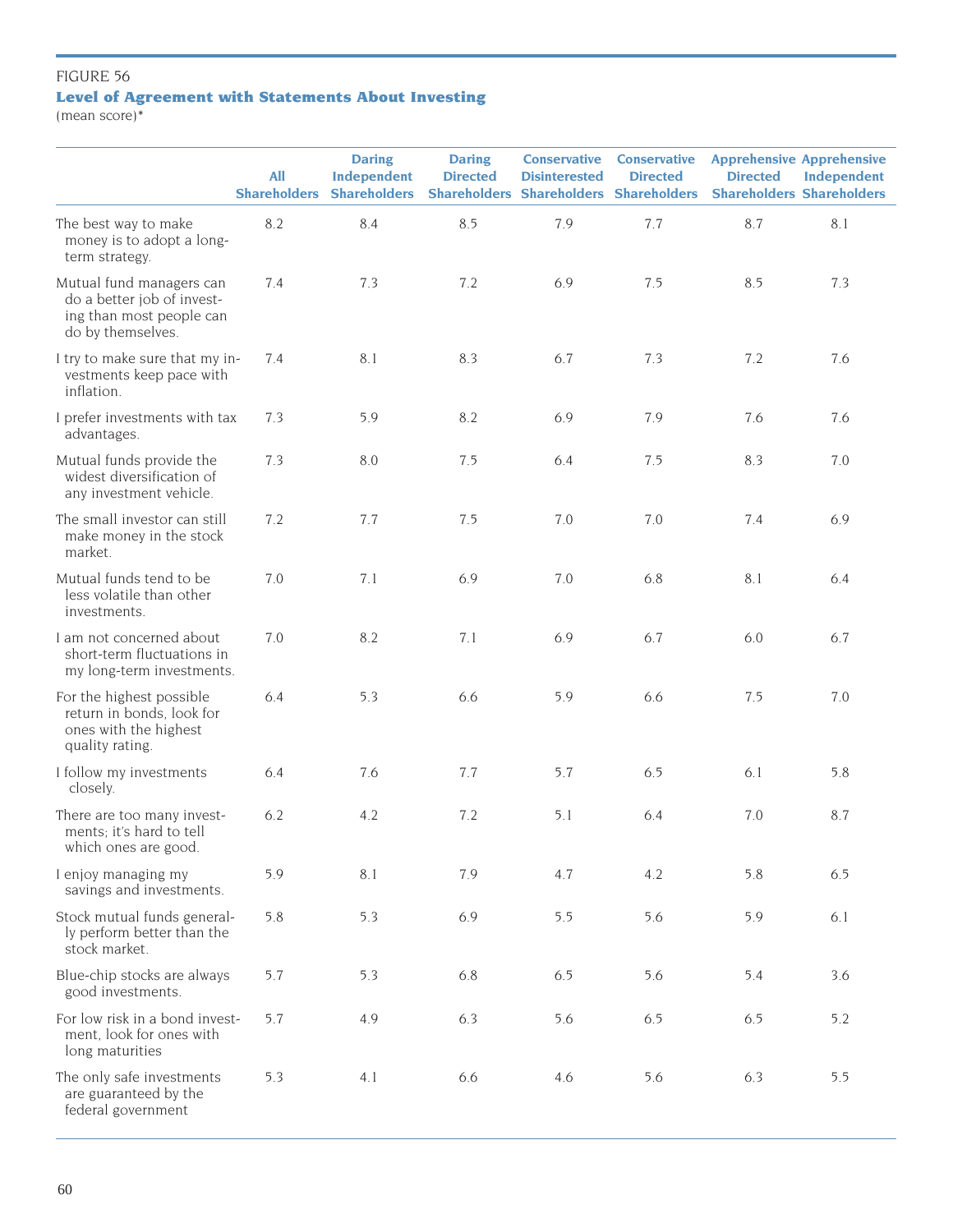# FIGURE 56 **Level of Agreement with Statements About Investing**

(mean score)\*

|                                                                                                         | <b>All</b><br><b>Shareholders</b> | <b>Daring</b><br>Independent<br><b>Shareholders</b> | <b>Daring</b><br><b>Directed</b> | <b>Conservative</b><br><b>Disinterested</b> | <b>Conservative</b><br><b>Directed</b><br><b>Shareholders Shareholders Shareholders</b> | <b>Apprehensive Apprehensive</b><br><b>Directed</b><br><b>Shareholders Shareholders</b> | Independent |
|---------------------------------------------------------------------------------------------------------|-----------------------------------|-----------------------------------------------------|----------------------------------|---------------------------------------------|-----------------------------------------------------------------------------------------|-----------------------------------------------------------------------------------------|-------------|
| The best way to make<br>money is to adopt a long-<br>term strategy.                                     | 8.2                               | 8.4                                                 | 8.5                              | 7.9                                         | 7.7                                                                                     | 8.7                                                                                     | 8.1         |
| Mutual fund managers can<br>do a better job of invest-<br>ing than most people can<br>do by themselves. | 7.4                               | 7.3                                                 | 7.2                              | 6.9                                         | 7.5                                                                                     | 8.5                                                                                     | 7.3         |
| I try to make sure that my in-<br>vestments keep pace with<br>inflation.                                | 7.4                               | 8.1                                                 | 8.3                              | 6.7                                         | 7.3                                                                                     | 7.2                                                                                     | 7.6         |
| I prefer investments with tax<br>advantages.                                                            | 7.3                               | 5.9                                                 | 8.2                              | 6.9                                         | 7.9                                                                                     | 7.6                                                                                     | 7.6         |
| Mutual funds provide the<br>widest diversification of<br>any investment vehicle.                        | 7.3                               | $8.0\,$                                             | 7.5                              | 6.4                                         | 7.5                                                                                     | 8.3                                                                                     | 7.0         |
| The small investor can still<br>make money in the stock<br>market.                                      | 7.2                               | 7.7                                                 | 7.5                              | 7.0                                         | 7.0                                                                                     | 7.4                                                                                     | 6.9         |
| Mutual funds tend to be<br>less volatile than other<br>investments.                                     | 7.0                               | 7.1                                                 | 6.9                              | 7.0                                         | 6.8                                                                                     | 8.1                                                                                     | 6.4         |
| I am not concerned about<br>short-term fluctuations in<br>my long-term investments.                     | 7.0                               | 8.2                                                 | 7.1                              | 6.9                                         | 6.7                                                                                     | 6.0                                                                                     | 6.7         |
| For the highest possible<br>return in bonds, look for<br>ones with the highest<br>quality rating.       | 6.4                               | 5.3                                                 | 6.6                              | 5.9                                         | 6.6                                                                                     | 7.5                                                                                     | 7.0         |
| I follow my investments<br>closely.                                                                     | 6.4                               | 7.6                                                 | 7.7                              | 5.7                                         | 6.5                                                                                     | 6.1                                                                                     | 5.8         |
| There are too many invest-<br>ments; it's hard to tell<br>which ones are good.                          | 6.2                               | 4.2                                                 | 7.2                              | 5.1                                         | 6.4                                                                                     | 7.0                                                                                     | 8.7         |
| I enjoy managing my<br>savings and investments.                                                         | 5.9                               | 8.1                                                 | 7.9                              | 4.7                                         | 4.2                                                                                     | 5.8                                                                                     | 6.5         |
| Stock mutual funds general-<br>ly perform better than the<br>stock market.                              | 5.8                               | 5.3                                                 | 6.9                              | 5.5                                         | 5.6                                                                                     | 5.9                                                                                     | 6.1         |
| Blue-chip stocks are always<br>good investments.                                                        | 5.7                               | 5.3                                                 | 6.8                              | 6.5                                         | 5.6                                                                                     | 5.4                                                                                     | 3.6         |
| For low risk in a bond invest-<br>ment, look for ones with<br>long maturities                           | 5.7                               | 4.9                                                 | 6.3                              | 5.6                                         | 6.5                                                                                     | 6.5                                                                                     | 5.2         |
| The only safe investments<br>are guaranteed by the<br>federal government                                | 5.3                               | 4.1                                                 | 6.6                              | 4.6                                         | 5.6                                                                                     | 6.3                                                                                     | 5.5         |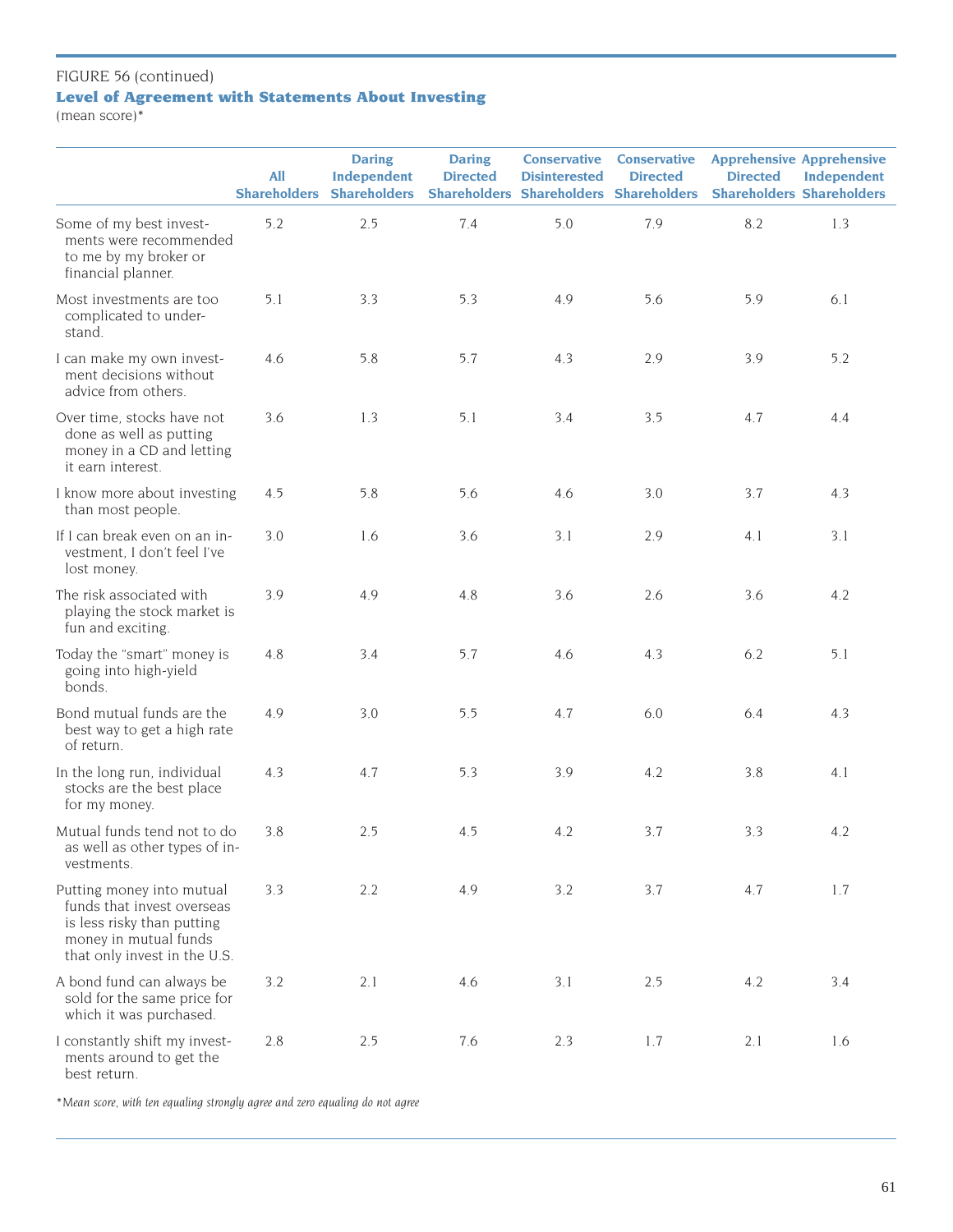# FIGURE 56 (continued)

# **Level of Agreement with Statements About Investing**

(mean score)\*

|                                                                                                                                                | <b>All</b><br><b>Shareholders</b> | <b>Daring</b><br>Independent<br><b>Shareholders</b> | <b>Daring</b><br><b>Directed</b> | <b>Conservative</b><br><b>Disinterested</b> | <b>Conservative</b><br><b>Directed</b><br><b>Shareholders Shareholders Shareholders</b> | <b>Apprehensive Apprehensive</b><br><b>Directed</b> | Independent<br><b>Shareholders Shareholders</b> |
|------------------------------------------------------------------------------------------------------------------------------------------------|-----------------------------------|-----------------------------------------------------|----------------------------------|---------------------------------------------|-----------------------------------------------------------------------------------------|-----------------------------------------------------|-------------------------------------------------|
| Some of my best invest-<br>ments were recommended<br>to me by my broker or<br>financial planner.                                               | 5.2                               | 2.5                                                 | 7.4                              | 5.0                                         | 7.9                                                                                     | 8.2                                                 | 1.3                                             |
| Most investments are too<br>complicated to under-<br>stand.                                                                                    | 5.1                               | 3.3                                                 | 5.3                              | 4.9                                         | 5.6                                                                                     | 5.9                                                 | 6.1                                             |
| I can make my own invest-<br>ment decisions without<br>advice from others.                                                                     | 4.6                               | 5.8                                                 | 5.7                              | 4.3                                         | 2.9                                                                                     | 3.9                                                 | 5.2                                             |
| Over time, stocks have not<br>done as well as putting<br>money in a CD and letting<br>it earn interest.                                        | 3.6                               | 1.3                                                 | 5.1                              | 3.4                                         | 3.5                                                                                     | 4.7                                                 | 4.4                                             |
| I know more about investing<br>than most people.                                                                                               | 4.5                               | 5.8                                                 | 5.6                              | 4.6                                         | 3.0                                                                                     | 3.7                                                 | 4.3                                             |
| If I can break even on an in-<br>vestment, I don't feel I've<br>lost money.                                                                    | 3.0                               | 1.6                                                 | 3.6                              | 3.1                                         | 2.9                                                                                     | 4.1                                                 | 3.1                                             |
| The risk associated with<br>playing the stock market is<br>fun and exciting.                                                                   | 3.9                               | 4.9                                                 | 4.8                              | 3.6                                         | 2.6                                                                                     | 3.6                                                 | 4.2                                             |
| Today the "smart" money is<br>going into high-yield<br>bonds.                                                                                  | 4.8                               | 3.4                                                 | 5.7                              | 4.6                                         | 4.3                                                                                     | 6.2                                                 | 5.1                                             |
| Bond mutual funds are the<br>best way to get a high rate<br>of return.                                                                         | 4.9                               | 3.0                                                 | 5.5                              | 4.7                                         | 6.0                                                                                     | 6.4                                                 | 4.3                                             |
| In the long run, individual<br>stocks are the best place<br>for my money.                                                                      | 4.3                               | 4.7                                                 | 5.3                              | 3.9                                         | 4.2                                                                                     | 3.8                                                 | 4.1                                             |
| Mutual funds tend not to do<br>as well as other types of in-<br>vestments.                                                                     | 3.8                               | 2.5                                                 | 4.5                              | 4.2                                         | 3.7                                                                                     | 3.3                                                 | 4.2                                             |
| Putting money into mutual<br>funds that invest overseas<br>is less risky than putting<br>money in mutual funds<br>that only invest in the U.S. | 3.3                               | 2.2                                                 | 4.9                              | 3.2                                         | 3.7                                                                                     | 4.7                                                 | 1.7                                             |
| A bond fund can always be<br>sold for the same price for<br>which it was purchased.                                                            | 3.2                               | 2.1                                                 | 4.6                              | 3.1                                         | 2.5                                                                                     | 4.2                                                 | 3.4                                             |
| I constantly shift my invest-<br>ments around to get the<br>best return.                                                                       | 2.8                               | 2.5                                                 | 7.6                              | 2.3                                         | 1.7                                                                                     | 2.1                                                 | 1.6                                             |

*\*Mean score, with ten equaling strongly agree and zero equaling do not agree*